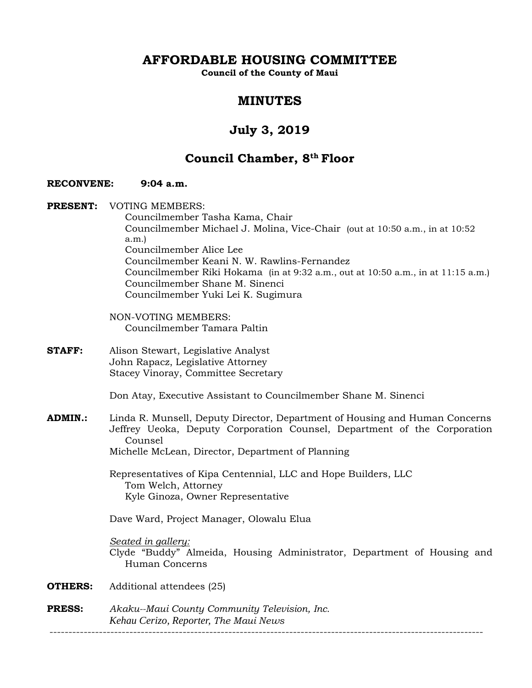**AFFORDABLE HOUSING COMMITTEE** 

**Council of the County of Maui** 

## **MINUTES**

# **July 3, 2019**

# **Council Chamber, 8th Floor**

## **RECONVENE: 9:04 a.m.**

**PRESENT:** VOTING MEMBERS: Councilmember Tasha Kama, Chair Councilmember Michael J. Molina, Vice-Chair (out at 10:50 a.m., in at 10:52 a.m.) Councilmember Alice Lee Councilmember Keani N. W. Rawlins-Fernandez Councilmember Riki Hokama (in at 9:32 a.m., out at 10:50 a.m., in at 11:15 a.m.) Councilmember Shane M. Sinenci Councilmember Yuki Lei K. Sugimura

> NON-VOTING MEMBERS: Councilmember Tamara Paltin

**STAFF:** Alison Stewart, Legislative Analyst John Rapacz, Legislative Attorney Stacey Vinoray, Committee Secretary

Don Atay, Executive Assistant to Councilmember Shane M. Sinenci

**ADMIN.:** Linda R. Munsell, Deputy Director, Department of Housing and Human Concerns Jeffrey Ueoka, Deputy Corporation Counsel, Department of the Corporation Counsel Michelle McLean, Director, Department of Planning

 Representatives of Kipa Centennial, LLC and Hope Builders, LLC Tom Welch, Attorney Kyle Ginoza, Owner Representative

Dave Ward, Project Manager, Olowalu Elua

*Seated in gallery:*  Clyde "Buddy" Almeida, Housing Administrator, Department of Housing and Human Concerns

- **OTHERS:** Additional attendees (25)
- **PRESS:** *Akaku--Maui County Community Television, Inc. Kehau Cerizo, Reporter, The Maui News*

------------------------------------------------------------------------------------------------------------------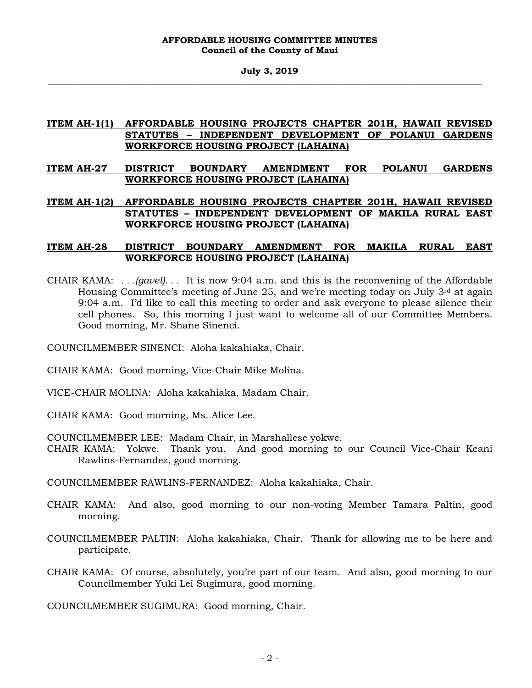## **ITEM AH-1(1) AFFORDABLE HOUSING PROJECTS CHAPTER 201H, HAWAII REVISED STATUTES – INDEPENDENT DEVELOPMENT OF POLANUI GARDENS WORKFORCE HOUSING PROJECT (LAHAINA)**

## **ITEM AH-27 DISTRICT BOUNDARY AMENDMENT FOR POLANUI GARDENS WORKFORCE HOUSING PROJECT (LAHAINA)**

**ITEM AH-1(2) AFFORDABLE HOUSING PROJECTS CHAPTER 201H, HAWAII REVISED STATUTES – INDEPENDENT DEVELOPMENT OF MAKILA RURAL EAST WORKFORCE HOUSING PROJECT (LAHAINA)** 

## **ITEM AH-28 DISTRICT BOUNDARY AMENDMENT FOR MAKILA RURAL EAST WORKFORCE HOUSING PROJECT (LAHAINA)**

CHAIR KAMA: *. . .(gavel). . .* It is now 9:04 a.m. and this is the reconvening of the Affordable Housing Committee's meeting of June 25, and we're meeting today on July  $3<sup>rd</sup>$  at again 9:04 a.m. I'd like to call this meeting to order and ask everyone to please silence their cell phones. So, this morning I just want to welcome all of our Committee Members. Good morning, Mr. Shane Sinenci.

COUNCILMEMBER SINENCI: Aloha kakahiaka, Chair.

- CHAIR KAMA: Good morning, Vice-Chair Mike Molina.
- VICE-CHAIR MOLINA: Aloha kakahiaka, Madam Chair.
- CHAIR KAMA: Good morning, Ms. Alice Lee.

COUNCILMEMBER LEE: Madam Chair, in Marshallese yokwe.

CHAIR KAMA: Yokwe. Thank you. And good morning to our Council Vice-Chair Keani Rawlins-Fernandez, good morning.

COUNCILMEMBER RAWLINS-FERNANDEZ: Aloha kakahiaka, Chair.

- CHAIR KAMA: And also, good morning to our non-voting Member Tamara Paltin, good morning.
- COUNCILMEMBER PALTIN: Aloha kakahiaka, Chair. Thank for allowing me to be here and participate.
- CHAIR KAMA: Of course, absolutely, you're part of our team. And also, good morning to our Councilmember Yuki Lei Sugimura, good morning.

COUNCILMEMBER SUGIMURA: Good morning, Chair.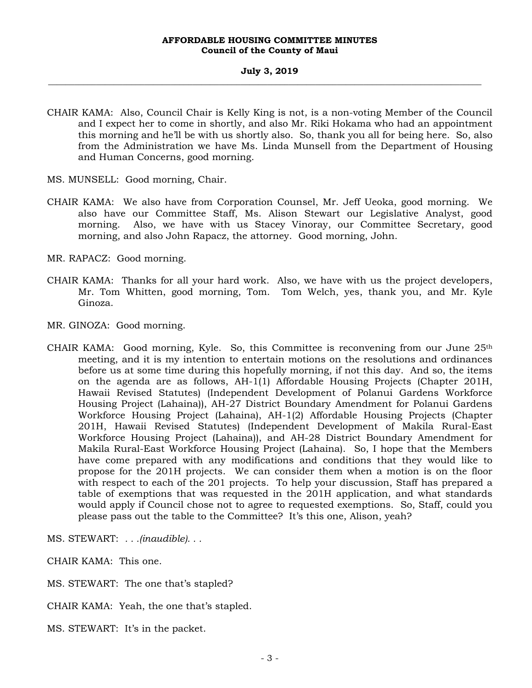## **July 3, 2019 \_\_\_\_\_\_\_\_\_\_\_\_\_\_\_\_\_\_\_\_\_\_\_\_\_\_\_\_\_\_\_\_\_\_\_\_\_\_\_\_\_\_\_\_\_\_\_\_\_\_\_\_\_\_\_\_\_\_\_\_\_\_\_\_\_\_\_\_\_\_\_\_\_\_\_\_\_\_\_\_\_\_\_\_\_\_\_\_\_\_\_\_\_\_\_\_\_\_\_**

- CHAIR KAMA: Also, Council Chair is Kelly King is not, is a non-voting Member of the Council and I expect her to come in shortly, and also Mr. Riki Hokama who had an appointment this morning and he'll be with us shortly also. So, thank you all for being here. So, also from the Administration we have Ms. Linda Munsell from the Department of Housing and Human Concerns, good morning.
- MS. MUNSELL: Good morning, Chair.
- CHAIR KAMA: We also have from Corporation Counsel, Mr. Jeff Ueoka, good morning. We also have our Committee Staff, Ms. Alison Stewart our Legislative Analyst, good morning. Also, we have with us Stacey Vinoray, our Committee Secretary, good morning, and also John Rapacz, the attorney. Good morning, John.
- MR. RAPACZ: Good morning.
- CHAIR KAMA: Thanks for all your hard work. Also, we have with us the project developers, Mr. Tom Whitten, good morning, Tom. Tom Welch, yes, thank you, and Mr. Kyle Ginoza.
- MR. GINOZA: Good morning.
- CHAIR KAMA: Good morning, Kyle. So, this Committee is reconvening from our June  $25<sup>th</sup>$ meeting, and it is my intention to entertain motions on the resolutions and ordinances before us at some time during this hopefully morning, if not this day. And so, the items on the agenda are as follows, AH-1(1) Affordable Housing Projects (Chapter 201H, Hawaii Revised Statutes) (Independent Development of Polanui Gardens Workforce Housing Project (Lahaina)), AH-27 District Boundary Amendment for Polanui Gardens Workforce Housing Project (Lahaina), AH-1(2) Affordable Housing Projects (Chapter 201H, Hawaii Revised Statutes) (Independent Development of Makila Rural-East Workforce Housing Project (Lahaina)), and AH-28 District Boundary Amendment for Makila Rural-East Workforce Housing Project (Lahaina). So, I hope that the Members have come prepared with any modifications and conditions that they would like to propose for the 201H projects. We can consider them when a motion is on the floor with respect to each of the 201 projects. To help your discussion, Staff has prepared a table of exemptions that was requested in the 201H application, and what standards would apply if Council chose not to agree to requested exemptions. So, Staff, could you please pass out the table to the Committee? It's this one, Alison, yeah?
- MS. STEWART: *. . .(inaudible). . .*

CHAIR KAMA: This one.

- MS. STEWART: The one that's stapled?
- CHAIR KAMA: Yeah, the one that's stapled.
- MS. STEWART: It's in the packet.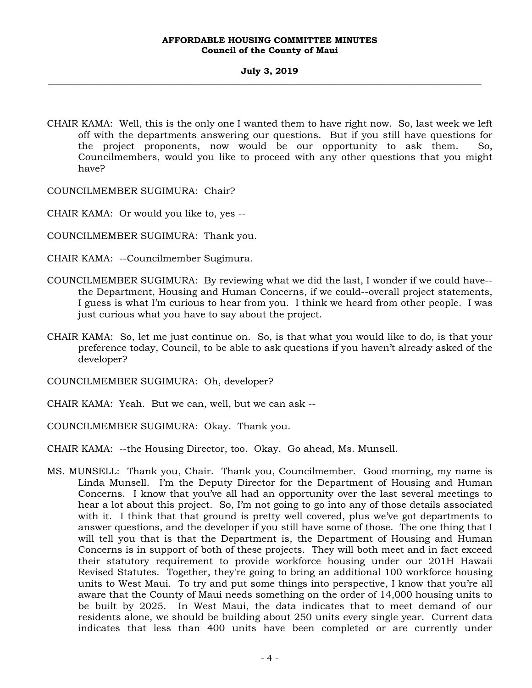CHAIR KAMA: Well, this is the only one I wanted them to have right now. So, last week we left off with the departments answering our questions. But if you still have questions for the project proponents, now would be our opportunity to ask them. So, Councilmembers, would you like to proceed with any other questions that you might have?

COUNCILMEMBER SUGIMURA: Chair?

CHAIR KAMA: Or would you like to, yes --

COUNCILMEMBER SUGIMURA: Thank you.

CHAIR KAMA: --Councilmember Sugimura.

- COUNCILMEMBER SUGIMURA: By reviewing what we did the last, I wonder if we could have- the Department, Housing and Human Concerns, if we could--overall project statements, I guess is what I'm curious to hear from you. I think we heard from other people. I was just curious what you have to say about the project.
- CHAIR KAMA: So, let me just continue on. So, is that what you would like to do, is that your preference today, Council, to be able to ask questions if you haven't already asked of the developer?

COUNCILMEMBER SUGIMURA: Oh, developer?

CHAIR KAMA: Yeah. But we can, well, but we can ask --

COUNCILMEMBER SUGIMURA: Okay. Thank you.

CHAIR KAMA: --the Housing Director, too. Okay. Go ahead, Ms. Munsell.

MS. MUNSELL: Thank you, Chair. Thank you, Councilmember. Good morning, my name is Linda Munsell. I'm the Deputy Director for the Department of Housing and Human Concerns. I know that you've all had an opportunity over the last several meetings to hear a lot about this project. So, I'm not going to go into any of those details associated with it. I think that that ground is pretty well covered, plus we've got departments to answer questions, and the developer if you still have some of those. The one thing that I will tell you that is that the Department is, the Department of Housing and Human Concerns is in support of both of these projects. They will both meet and in fact exceed their statutory requirement to provide workforce housing under our 201H Hawaii Revised Statutes. Together, they're going to bring an additional 100 workforce housing units to West Maui. To try and put some things into perspective, I know that you're all aware that the County of Maui needs something on the order of 14,000 housing units to be built by 2025. In West Maui, the data indicates that to meet demand of our residents alone, we should be building about 250 units every single year. Current data indicates that less than 400 units have been completed or are currently under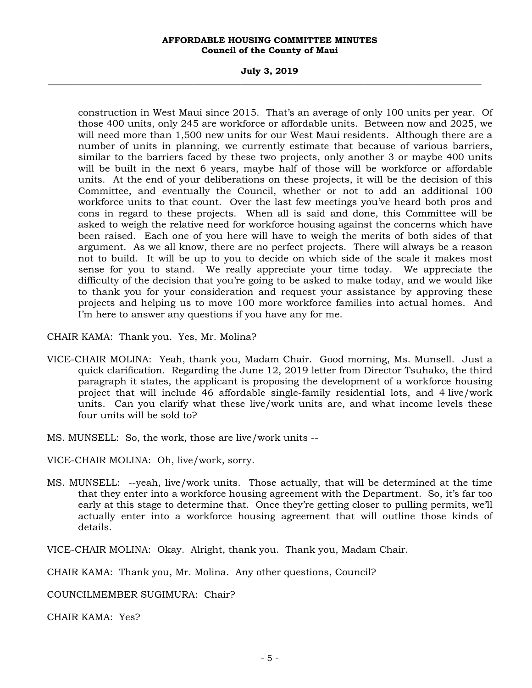## **July 3, 2019 \_\_\_\_\_\_\_\_\_\_\_\_\_\_\_\_\_\_\_\_\_\_\_\_\_\_\_\_\_\_\_\_\_\_\_\_\_\_\_\_\_\_\_\_\_\_\_\_\_\_\_\_\_\_\_\_\_\_\_\_\_\_\_\_\_\_\_\_\_\_\_\_\_\_\_\_\_\_\_\_\_\_\_\_\_\_\_\_\_\_\_\_\_\_\_\_\_\_\_**

construction in West Maui since 2015. That's an average of only 100 units per year. Of those 400 units, only 245 are workforce or affordable units. Between now and 2025, we will need more than 1,500 new units for our West Maui residents. Although there are a number of units in planning, we currently estimate that because of various barriers, similar to the barriers faced by these two projects, only another 3 or maybe 400 units will be built in the next 6 years, maybe half of those will be workforce or affordable units. At the end of your deliberations on these projects, it will be the decision of this Committee, and eventually the Council, whether or not to add an additional 100 workforce units to that count. Over the last few meetings you've heard both pros and cons in regard to these projects. When all is said and done, this Committee will be asked to weigh the relative need for workforce housing against the concerns which have been raised. Each one of you here will have to weigh the merits of both sides of that argument. As we all know, there are no perfect projects. There will always be a reason not to build. It will be up to you to decide on which side of the scale it makes most sense for you to stand. We really appreciate your time today. We appreciate the difficulty of the decision that you're going to be asked to make today, and we would like to thank you for your consideration and request your assistance by approving these projects and helping us to move 100 more workforce families into actual homes. And I'm here to answer any questions if you have any for me.

CHAIR KAMA: Thank you. Yes, Mr. Molina?

- VICE-CHAIR MOLINA: Yeah, thank you, Madam Chair. Good morning, Ms. Munsell. Just a quick clarification. Regarding the June 12, 2019 letter from Director Tsuhako, the third paragraph it states, the applicant is proposing the development of a workforce housing project that will include 46 affordable single-family residential lots, and 4 live/work units. Can you clarify what these live/work units are, and what income levels these four units will be sold to?
- MS. MUNSELL: So, the work, those are live/work units --

VICE-CHAIR MOLINA: Oh, live/work, sorry.

MS. MUNSELL: --yeah, live/work units. Those actually, that will be determined at the time that they enter into a workforce housing agreement with the Department. So, it's far too early at this stage to determine that. Once they're getting closer to pulling permits, we'll actually enter into a workforce housing agreement that will outline those kinds of details.

VICE-CHAIR MOLINA: Okay. Alright, thank you. Thank you, Madam Chair.

CHAIR KAMA: Thank you, Mr. Molina. Any other questions, Council?

COUNCILMEMBER SUGIMURA: Chair?

CHAIR KAMA: Yes?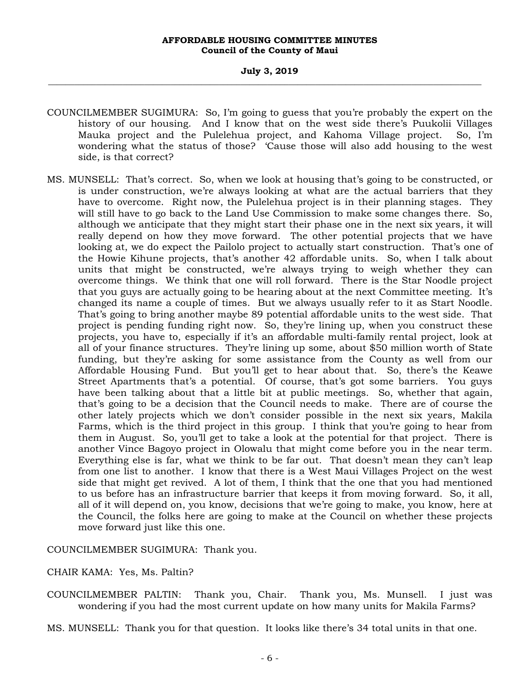- COUNCILMEMBER SUGIMURA: So, I'm going to guess that you're probably the expert on the history of our housing. And I know that on the west side there's Puukolii Villages Mauka project and the Pulelehua project, and Kahoma Village project. So, I'm wondering what the status of those? 'Cause those will also add housing to the west side, is that correct?
- MS. MUNSELL: That's correct. So, when we look at housing that's going to be constructed, or is under construction, we're always looking at what are the actual barriers that they have to overcome. Right now, the Pulelehua project is in their planning stages. They will still have to go back to the Land Use Commission to make some changes there. So, although we anticipate that they might start their phase one in the next six years, it will really depend on how they move forward. The other potential projects that we have looking at, we do expect the Pailolo project to actually start construction. That's one of the Howie Kihune projects, that's another 42 affordable units. So, when I talk about units that might be constructed, we're always trying to weigh whether they can overcome things. We think that one will roll forward. There is the Star Noodle project that you guys are actually going to be hearing about at the next Committee meeting. It's changed its name a couple of times. But we always usually refer to it as Start Noodle. That's going to bring another maybe 89 potential affordable units to the west side. That project is pending funding right now. So, they're lining up, when you construct these projects, you have to, especially if it's an affordable multi-family rental project, look at all of your finance structures. They're lining up some, about \$50 million worth of State funding, but they're asking for some assistance from the County as well from our Affordable Housing Fund. But you'll get to hear about that. So, there's the Keawe Street Apartments that's a potential. Of course, that's got some barriers. You guys have been talking about that a little bit at public meetings. So, whether that again, that's going to be a decision that the Council needs to make. There are of course the other lately projects which we don't consider possible in the next six years, Makila Farms, which is the third project in this group. I think that you're going to hear from them in August. So, you'll get to take a look at the potential for that project. There is another Vince Bagoyo project in Olowalu that might come before you in the near term. Everything else is far, what we think to be far out. That doesn't mean they can't leap from one list to another. I know that there is a West Maui Villages Project on the west side that might get revived. A lot of them, I think that the one that you had mentioned to us before has an infrastructure barrier that keeps it from moving forward. So, it all, all of it will depend on, you know, decisions that we're going to make, you know, here at the Council, the folks here are going to make at the Council on whether these projects move forward just like this one.

COUNCILMEMBER SUGIMURA: Thank you.

## CHAIR KAMA: Yes, Ms. Paltin?

COUNCILMEMBER PALTIN: Thank you, Chair. Thank you, Ms. Munsell. I just was wondering if you had the most current update on how many units for Makila Farms?

MS. MUNSELL: Thank you for that question. It looks like there's 34 total units in that one.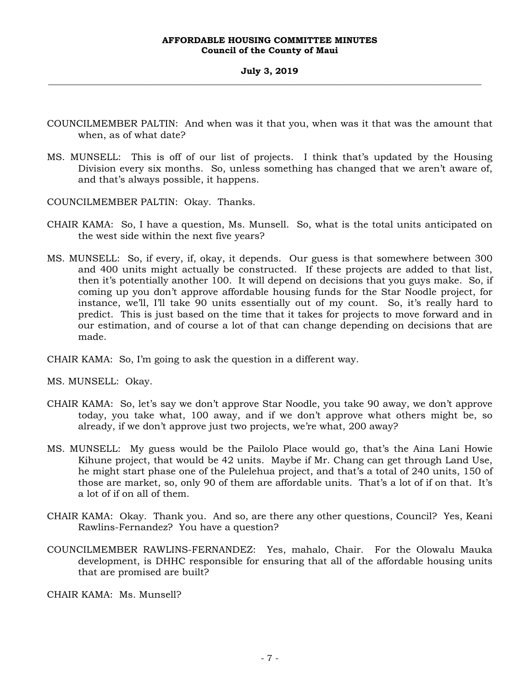- COUNCILMEMBER PALTIN: And when was it that you, when was it that was the amount that when, as of what date?
- MS. MUNSELL: This is off of our list of projects. I think that's updated by the Housing Division every six months. So, unless something has changed that we aren't aware of, and that's always possible, it happens.
- COUNCILMEMBER PALTIN: Okay. Thanks.
- CHAIR KAMA: So, I have a question, Ms. Munsell. So, what is the total units anticipated on the west side within the next five years?
- MS. MUNSELL: So, if every, if, okay, it depends. Our guess is that somewhere between 300 and 400 units might actually be constructed. If these projects are added to that list, then it's potentially another 100. It will depend on decisions that you guys make. So, if coming up you don't approve affordable housing funds for the Star Noodle project, for instance, we'll, I'll take 90 units essentially out of my count. So, it's really hard to predict. This is just based on the time that it takes for projects to move forward and in our estimation, and of course a lot of that can change depending on decisions that are made.
- CHAIR KAMA: So, I'm going to ask the question in a different way.
- MS. MUNSELL: Okay.
- CHAIR KAMA: So, let's say we don't approve Star Noodle, you take 90 away, we don't approve today, you take what, 100 away, and if we don't approve what others might be, so already, if we don't approve just two projects, we're what, 200 away?
- MS. MUNSELL: My guess would be the Pailolo Place would go, that's the Aina Lani Howie Kihune project, that would be 42 units. Maybe if Mr. Chang can get through Land Use, he might start phase one of the Pulelehua project, and that's a total of 240 units, 150 of those are market, so, only 90 of them are affordable units. That's a lot of if on that. It's a lot of if on all of them.
- CHAIR KAMA: Okay. Thank you. And so, are there any other questions, Council? Yes, Keani Rawlins-Fernandez? You have a question?
- COUNCILMEMBER RAWLINS-FERNANDEZ: Yes, mahalo, Chair. For the Olowalu Mauka development, is DHHC responsible for ensuring that all of the affordable housing units that are promised are built?

CHAIR KAMA: Ms. Munsell?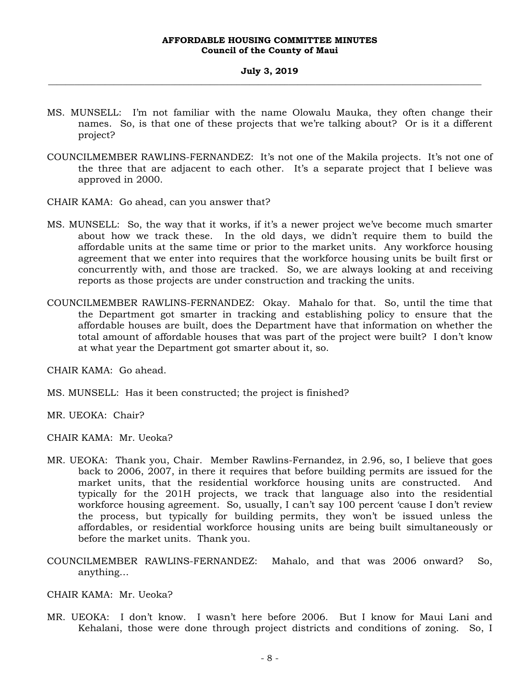## **July 3, 2019 \_\_\_\_\_\_\_\_\_\_\_\_\_\_\_\_\_\_\_\_\_\_\_\_\_\_\_\_\_\_\_\_\_\_\_\_\_\_\_\_\_\_\_\_\_\_\_\_\_\_\_\_\_\_\_\_\_\_\_\_\_\_\_\_\_\_\_\_\_\_\_\_\_\_\_\_\_\_\_\_\_\_\_\_\_\_\_\_\_\_\_\_\_\_\_\_\_\_\_**

- MS. MUNSELL: I'm not familiar with the name Olowalu Mauka, they often change their names. So, is that one of these projects that we're talking about? Or is it a different project?
- COUNCILMEMBER RAWLINS-FERNANDEZ: It's not one of the Makila projects. It's not one of the three that are adjacent to each other. It's a separate project that I believe was approved in 2000.

CHAIR KAMA: Go ahead, can you answer that?

- MS. MUNSELL: So, the way that it works, if it's a newer project we've become much smarter about how we track these. In the old days, we didn't require them to build the affordable units at the same time or prior to the market units. Any workforce housing agreement that we enter into requires that the workforce housing units be built first or concurrently with, and those are tracked. So, we are always looking at and receiving reports as those projects are under construction and tracking the units.
- COUNCILMEMBER RAWLINS-FERNANDEZ: Okay. Mahalo for that. So, until the time that the Department got smarter in tracking and establishing policy to ensure that the affordable houses are built, does the Department have that information on whether the total amount of affordable houses that was part of the project were built? I don't know at what year the Department got smarter about it, so.

CHAIR KAMA: Go ahead.

MS. MUNSELL: Has it been constructed; the project is finished?

MR. UEOKA: Chair?

CHAIR KAMA: Mr. Ueoka?

- MR. UEOKA: Thank you, Chair. Member Rawlins-Fernandez, in 2.96, so, I believe that goes back to 2006, 2007, in there it requires that before building permits are issued for the market units, that the residential workforce housing units are constructed. And typically for the 201H projects, we track that language also into the residential workforce housing agreement. So, usually, I can't say 100 percent 'cause I don't review the process, but typically for building permits, they won't be issued unless the affordables, or residential workforce housing units are being built simultaneously or before the market units. Thank you.
- COUNCILMEMBER RAWLINS-FERNANDEZ: Mahalo, and that was 2006 onward? So, anything…

CHAIR KAMA: Mr. Ueoka?

MR. UEOKA: I don't know. I wasn't here before 2006. But I know for Maui Lani and Kehalani, those were done through project districts and conditions of zoning. So, I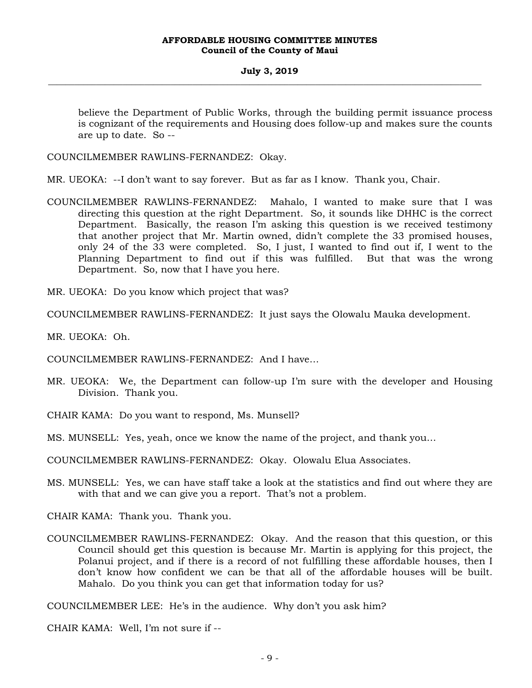## **July 3, 2019 \_\_\_\_\_\_\_\_\_\_\_\_\_\_\_\_\_\_\_\_\_\_\_\_\_\_\_\_\_\_\_\_\_\_\_\_\_\_\_\_\_\_\_\_\_\_\_\_\_\_\_\_\_\_\_\_\_\_\_\_\_\_\_\_\_\_\_\_\_\_\_\_\_\_\_\_\_\_\_\_\_\_\_\_\_\_\_\_\_\_\_\_\_\_\_\_\_\_\_**

believe the Department of Public Works, through the building permit issuance process is cognizant of the requirements and Housing does follow-up and makes sure the counts are up to date. So --

COUNCILMEMBER RAWLINS-FERNANDEZ: Okay.

MR. UEOKA: --I don't want to say forever. But as far as I know. Thank you, Chair.

COUNCILMEMBER RAWLINS-FERNANDEZ: Mahalo, I wanted to make sure that I was directing this question at the right Department. So, it sounds like DHHC is the correct Department. Basically, the reason I'm asking this question is we received testimony that another project that Mr. Martin owned, didn't complete the 33 promised houses, only 24 of the 33 were completed. So, I just, I wanted to find out if, I went to the Planning Department to find out if this was fulfilled. But that was the wrong Department. So, now that I have you here.

MR. UEOKA: Do you know which project that was?

COUNCILMEMBER RAWLINS-FERNANDEZ: It just says the Olowalu Mauka development.

MR. UEOKA: Oh.

COUNCILMEMBER RAWLINS-FERNANDEZ: And I have…

MR. UEOKA: We, the Department can follow-up I'm sure with the developer and Housing Division. Thank you.

CHAIR KAMA: Do you want to respond, Ms. Munsell?

MS. MUNSELL: Yes, yeah, once we know the name of the project, and thank you…

COUNCILMEMBER RAWLINS-FERNANDEZ: Okay. Olowalu Elua Associates.

MS. MUNSELL: Yes, we can have staff take a look at the statistics and find out where they are with that and we can give you a report. That's not a problem.

CHAIR KAMA: Thank you. Thank you.

COUNCILMEMBER RAWLINS-FERNANDEZ: Okay. And the reason that this question, or this Council should get this question is because Mr. Martin is applying for this project, the Polanui project, and if there is a record of not fulfilling these affordable houses, then I don't know how confident we can be that all of the affordable houses will be built. Mahalo. Do you think you can get that information today for us?

COUNCILMEMBER LEE: He's in the audience. Why don't you ask him?

CHAIR KAMA: Well, I'm not sure if --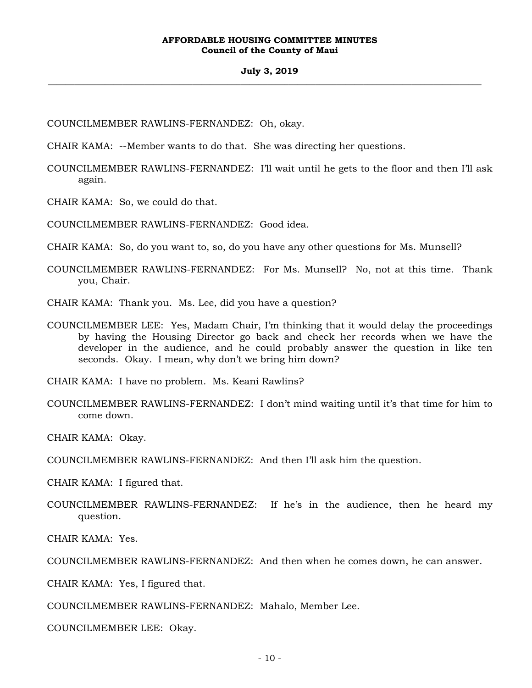## **July 3, 2019 \_\_\_\_\_\_\_\_\_\_\_\_\_\_\_\_\_\_\_\_\_\_\_\_\_\_\_\_\_\_\_\_\_\_\_\_\_\_\_\_\_\_\_\_\_\_\_\_\_\_\_\_\_\_\_\_\_\_\_\_\_\_\_\_\_\_\_\_\_\_\_\_\_\_\_\_\_\_\_\_\_\_\_\_\_\_\_\_\_\_\_\_\_\_\_\_\_\_\_**

COUNCILMEMBER RAWLINS-FERNANDEZ: Oh, okay.

CHAIR KAMA: --Member wants to do that. She was directing her questions.

COUNCILMEMBER RAWLINS-FERNANDEZ: I'll wait until he gets to the floor and then I'll ask again.

CHAIR KAMA: So, we could do that.

COUNCILMEMBER RAWLINS-FERNANDEZ: Good idea.

CHAIR KAMA: So, do you want to, so, do you have any other questions for Ms. Munsell?

- COUNCILMEMBER RAWLINS-FERNANDEZ: For Ms. Munsell? No, not at this time. Thank you, Chair.
- CHAIR KAMA: Thank you. Ms. Lee, did you have a question?
- COUNCILMEMBER LEE: Yes, Madam Chair, I'm thinking that it would delay the proceedings by having the Housing Director go back and check her records when we have the developer in the audience, and he could probably answer the question in like ten seconds. Okay. I mean, why don't we bring him down?

CHAIR KAMA: I have no problem. Ms. Keani Rawlins?

COUNCILMEMBER RAWLINS-FERNANDEZ: I don't mind waiting until it's that time for him to come down.

CHAIR KAMA: Okay.

COUNCILMEMBER RAWLINS-FERNANDEZ: And then I'll ask him the question.

CHAIR KAMA: I figured that.

COUNCILMEMBER RAWLINS-FERNANDEZ: If he's in the audience, then he heard my question.

CHAIR KAMA: Yes.

COUNCILMEMBER RAWLINS-FERNANDEZ: And then when he comes down, he can answer.

CHAIR KAMA: Yes, I figured that.

COUNCILMEMBER RAWLINS-FERNANDEZ: Mahalo, Member Lee.

COUNCILMEMBER LEE: Okay.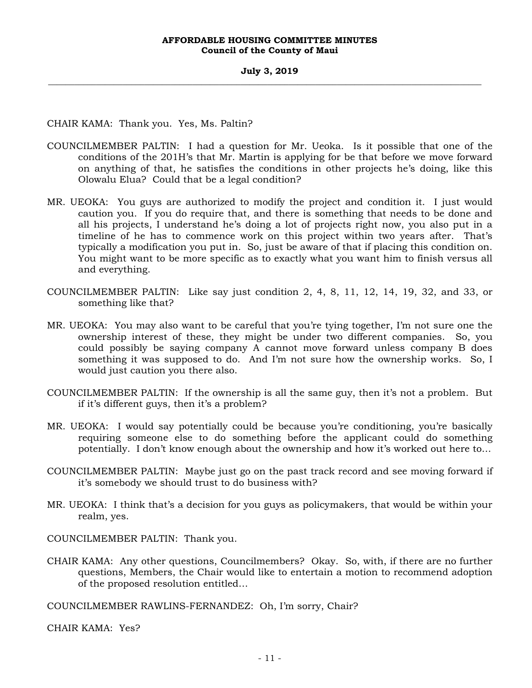CHAIR KAMA: Thank you. Yes, Ms. Paltin?

- COUNCILMEMBER PALTIN: I had a question for Mr. Ueoka. Is it possible that one of the conditions of the 201H's that Mr. Martin is applying for be that before we move forward on anything of that, he satisfies the conditions in other projects he's doing, like this Olowalu Elua? Could that be a legal condition?
- MR. UEOKA: You guys are authorized to modify the project and condition it. I just would caution you. If you do require that, and there is something that needs to be done and all his projects, I understand he's doing a lot of projects right now, you also put in a timeline of he has to commence work on this project within two years after. That's typically a modification you put in. So, just be aware of that if placing this condition on. You might want to be more specific as to exactly what you want him to finish versus all and everything.
- COUNCILMEMBER PALTIN: Like say just condition 2, 4, 8, 11, 12, 14, 19, 32, and 33, or something like that?
- MR. UEOKA: You may also want to be careful that you're tying together, I'm not sure one the ownership interest of these, they might be under two different companies. So, you could possibly be saying company A cannot move forward unless company B does something it was supposed to do. And I'm not sure how the ownership works. So, I would just caution you there also.
- COUNCILMEMBER PALTIN: If the ownership is all the same guy, then it's not a problem. But if it's different guys, then it's a problem?
- MR. UEOKA: I would say potentially could be because you're conditioning, you're basically requiring someone else to do something before the applicant could do something potentially. I don't know enough about the ownership and how it's worked out here to…
- COUNCILMEMBER PALTIN: Maybe just go on the past track record and see moving forward if it's somebody we should trust to do business with?
- MR. UEOKA: I think that's a decision for you guys as policymakers, that would be within your realm, yes.

COUNCILMEMBER PALTIN: Thank you.

CHAIR KAMA: Any other questions, Councilmembers? Okay. So, with, if there are no further questions, Members, the Chair would like to entertain a motion to recommend adoption of the proposed resolution entitled…

COUNCILMEMBER RAWLINS-FERNANDEZ: Oh, I'm sorry, Chair?

CHAIR KAMA: Yes?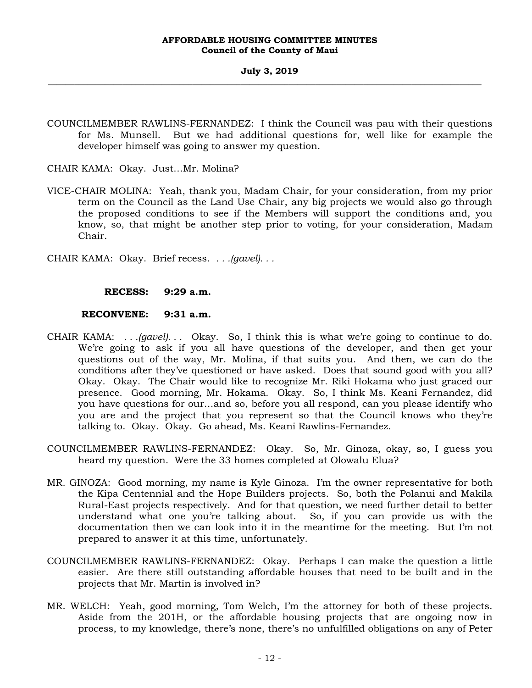COUNCILMEMBER RAWLINS-FERNANDEZ: I think the Council was pau with their questions for Ms. Munsell. But we had additional questions for, well like for example the developer himself was going to answer my question.

CHAIR KAMA: Okay. Just…Mr. Molina?

VICE-CHAIR MOLINA: Yeah, thank you, Madam Chair, for your consideration, from my prior term on the Council as the Land Use Chair, any big projects we would also go through the proposed conditions to see if the Members will support the conditions and, you know, so, that might be another step prior to voting, for your consideration, Madam Chair.

CHAIR KAMA: Okay. Brief recess. *. . .(gavel). . .*

## **RECESS: 9:29 a.m.**

## **RECONVENE: 9:31 a.m.**

- CHAIR KAMA: *. . .(gavel). . .* Okay. So, I think this is what we're going to continue to do. We're going to ask if you all have questions of the developer, and then get your questions out of the way, Mr. Molina, if that suits you. And then, we can do the conditions after they've questioned or have asked. Does that sound good with you all? Okay. Okay. The Chair would like to recognize Mr. Riki Hokama who just graced our presence. Good morning, Mr. Hokama. Okay. So, I think Ms. Keani Fernandez, did you have questions for our…and so, before you all respond, can you please identify who you are and the project that you represent so that the Council knows who they're talking to. Okay. Okay. Go ahead, Ms. Keani Rawlins-Fernandez.
- COUNCILMEMBER RAWLINS-FERNANDEZ: Okay. So, Mr. Ginoza, okay, so, I guess you heard my question. Were the 33 homes completed at Olowalu Elua?
- MR. GINOZA: Good morning, my name is Kyle Ginoza. I'm the owner representative for both the Kipa Centennial and the Hope Builders projects. So, both the Polanui and Makila Rural-East projects respectively. And for that question, we need further detail to better understand what one you're talking about. So, if you can provide us with the documentation then we can look into it in the meantime for the meeting. But I'm not prepared to answer it at this time, unfortunately.
- COUNCILMEMBER RAWLINS-FERNANDEZ: Okay. Perhaps I can make the question a little easier. Are there still outstanding affordable houses that need to be built and in the projects that Mr. Martin is involved in?
- MR. WELCH: Yeah, good morning, Tom Welch, I'm the attorney for both of these projects. Aside from the 201H, or the affordable housing projects that are ongoing now in process, to my knowledge, there's none, there's no unfulfilled obligations on any of Peter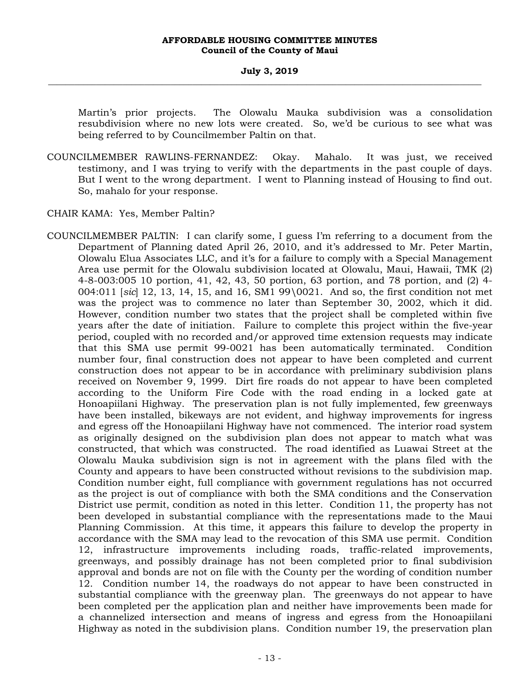Martin's prior projects. The Olowalu Mauka subdivision was a consolidation resubdivision where no new lots were created. So, we'd be curious to see what was being referred to by Councilmember Paltin on that.

COUNCILMEMBER RAWLINS-FERNANDEZ: Okay. Mahalo. It was just, we received testimony, and I was trying to verify with the departments in the past couple of days. But I went to the wrong department. I went to Planning instead of Housing to find out. So, mahalo for your response.

CHAIR KAMA: Yes, Member Paltin?

COUNCILMEMBER PALTIN: I can clarify some, I guess I'm referring to a document from the Department of Planning dated April 26, 2010, and it's addressed to Mr. Peter Martin, Olowalu Elua Associates LLC, and it's for a failure to comply with a Special Management Area use permit for the Olowalu subdivision located at Olowalu, Maui, Hawaii, TMK (2) 4-8-003:005 10 portion, 41, 42, 43, 50 portion, 63 portion, and 78 portion, and (2) 4- 004:011 [*sic*] 12, 13, 14, 15, and 16, SM1 99\0021. And so, the first condition not met was the project was to commence no later than September 30, 2002, which it did. However, condition number two states that the project shall be completed within five years after the date of initiation. Failure to complete this project within the five-year period, coupled with no recorded and/or approved time extension requests may indicate that this SMA use permit 99-0021 has been automatically terminated. Condition number four, final construction does not appear to have been completed and current construction does not appear to be in accordance with preliminary subdivision plans received on November 9, 1999. Dirt fire roads do not appear to have been completed according to the Uniform Fire Code with the road ending in a locked gate at Honoapiilani Highway. The preservation plan is not fully implemented, few greenways have been installed, bikeways are not evident, and highway improvements for ingress and egress off the Honoapiilani Highway have not commenced. The interior road system as originally designed on the subdivision plan does not appear to match what was constructed, that which was constructed. The road identified as Luawai Street at the Olowalu Mauka subdivision sign is not in agreement with the plans filed with the County and appears to have been constructed without revisions to the subdivision map. Condition number eight, full compliance with government regulations has not occurred as the project is out of compliance with both the SMA conditions and the Conservation District use permit, condition as noted in this letter. Condition 11, the property has not been developed in substantial compliance with the representations made to the Maui Planning Commission. At this time, it appears this failure to develop the property in accordance with the SMA may lead to the revocation of this SMA use permit. Condition 12, infrastructure improvements including roads, traffic-related improvements, greenways, and possibly drainage has not been completed prior to final subdivision approval and bonds are not on file with the County per the wording of condition number 12. Condition number 14, the roadways do not appear to have been constructed in substantial compliance with the greenway plan. The greenways do not appear to have been completed per the application plan and neither have improvements been made for a channelized intersection and means of ingress and egress from the Honoapiilani Highway as noted in the subdivision plans. Condition number 19, the preservation plan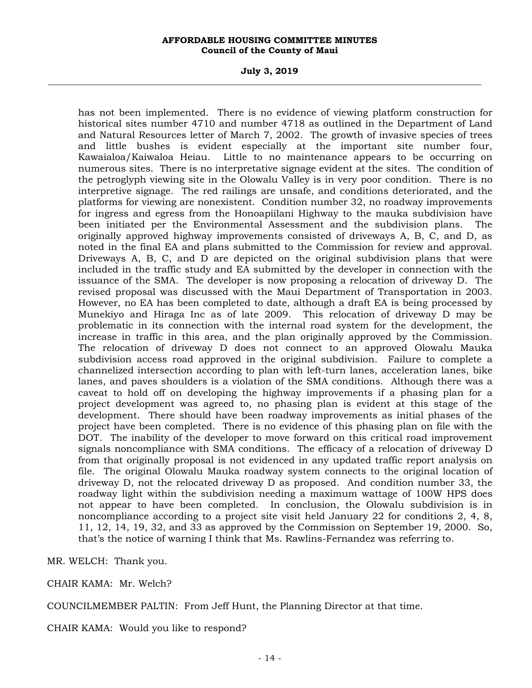**July 3, 2019 \_\_\_\_\_\_\_\_\_\_\_\_\_\_\_\_\_\_\_\_\_\_\_\_\_\_\_\_\_\_\_\_\_\_\_\_\_\_\_\_\_\_\_\_\_\_\_\_\_\_\_\_\_\_\_\_\_\_\_\_\_\_\_\_\_\_\_\_\_\_\_\_\_\_\_\_\_\_\_\_\_\_\_\_\_\_\_\_\_\_\_\_\_\_\_\_\_\_\_** 

has not been implemented. There is no evidence of viewing platform construction for historical sites number 4710 and number 4718 as outlined in the Department of Land and Natural Resources letter of March 7, 2002. The growth of invasive species of trees and little bushes is evident especially at the important site number four, Kawaialoa/Kaiwaloa Heiau. Little to no maintenance appears to be occurring on numerous sites. There is no interpretative signage evident at the sites. The condition of the petroglyph viewing site in the Olowalu Valley is in very poor condition. There is no interpretive signage. The red railings are unsafe, and conditions deteriorated, and the platforms for viewing are nonexistent. Condition number 32, no roadway improvements for ingress and egress from the Honoapiilani Highway to the mauka subdivision have been initiated per the Environmental Assessment and the subdivision plans. The originally approved highway improvements consisted of driveways A, B, C, and D, as noted in the final EA and plans submitted to the Commission for review and approval. Driveways A, B, C, and D are depicted on the original subdivision plans that were included in the traffic study and EA submitted by the developer in connection with the issuance of the SMA. The developer is now proposing a relocation of driveway D. The revised proposal was discussed with the Maui Department of Transportation in 2003. However, no EA has been completed to date, although a draft EA is being processed by Munekiyo and Hiraga Inc as of late 2009. This relocation of driveway D may be problematic in its connection with the internal road system for the development, the increase in traffic in this area, and the plan originally approved by the Commission. The relocation of driveway D does not connect to an approved Olowalu Mauka subdivision access road approved in the original subdivision. Failure to complete a channelized intersection according to plan with left-turn lanes, acceleration lanes, bike lanes, and paves shoulders is a violation of the SMA conditions. Although there was a caveat to hold off on developing the highway improvements if a phasing plan for a project development was agreed to, no phasing plan is evident at this stage of the development. There should have been roadway improvements as initial phases of the project have been completed. There is no evidence of this phasing plan on file with the DOT. The inability of the developer to move forward on this critical road improvement signals noncompliance with SMA conditions. The efficacy of a relocation of driveway D from that originally proposal is not evidenced in any updated traffic report analysis on file. The original Olowalu Mauka roadway system connects to the original location of driveway D, not the relocated driveway D as proposed. And condition number 33, the roadway light within the subdivision needing a maximum wattage of 100W HPS does not appear to have been completed. In conclusion, the Olowalu subdivision is in noncompliance according to a project site visit held January 22 for conditions 2, 4, 8, 11, 12, 14, 19, 32, and 33 as approved by the Commission on September 19, 2000. So, that's the notice of warning I think that Ms. Rawlins-Fernandez was referring to.

MR. WELCH: Thank you.

CHAIR KAMA: Mr. Welch?

COUNCILMEMBER PALTIN: From Jeff Hunt, the Planning Director at that time.

CHAIR KAMA: Would you like to respond?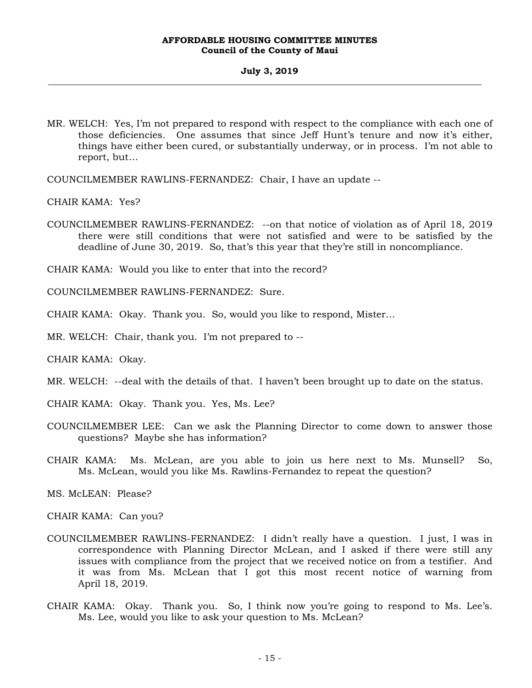MR. WELCH: Yes, I'm not prepared to respond with respect to the compliance with each one of those deficiencies. One assumes that since Jeff Hunt's tenure and now it's either, things have either been cured, or substantially underway, or in process. I'm not able to report, but…

COUNCILMEMBER RAWLINS-FERNANDEZ: Chair, I have an update --

CHAIR KAMA: Yes?

COUNCILMEMBER RAWLINS-FERNANDEZ: --on that notice of violation as of April 18, 2019 there were still conditions that were not satisfied and were to be satisfied by the deadline of June 30, 2019. So, that's this year that they're still in noncompliance.

CHAIR KAMA: Would you like to enter that into the record?

COUNCILMEMBER RAWLINS-FERNANDEZ: Sure.

CHAIR KAMA: Okay. Thank you. So, would you like to respond, Mister…

MR. WELCH: Chair, thank you. I'm not prepared to --

CHAIR KAMA: Okay.

MR. WELCH: --deal with the details of that. I haven't been brought up to date on the status.

CHAIR KAMA: Okay. Thank you. Yes, Ms. Lee?

- COUNCILMEMBER LEE: Can we ask the Planning Director to come down to answer those questions? Maybe she has information?
- CHAIR KAMA: Ms. McLean, are you able to join us here next to Ms. Munsell? So, Ms. McLean, would you like Ms. Rawlins-Fernandez to repeat the question?

MS. McLEAN: Please?

CHAIR KAMA: Can you?

- COUNCILMEMBER RAWLINS-FERNANDEZ: I didn't really have a question. I just, I was in correspondence with Planning Director McLean, and I asked if there were still any issues with compliance from the project that we received notice on from a testifier. And it was from Ms. McLean that I got this most recent notice of warning from April 18, 2019.
- CHAIR KAMA: Okay. Thank you. So, I think now you're going to respond to Ms. Lee's. Ms. Lee, would you like to ask your question to Ms. McLean?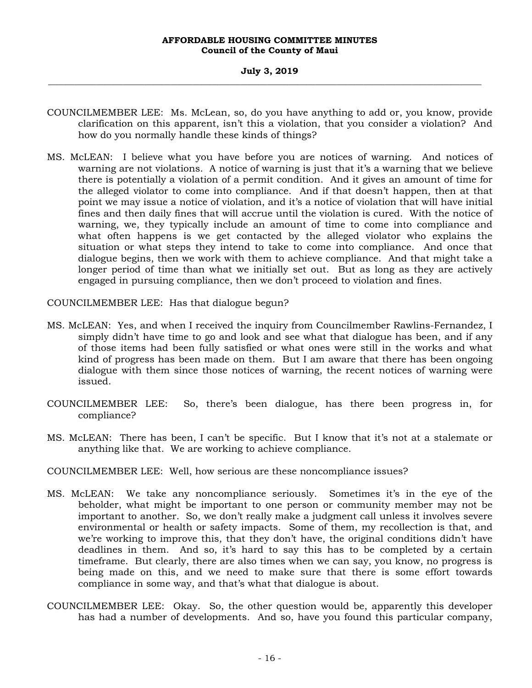## **July 3, 2019 \_\_\_\_\_\_\_\_\_\_\_\_\_\_\_\_\_\_\_\_\_\_\_\_\_\_\_\_\_\_\_\_\_\_\_\_\_\_\_\_\_\_\_\_\_\_\_\_\_\_\_\_\_\_\_\_\_\_\_\_\_\_\_\_\_\_\_\_\_\_\_\_\_\_\_\_\_\_\_\_\_\_\_\_\_\_\_\_\_\_\_\_\_\_\_\_\_\_\_**

- COUNCILMEMBER LEE: Ms. McLean, so, do you have anything to add or, you know, provide clarification on this apparent, isn't this a violation, that you consider a violation? And how do you normally handle these kinds of things?
- MS. McLEAN: I believe what you have before you are notices of warning. And notices of warning are not violations. A notice of warning is just that it's a warning that we believe there is potentially a violation of a permit condition. And it gives an amount of time for the alleged violator to come into compliance. And if that doesn't happen, then at that point we may issue a notice of violation, and it's a notice of violation that will have initial fines and then daily fines that will accrue until the violation is cured. With the notice of warning, we, they typically include an amount of time to come into compliance and what often happens is we get contacted by the alleged violator who explains the situation or what steps they intend to take to come into compliance. And once that dialogue begins, then we work with them to achieve compliance. And that might take a longer period of time than what we initially set out. But as long as they are actively engaged in pursuing compliance, then we don't proceed to violation and fines.

COUNCILMEMBER LEE: Has that dialogue begun?

- MS. McLEAN: Yes, and when I received the inquiry from Councilmember Rawlins-Fernandez, I simply didn't have time to go and look and see what that dialogue has been, and if any of those items had been fully satisfied or what ones were still in the works and what kind of progress has been made on them. But I am aware that there has been ongoing dialogue with them since those notices of warning, the recent notices of warning were issued.
- COUNCILMEMBER LEE: So, there's been dialogue, has there been progress in, for compliance?
- MS. McLEAN: There has been, I can't be specific. But I know that it's not at a stalemate or anything like that. We are working to achieve compliance.
- COUNCILMEMBER LEE: Well, how serious are these noncompliance issues?
- MS. McLEAN: We take any noncompliance seriously. Sometimes it's in the eye of the beholder, what might be important to one person or community member may not be important to another. So, we don't really make a judgment call unless it involves severe environmental or health or safety impacts. Some of them, my recollection is that, and we're working to improve this, that they don't have, the original conditions didn't have deadlines in them. And so, it's hard to say this has to be completed by a certain timeframe. But clearly, there are also times when we can say, you know, no progress is being made on this, and we need to make sure that there is some effort towards compliance in some way, and that's what that dialogue is about.
- COUNCILMEMBER LEE: Okay. So, the other question would be, apparently this developer has had a number of developments. And so, have you found this particular company,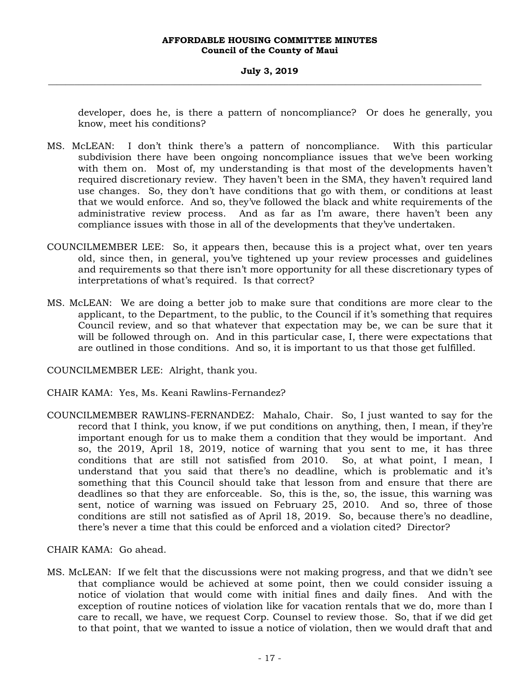## **July 3, 2019 \_\_\_\_\_\_\_\_\_\_\_\_\_\_\_\_\_\_\_\_\_\_\_\_\_\_\_\_\_\_\_\_\_\_\_\_\_\_\_\_\_\_\_\_\_\_\_\_\_\_\_\_\_\_\_\_\_\_\_\_\_\_\_\_\_\_\_\_\_\_\_\_\_\_\_\_\_\_\_\_\_\_\_\_\_\_\_\_\_\_\_\_\_\_\_\_\_\_\_**

developer, does he, is there a pattern of noncompliance? Or does he generally, you know, meet his conditions?

- MS. McLEAN: I don't think there's a pattern of noncompliance. With this particular subdivision there have been ongoing noncompliance issues that we've been working with them on. Most of, my understanding is that most of the developments haven't required discretionary review. They haven't been in the SMA, they haven't required land use changes. So, they don't have conditions that go with them, or conditions at least that we would enforce. And so, they've followed the black and white requirements of the administrative review process. And as far as I'm aware, there haven't been any compliance issues with those in all of the developments that they've undertaken.
- COUNCILMEMBER LEE: So, it appears then, because this is a project what, over ten years old, since then, in general, you've tightened up your review processes and guidelines and requirements so that there isn't more opportunity for all these discretionary types of interpretations of what's required. Is that correct?
- MS. McLEAN: We are doing a better job to make sure that conditions are more clear to the applicant, to the Department, to the public, to the Council if it's something that requires Council review, and so that whatever that expectation may be, we can be sure that it will be followed through on. And in this particular case, I, there were expectations that are outlined in those conditions. And so, it is important to us that those get fulfilled.

COUNCILMEMBER LEE: Alright, thank you.

- CHAIR KAMA: Yes, Ms. Keani Rawlins-Fernandez?
- COUNCILMEMBER RAWLINS-FERNANDEZ: Mahalo, Chair. So, I just wanted to say for the record that I think, you know, if we put conditions on anything, then, I mean, if they're important enough for us to make them a condition that they would be important. And so, the 2019, April 18, 2019, notice of warning that you sent to me, it has three conditions that are still not satisfied from 2010. So, at what point, I mean, I understand that you said that there's no deadline, which is problematic and it's something that this Council should take that lesson from and ensure that there are deadlines so that they are enforceable. So, this is the, so, the issue, this warning was sent, notice of warning was issued on February 25, 2010. And so, three of those conditions are still not satisfied as of April 18, 2019. So, because there's no deadline, there's never a time that this could be enforced and a violation cited? Director?

CHAIR KAMA: Go ahead.

MS. McLEAN: If we felt that the discussions were not making progress, and that we didn't see that compliance would be achieved at some point, then we could consider issuing a notice of violation that would come with initial fines and daily fines. And with the exception of routine notices of violation like for vacation rentals that we do, more than I care to recall, we have, we request Corp. Counsel to review those. So, that if we did get to that point, that we wanted to issue a notice of violation, then we would draft that and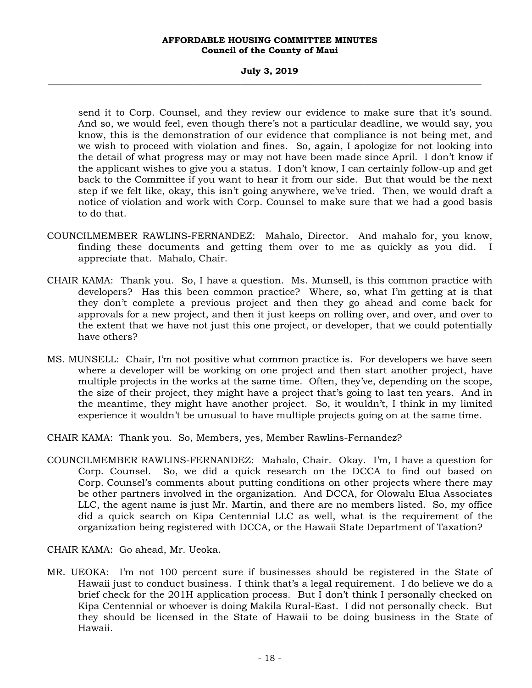## **July 3, 2019 \_\_\_\_\_\_\_\_\_\_\_\_\_\_\_\_\_\_\_\_\_\_\_\_\_\_\_\_\_\_\_\_\_\_\_\_\_\_\_\_\_\_\_\_\_\_\_\_\_\_\_\_\_\_\_\_\_\_\_\_\_\_\_\_\_\_\_\_\_\_\_\_\_\_\_\_\_\_\_\_\_\_\_\_\_\_\_\_\_\_\_\_\_\_\_\_\_\_\_**

send it to Corp. Counsel, and they review our evidence to make sure that it's sound. And so, we would feel, even though there's not a particular deadline, we would say, you know, this is the demonstration of our evidence that compliance is not being met, and we wish to proceed with violation and fines. So, again, I apologize for not looking into the detail of what progress may or may not have been made since April. I don't know if the applicant wishes to give you a status. I don't know, I can certainly follow-up and get back to the Committee if you want to hear it from our side. But that would be the next step if we felt like, okay, this isn't going anywhere, we've tried. Then, we would draft a notice of violation and work with Corp. Counsel to make sure that we had a good basis to do that.

- COUNCILMEMBER RAWLINS-FERNANDEZ: Mahalo, Director. And mahalo for, you know, finding these documents and getting them over to me as quickly as you did. I appreciate that. Mahalo, Chair.
- CHAIR KAMA: Thank you. So, I have a question. Ms. Munsell, is this common practice with developers? Has this been common practice? Where, so, what I'm getting at is that they don't complete a previous project and then they go ahead and come back for approvals for a new project, and then it just keeps on rolling over, and over, and over to the extent that we have not just this one project, or developer, that we could potentially have others?
- MS. MUNSELL: Chair, I'm not positive what common practice is. For developers we have seen where a developer will be working on one project and then start another project, have multiple projects in the works at the same time. Often, they've, depending on the scope, the size of their project, they might have a project that's going to last ten years. And in the meantime, they might have another project. So, it wouldn't, I think in my limited experience it wouldn't be unusual to have multiple projects going on at the same time.
- CHAIR KAMA: Thank you. So, Members, yes, Member Rawlins-Fernandez?
- COUNCILMEMBER RAWLINS-FERNANDEZ: Mahalo, Chair. Okay. I'm, I have a question for Corp. Counsel. So, we did a quick research on the DCCA to find out based on Corp. Counsel's comments about putting conditions on other projects where there may be other partners involved in the organization. And DCCA, for Olowalu Elua Associates LLC, the agent name is just Mr. Martin, and there are no members listed. So, my office did a quick search on Kipa Centennial LLC as well, what is the requirement of the organization being registered with DCCA, or the Hawaii State Department of Taxation?

CHAIR KAMA: Go ahead, Mr. Ueoka.

MR. UEOKA: I'm not 100 percent sure if businesses should be registered in the State of Hawaii just to conduct business. I think that's a legal requirement. I do believe we do a brief check for the 201H application process. But I don't think I personally checked on Kipa Centennial or whoever is doing Makila Rural-East. I did not personally check. But they should be licensed in the State of Hawaii to be doing business in the State of Hawaii.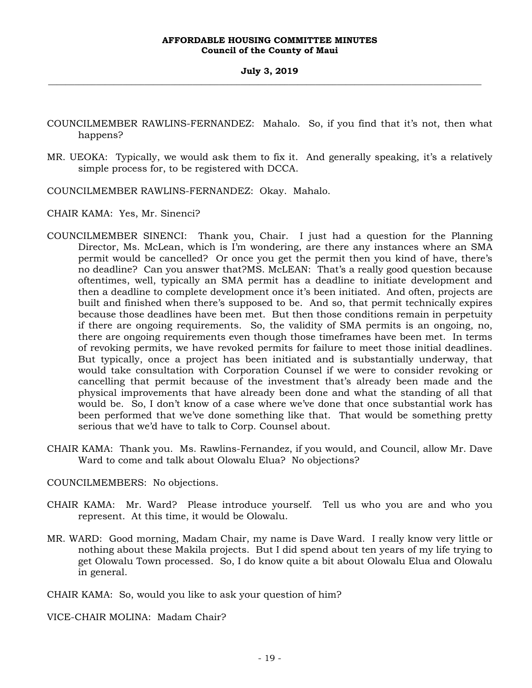- COUNCILMEMBER RAWLINS-FERNANDEZ: Mahalo. So, if you find that it's not, then what happens?
- MR. UEOKA: Typically, we would ask them to fix it. And generally speaking, it's a relatively simple process for, to be registered with DCCA.
- COUNCILMEMBER RAWLINS-FERNANDEZ: Okay. Mahalo.

CHAIR KAMA: Yes, Mr. Sinenci?

- COUNCILMEMBER SINENCI: Thank you, Chair. I just had a question for the Planning Director, Ms. McLean, which is I'm wondering, are there any instances where an SMA permit would be cancelled? Or once you get the permit then you kind of have, there's no deadline? Can you answer that?MS. McLEAN: That's a really good question because oftentimes, well, typically an SMA permit has a deadline to initiate development and then a deadline to complete development once it's been initiated. And often, projects are built and finished when there's supposed to be. And so, that permit technically expires because those deadlines have been met. But then those conditions remain in perpetuity if there are ongoing requirements. So, the validity of SMA permits is an ongoing, no, there are ongoing requirements even though those timeframes have been met. In terms of revoking permits, we have revoked permits for failure to meet those initial deadlines. But typically, once a project has been initiated and is substantially underway, that would take consultation with Corporation Counsel if we were to consider revoking or cancelling that permit because of the investment that's already been made and the physical improvements that have already been done and what the standing of all that would be. So, I don't know of a case where we've done that once substantial work has been performed that we've done something like that. That would be something pretty serious that we'd have to talk to Corp. Counsel about.
- CHAIR KAMA: Thank you. Ms. Rawlins-Fernandez, if you would, and Council, allow Mr. Dave Ward to come and talk about Olowalu Elua? No objections?

## COUNCILMEMBERS: No objections.

- CHAIR KAMA: Mr. Ward? Please introduce yourself. Tell us who you are and who you represent. At this time, it would be Olowalu.
- MR. WARD: Good morning, Madam Chair, my name is Dave Ward. I really know very little or nothing about these Makila projects. But I did spend about ten years of my life trying to get Olowalu Town processed. So, I do know quite a bit about Olowalu Elua and Olowalu in general.

CHAIR KAMA: So, would you like to ask your question of him?

VICE-CHAIR MOLINA: Madam Chair?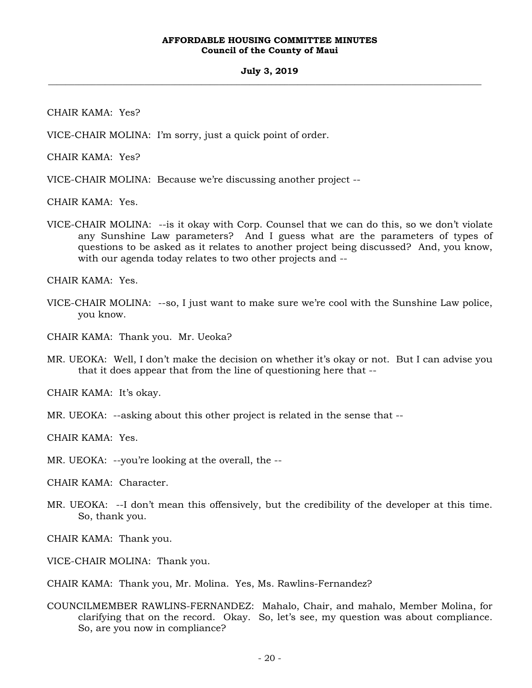CHAIR KAMA: Yes?

VICE-CHAIR MOLINA: I'm sorry, just a quick point of order.

CHAIR KAMA: Yes?

VICE-CHAIR MOLINA: Because we're discussing another project --

CHAIR KAMA: Yes.

VICE-CHAIR MOLINA: --is it okay with Corp. Counsel that we can do this, so we don't violate any Sunshine Law parameters? And I guess what are the parameters of types of questions to be asked as it relates to another project being discussed? And, you know, with our agenda today relates to two other projects and --

CHAIR KAMA: Yes.

VICE-CHAIR MOLINA: --so, I just want to make sure we're cool with the Sunshine Law police, you know.

CHAIR KAMA: Thank you. Mr. Ueoka?

MR. UEOKA: Well, I don't make the decision on whether it's okay or not. But I can advise you that it does appear that from the line of questioning here that --

CHAIR KAMA: It's okay.

MR. UEOKA: --asking about this other project is related in the sense that --

CHAIR KAMA: Yes.

MR. UEOKA: --you're looking at the overall, the --

CHAIR KAMA: Character.

MR. UEOKA: --I don't mean this offensively, but the credibility of the developer at this time. So, thank you.

CHAIR KAMA: Thank you.

VICE-CHAIR MOLINA: Thank you.

CHAIR KAMA: Thank you, Mr. Molina. Yes, Ms. Rawlins-Fernandez?

COUNCILMEMBER RAWLINS-FERNANDEZ: Mahalo, Chair, and mahalo, Member Molina, for clarifying that on the record. Okay. So, let's see, my question was about compliance. So, are you now in compliance?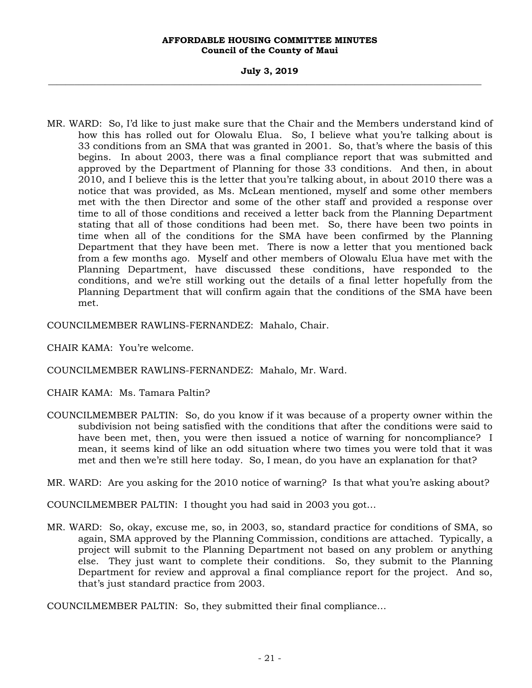## **July 3, 2019 \_\_\_\_\_\_\_\_\_\_\_\_\_\_\_\_\_\_\_\_\_\_\_\_\_\_\_\_\_\_\_\_\_\_\_\_\_\_\_\_\_\_\_\_\_\_\_\_\_\_\_\_\_\_\_\_\_\_\_\_\_\_\_\_\_\_\_\_\_\_\_\_\_\_\_\_\_\_\_\_\_\_\_\_\_\_\_\_\_\_\_\_\_\_\_\_\_\_\_**

MR. WARD: So, I'd like to just make sure that the Chair and the Members understand kind of how this has rolled out for Olowalu Elua. So, I believe what you're talking about is 33 conditions from an SMA that was granted in 2001. So, that's where the basis of this begins. In about 2003, there was a final compliance report that was submitted and approved by the Department of Planning for those 33 conditions. And then, in about 2010, and I believe this is the letter that you're talking about, in about 2010 there was a notice that was provided, as Ms. McLean mentioned, myself and some other members met with the then Director and some of the other staff and provided a response over time to all of those conditions and received a letter back from the Planning Department stating that all of those conditions had been met. So, there have been two points in time when all of the conditions for the SMA have been confirmed by the Planning Department that they have been met. There is now a letter that you mentioned back from a few months ago. Myself and other members of Olowalu Elua have met with the Planning Department, have discussed these conditions, have responded to the conditions, and we're still working out the details of a final letter hopefully from the Planning Department that will confirm again that the conditions of the SMA have been met.

COUNCILMEMBER RAWLINS-FERNANDEZ: Mahalo, Chair.

CHAIR KAMA: You're welcome.

COUNCILMEMBER RAWLINS-FERNANDEZ: Mahalo, Mr. Ward.

CHAIR KAMA: Ms. Tamara Paltin?

COUNCILMEMBER PALTIN: So, do you know if it was because of a property owner within the subdivision not being satisfied with the conditions that after the conditions were said to have been met, then, you were then issued a notice of warning for noncompliance? I mean, it seems kind of like an odd situation where two times you were told that it was met and then we're still here today. So, I mean, do you have an explanation for that?

MR. WARD: Are you asking for the 2010 notice of warning? Is that what you're asking about?

COUNCILMEMBER PALTIN: I thought you had said in 2003 you got…

MR. WARD: So, okay, excuse me, so, in 2003, so, standard practice for conditions of SMA, so again, SMA approved by the Planning Commission, conditions are attached. Typically, a project will submit to the Planning Department not based on any problem or anything else. They just want to complete their conditions. So, they submit to the Planning Department for review and approval a final compliance report for the project. And so, that's just standard practice from 2003.

COUNCILMEMBER PALTIN: So, they submitted their final compliance…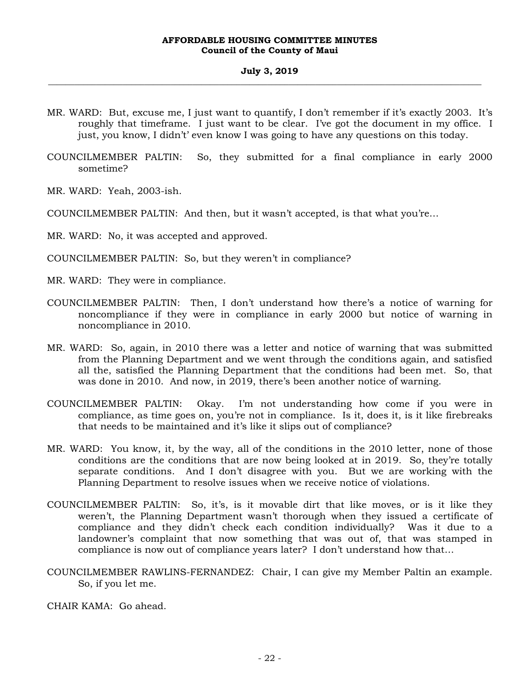- MR. WARD: But, excuse me, I just want to quantify, I don't remember if it's exactly 2003. It's roughly that timeframe. I just want to be clear. I've got the document in my office. I just, you know, I didn't' even know I was going to have any questions on this today.
- COUNCILMEMBER PALTIN: So, they submitted for a final compliance in early 2000 sometime?
- MR. WARD: Yeah, 2003-ish.
- COUNCILMEMBER PALTIN: And then, but it wasn't accepted, is that what you're…
- MR. WARD: No, it was accepted and approved.
- COUNCILMEMBER PALTIN: So, but they weren't in compliance?
- MR. WARD: They were in compliance.
- COUNCILMEMBER PALTIN: Then, I don't understand how there's a notice of warning for noncompliance if they were in compliance in early 2000 but notice of warning in noncompliance in 2010.
- MR. WARD: So, again, in 2010 there was a letter and notice of warning that was submitted from the Planning Department and we went through the conditions again, and satisfied all the, satisfied the Planning Department that the conditions had been met. So, that was done in 2010. And now, in 2019, there's been another notice of warning.
- COUNCILMEMBER PALTIN: Okay. I'm not understanding how come if you were in compliance, as time goes on, you're not in compliance. Is it, does it, is it like firebreaks that needs to be maintained and it's like it slips out of compliance?
- MR. WARD: You know, it, by the way, all of the conditions in the 2010 letter, none of those conditions are the conditions that are now being looked at in 2019. So, they're totally separate conditions. And I don't disagree with you. But we are working with the Planning Department to resolve issues when we receive notice of violations.
- COUNCILMEMBER PALTIN: So, it's, is it movable dirt that like moves, or is it like they weren't, the Planning Department wasn't thorough when they issued a certificate of compliance and they didn't check each condition individually? Was it due to a landowner's complaint that now something that was out of, that was stamped in compliance is now out of compliance years later? I don't understand how that…
- COUNCILMEMBER RAWLINS-FERNANDEZ: Chair, I can give my Member Paltin an example. So, if you let me.

CHAIR KAMA: Go ahead.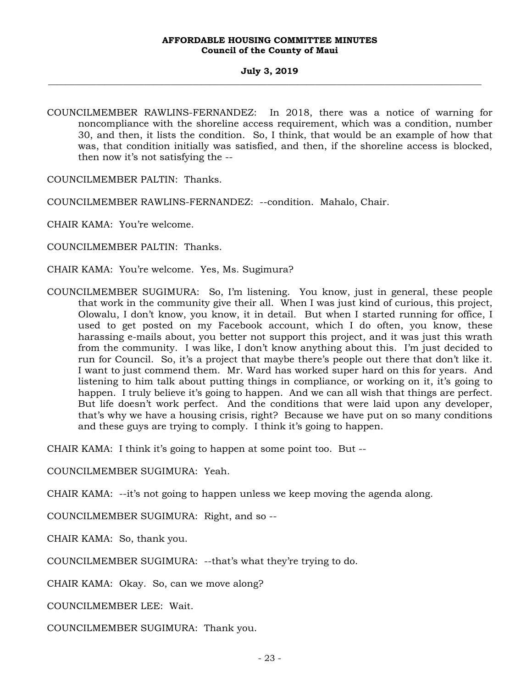COUNCILMEMBER RAWLINS-FERNANDEZ: In 2018, there was a notice of warning for noncompliance with the shoreline access requirement, which was a condition, number 30, and then, it lists the condition. So, I think, that would be an example of how that was, that condition initially was satisfied, and then, if the shoreline access is blocked, then now it's not satisfying the --

COUNCILMEMBER PALTIN: Thanks.

COUNCILMEMBER RAWLINS-FERNANDEZ: --condition. Mahalo, Chair.

CHAIR KAMA: You're welcome.

COUNCILMEMBER PALTIN: Thanks.

CHAIR KAMA: You're welcome. Yes, Ms. Sugimura?

COUNCILMEMBER SUGIMURA: So, I'm listening. You know, just in general, these people that work in the community give their all. When I was just kind of curious, this project, Olowalu, I don't know, you know, it in detail. But when I started running for office, I used to get posted on my Facebook account, which I do often, you know, these harassing e-mails about, you better not support this project, and it was just this wrath from the community. I was like, I don't know anything about this. I'm just decided to run for Council. So, it's a project that maybe there's people out there that don't like it. I want to just commend them. Mr. Ward has worked super hard on this for years. And listening to him talk about putting things in compliance, or working on it, it's going to happen. I truly believe it's going to happen. And we can all wish that things are perfect. But life doesn't work perfect. And the conditions that were laid upon any developer, that's why we have a housing crisis, right? Because we have put on so many conditions and these guys are trying to comply. I think it's going to happen.

CHAIR KAMA: I think it's going to happen at some point too. But --

COUNCILMEMBER SUGIMURA: Yeah.

CHAIR KAMA: --it's not going to happen unless we keep moving the agenda along.

COUNCILMEMBER SUGIMURA: Right, and so --

CHAIR KAMA: So, thank you.

COUNCILMEMBER SUGIMURA: --that's what they're trying to do.

CHAIR KAMA: Okay. So, can we move along?

COUNCILMEMBER LEE: Wait.

COUNCILMEMBER SUGIMURA: Thank you.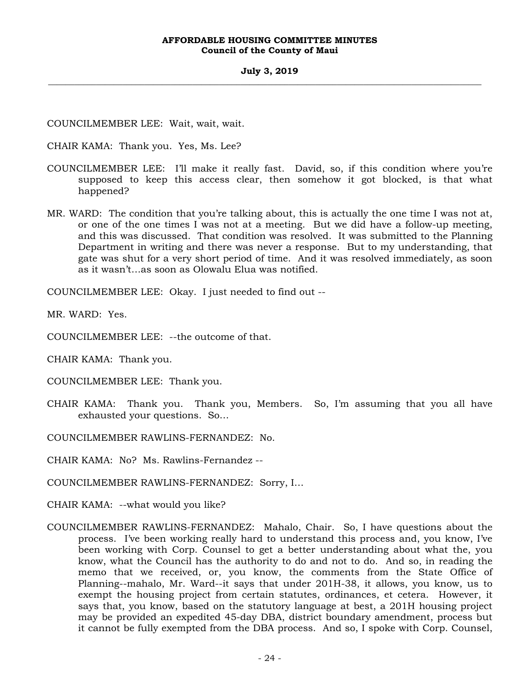## **July 3, 2019 \_\_\_\_\_\_\_\_\_\_\_\_\_\_\_\_\_\_\_\_\_\_\_\_\_\_\_\_\_\_\_\_\_\_\_\_\_\_\_\_\_\_\_\_\_\_\_\_\_\_\_\_\_\_\_\_\_\_\_\_\_\_\_\_\_\_\_\_\_\_\_\_\_\_\_\_\_\_\_\_\_\_\_\_\_\_\_\_\_\_\_\_\_\_\_\_\_\_\_**

COUNCILMEMBER LEE: Wait, wait, wait.

CHAIR KAMA: Thank you. Yes, Ms. Lee?

- COUNCILMEMBER LEE: I'll make it really fast. David, so, if this condition where you're supposed to keep this access clear, then somehow it got blocked, is that what happened?
- MR. WARD: The condition that you're talking about, this is actually the one time I was not at, or one of the one times I was not at a meeting. But we did have a follow-up meeting, and this was discussed. That condition was resolved. It was submitted to the Planning Department in writing and there was never a response. But to my understanding, that gate was shut for a very short period of time. And it was resolved immediately, as soon as it wasn't…as soon as Olowalu Elua was notified.

COUNCILMEMBER LEE: Okay. I just needed to find out --

MR. WARD: Yes.

COUNCILMEMBER LEE: --the outcome of that.

CHAIR KAMA: Thank you.

COUNCILMEMBER LEE: Thank you.

CHAIR KAMA: Thank you. Thank you, Members. So, I'm assuming that you all have exhausted your questions. So…

COUNCILMEMBER RAWLINS-FERNANDEZ: No.

CHAIR KAMA: No? Ms. Rawlins-Fernandez --

- COUNCILMEMBER RAWLINS-FERNANDEZ: Sorry, I…
- CHAIR KAMA: --what would you like?
- COUNCILMEMBER RAWLINS-FERNANDEZ: Mahalo, Chair. So, I have questions about the process. I've been working really hard to understand this process and, you know, I've been working with Corp. Counsel to get a better understanding about what the, you know, what the Council has the authority to do and not to do. And so, in reading the memo that we received, or, you know, the comments from the State Office of Planning--mahalo, Mr. Ward--it says that under 201H-38, it allows, you know, us to exempt the housing project from certain statutes, ordinances, et cetera. However, it says that, you know, based on the statutory language at best, a 201H housing project may be provided an expedited 45-day DBA, district boundary amendment, process but it cannot be fully exempted from the DBA process. And so, I spoke with Corp. Counsel,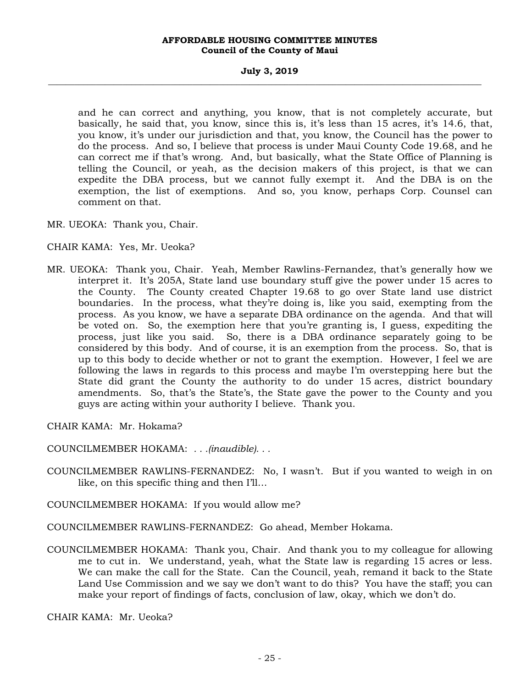## **July 3, 2019 \_\_\_\_\_\_\_\_\_\_\_\_\_\_\_\_\_\_\_\_\_\_\_\_\_\_\_\_\_\_\_\_\_\_\_\_\_\_\_\_\_\_\_\_\_\_\_\_\_\_\_\_\_\_\_\_\_\_\_\_\_\_\_\_\_\_\_\_\_\_\_\_\_\_\_\_\_\_\_\_\_\_\_\_\_\_\_\_\_\_\_\_\_\_\_\_\_\_\_**

and he can correct and anything, you know, that is not completely accurate, but basically, he said that, you know, since this is, it's less than 15 acres, it's 14.6, that, you know, it's under our jurisdiction and that, you know, the Council has the power to do the process. And so, I believe that process is under Maui County Code 19.68, and he can correct me if that's wrong. And, but basically, what the State Office of Planning is telling the Council, or yeah, as the decision makers of this project, is that we can expedite the DBA process, but we cannot fully exempt it. And the DBA is on the exemption, the list of exemptions. And so, you know, perhaps Corp. Counsel can comment on that.

MR. UEOKA: Thank you, Chair.

## CHAIR KAMA: Yes, Mr. Ueoka?

MR. UEOKA: Thank you, Chair. Yeah, Member Rawlins-Fernandez, that's generally how we interpret it. It's 205A, State land use boundary stuff give the power under 15 acres to the County. The County created Chapter 19.68 to go over State land use district boundaries. In the process, what they're doing is, like you said, exempting from the process. As you know, we have a separate DBA ordinance on the agenda. And that will be voted on. So, the exemption here that you're granting is, I guess, expediting the process, just like you said. So, there is a DBA ordinance separately going to be considered by this body. And of course, it is an exemption from the process. So, that is up to this body to decide whether or not to grant the exemption. However, I feel we are following the laws in regards to this process and maybe I'm overstepping here but the State did grant the County the authority to do under 15 acres, district boundary amendments. So, that's the State's, the State gave the power to the County and you guys are acting within your authority I believe. Thank you.

CHAIR KAMA: Mr. Hokama?

COUNCILMEMBER HOKAMA: *. . .(inaudible). . .*

- COUNCILMEMBER RAWLINS-FERNANDEZ: No, I wasn't. But if you wanted to weigh in on like, on this specific thing and then I'll…
- COUNCILMEMBER HOKAMA: If you would allow me?
- COUNCILMEMBER RAWLINS-FERNANDEZ: Go ahead, Member Hokama.
- COUNCILMEMBER HOKAMA: Thank you, Chair. And thank you to my colleague for allowing me to cut in. We understand, yeah, what the State law is regarding 15 acres or less. We can make the call for the State. Can the Council, yeah, remand it back to the State Land Use Commission and we say we don't want to do this? You have the staff; you can make your report of findings of facts, conclusion of law, okay, which we don't do.

CHAIR KAMA: Mr. Ueoka?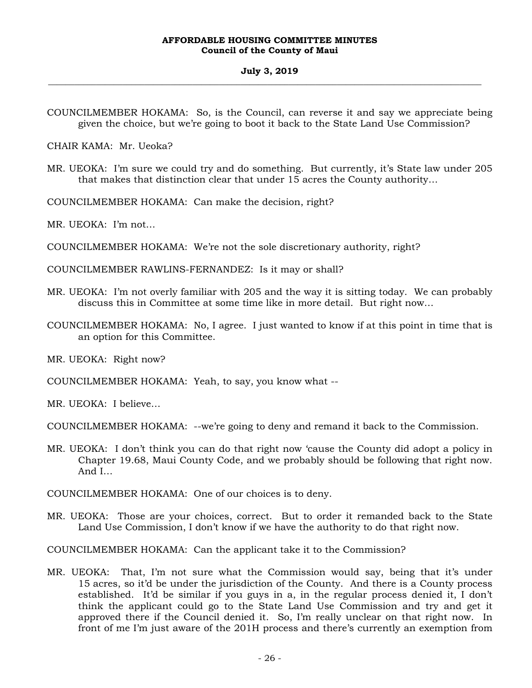COUNCILMEMBER HOKAMA: So, is the Council, can reverse it and say we appreciate being given the choice, but we're going to boot it back to the State Land Use Commission?

CHAIR KAMA: Mr. Ueoka?

MR. UEOKA: I'm sure we could try and do something. But currently, it's State law under 205 that makes that distinction clear that under 15 acres the County authority…

COUNCILMEMBER HOKAMA: Can make the decision, right?

MR. UEOKA: I'm not…

COUNCILMEMBER HOKAMA: We're not the sole discretionary authority, right?

COUNCILMEMBER RAWLINS-FERNANDEZ: Is it may or shall?

- MR. UEOKA: I'm not overly familiar with 205 and the way it is sitting today. We can probably discuss this in Committee at some time like in more detail. But right now…
- COUNCILMEMBER HOKAMA: No, I agree. I just wanted to know if at this point in time that is an option for this Committee.

MR. UEOKA: Right now?

COUNCILMEMBER HOKAMA: Yeah, to say, you know what --

MR. UEOKA: I believe…

COUNCILMEMBER HOKAMA: --we're going to deny and remand it back to the Commission.

MR. UEOKA: I don't think you can do that right now 'cause the County did adopt a policy in Chapter 19.68, Maui County Code, and we probably should be following that right now. And I…

COUNCILMEMBER HOKAMA: One of our choices is to deny.

MR. UEOKA: Those are your choices, correct. But to order it remanded back to the State Land Use Commission, I don't know if we have the authority to do that right now.

COUNCILMEMBER HOKAMA: Can the applicant take it to the Commission?

MR. UEOKA: That, I'm not sure what the Commission would say, being that it's under 15 acres, so it'd be under the jurisdiction of the County. And there is a County process established. It'd be similar if you guys in a, in the regular process denied it, I don't think the applicant could go to the State Land Use Commission and try and get it approved there if the Council denied it. So, I'm really unclear on that right now. In front of me I'm just aware of the 201H process and there's currently an exemption from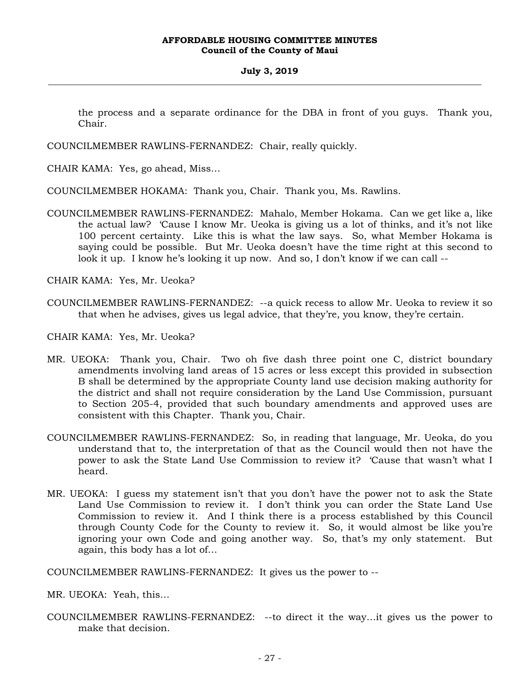the process and a separate ordinance for the DBA in front of you guys. Thank you, Chair.

COUNCILMEMBER RAWLINS-FERNANDEZ: Chair, really quickly.

CHAIR KAMA: Yes, go ahead, Miss…

COUNCILMEMBER HOKAMA: Thank you, Chair. Thank you, Ms. Rawlins.

COUNCILMEMBER RAWLINS-FERNANDEZ: Mahalo, Member Hokama. Can we get like a, like the actual law? 'Cause I know Mr. Ueoka is giving us a lot of thinks, and it's not like 100 percent certainty. Like this is what the law says. So, what Member Hokama is saying could be possible. But Mr. Ueoka doesn't have the time right at this second to look it up. I know he's looking it up now. And so, I don't know if we can call --

CHAIR KAMA: Yes, Mr. Ueoka?

COUNCILMEMBER RAWLINS-FERNANDEZ: --a quick recess to allow Mr. Ueoka to review it so that when he advises, gives us legal advice, that they're, you know, they're certain.

CHAIR KAMA: Yes, Mr. Ueoka?

- MR. UEOKA: Thank you, Chair. Two oh five dash three point one C, district boundary amendments involving land areas of 15 acres or less except this provided in subsection B shall be determined by the appropriate County land use decision making authority for the district and shall not require consideration by the Land Use Commission, pursuant to Section 205-4, provided that such boundary amendments and approved uses are consistent with this Chapter. Thank you, Chair.
- COUNCILMEMBER RAWLINS-FERNANDEZ: So, in reading that language, Mr. Ueoka, do you understand that to, the interpretation of that as the Council would then not have the power to ask the State Land Use Commission to review it? 'Cause that wasn't what I heard.
- MR. UEOKA: I guess my statement isn't that you don't have the power not to ask the State Land Use Commission to review it. I don't think you can order the State Land Use Commission to review it. And I think there is a process established by this Council through County Code for the County to review it. So, it would almost be like you're ignoring your own Code and going another way. So, that's my only statement. But again, this body has a lot of…

COUNCILMEMBER RAWLINS-FERNANDEZ: It gives us the power to --

MR. UEOKA: Yeah, this…

COUNCILMEMBER RAWLINS-FERNANDEZ: --to direct it the way…it gives us the power to make that decision.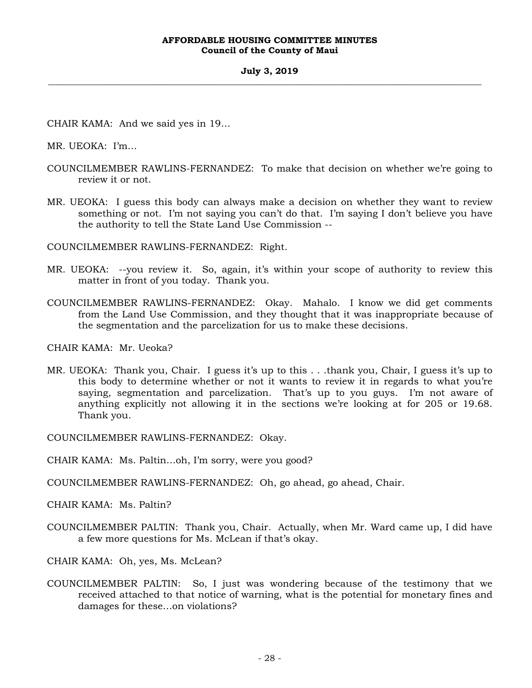## **July 3, 2019 \_\_\_\_\_\_\_\_\_\_\_\_\_\_\_\_\_\_\_\_\_\_\_\_\_\_\_\_\_\_\_\_\_\_\_\_\_\_\_\_\_\_\_\_\_\_\_\_\_\_\_\_\_\_\_\_\_\_\_\_\_\_\_\_\_\_\_\_\_\_\_\_\_\_\_\_\_\_\_\_\_\_\_\_\_\_\_\_\_\_\_\_\_\_\_\_\_\_\_**

CHAIR KAMA: And we said yes in 19…

MR. UEOKA: I'm…

- COUNCILMEMBER RAWLINS-FERNANDEZ: To make that decision on whether we're going to review it or not.
- MR. UEOKA: I guess this body can always make a decision on whether they want to review something or not. I'm not saying you can't do that. I'm saying I don't believe you have the authority to tell the State Land Use Commission --

COUNCILMEMBER RAWLINS-FERNANDEZ: Right.

- MR. UEOKA: --you review it. So, again, it's within your scope of authority to review this matter in front of you today. Thank you.
- COUNCILMEMBER RAWLINS-FERNANDEZ: Okay. Mahalo. I know we did get comments from the Land Use Commission, and they thought that it was inappropriate because of the segmentation and the parcelization for us to make these decisions.

CHAIR KAMA: Mr. Ueoka?

MR. UEOKA: Thank you, Chair. I guess it's up to this . . .thank you, Chair, I guess it's up to this body to determine whether or not it wants to review it in regards to what you're saying, segmentation and parcelization. That's up to you guys. I'm not aware of anything explicitly not allowing it in the sections we're looking at for 205 or 19.68. Thank you.

COUNCILMEMBER RAWLINS-FERNANDEZ: Okay.

- CHAIR KAMA: Ms. Paltin…oh, I'm sorry, were you good?
- COUNCILMEMBER RAWLINS-FERNANDEZ: Oh, go ahead, go ahead, Chair.

CHAIR KAMA: Ms. Paltin?

- COUNCILMEMBER PALTIN: Thank you, Chair. Actually, when Mr. Ward came up, I did have a few more questions for Ms. McLean if that's okay.
- CHAIR KAMA: Oh, yes, Ms. McLean?
- COUNCILMEMBER PALTIN: So, I just was wondering because of the testimony that we received attached to that notice of warning, what is the potential for monetary fines and damages for these…on violations?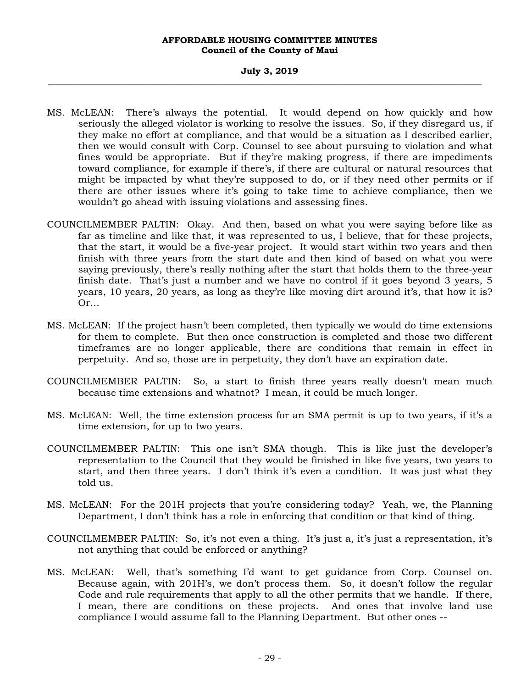## **July 3, 2019 \_\_\_\_\_\_\_\_\_\_\_\_\_\_\_\_\_\_\_\_\_\_\_\_\_\_\_\_\_\_\_\_\_\_\_\_\_\_\_\_\_\_\_\_\_\_\_\_\_\_\_\_\_\_\_\_\_\_\_\_\_\_\_\_\_\_\_\_\_\_\_\_\_\_\_\_\_\_\_\_\_\_\_\_\_\_\_\_\_\_\_\_\_\_\_\_\_\_\_**

- MS. McLEAN: There's always the potential. It would depend on how quickly and how seriously the alleged violator is working to resolve the issues. So, if they disregard us, if they make no effort at compliance, and that would be a situation as I described earlier, then we would consult with Corp. Counsel to see about pursuing to violation and what fines would be appropriate. But if they're making progress, if there are impediments toward compliance, for example if there's, if there are cultural or natural resources that might be impacted by what they're supposed to do, or if they need other permits or if there are other issues where it's going to take time to achieve compliance, then we wouldn't go ahead with issuing violations and assessing fines.
- COUNCILMEMBER PALTIN: Okay. And then, based on what you were saying before like as far as timeline and like that, it was represented to us, I believe, that for these projects, that the start, it would be a five-year project. It would start within two years and then finish with three years from the start date and then kind of based on what you were saying previously, there's really nothing after the start that holds them to the three-year finish date. That's just a number and we have no control if it goes beyond 3 years, 5 years, 10 years, 20 years, as long as they're like moving dirt around it's, that how it is? Or…
- MS. McLEAN: If the project hasn't been completed, then typically we would do time extensions for them to complete. But then once construction is completed and those two different timeframes are no longer applicable, there are conditions that remain in effect in perpetuity. And so, those are in perpetuity, they don't have an expiration date.
- COUNCILMEMBER PALTIN: So, a start to finish three years really doesn't mean much because time extensions and whatnot? I mean, it could be much longer.
- MS. McLEAN: Well, the time extension process for an SMA permit is up to two years, if it's a time extension, for up to two years.
- COUNCILMEMBER PALTIN: This one isn't SMA though. This is like just the developer's representation to the Council that they would be finished in like five years, two years to start, and then three years. I don't think it's even a condition. It was just what they told us.
- MS. McLEAN: For the 201H projects that you're considering today? Yeah, we, the Planning Department, I don't think has a role in enforcing that condition or that kind of thing.
- COUNCILMEMBER PALTIN: So, it's not even a thing. It's just a, it's just a representation, it's not anything that could be enforced or anything?
- MS. McLEAN: Well, that's something I'd want to get guidance from Corp. Counsel on. Because again, with 201H's, we don't process them. So, it doesn't follow the regular Code and rule requirements that apply to all the other permits that we handle. If there, I mean, there are conditions on these projects. And ones that involve land use compliance I would assume fall to the Planning Department. But other ones --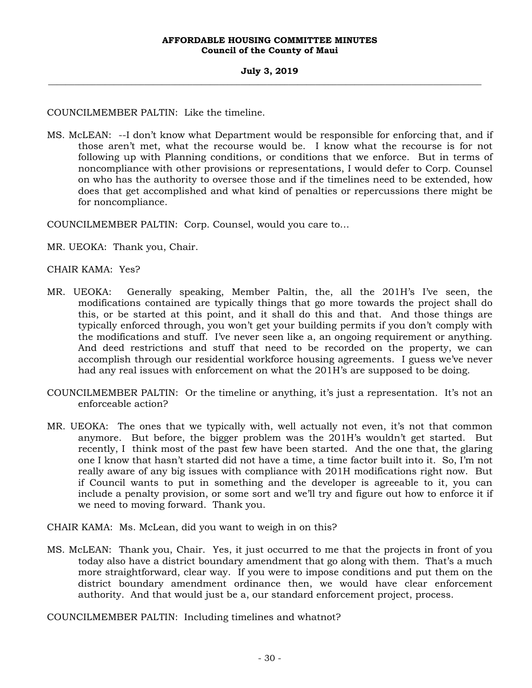COUNCILMEMBER PALTIN: Like the timeline.

MS. McLEAN: --I don't know what Department would be responsible for enforcing that, and if those aren't met, what the recourse would be. I know what the recourse is for not following up with Planning conditions, or conditions that we enforce. But in terms of noncompliance with other provisions or representations, I would defer to Corp. Counsel on who has the authority to oversee those and if the timelines need to be extended, how does that get accomplished and what kind of penalties or repercussions there might be for noncompliance.

COUNCILMEMBER PALTIN: Corp. Counsel, would you care to…

MR. UEOKA: Thank you, Chair.

CHAIR KAMA: Yes?

- MR. UEOKA: Generally speaking, Member Paltin, the, all the 201H's I've seen, the modifications contained are typically things that go more towards the project shall do this, or be started at this point, and it shall do this and that. And those things are typically enforced through, you won't get your building permits if you don't comply with the modifications and stuff. I've never seen like a, an ongoing requirement or anything. And deed restrictions and stuff that need to be recorded on the property, we can accomplish through our residential workforce housing agreements. I guess we've never had any real issues with enforcement on what the 201H's are supposed to be doing.
- COUNCILMEMBER PALTIN: Or the timeline or anything, it's just a representation. It's not an enforceable action?
- MR. UEOKA: The ones that we typically with, well actually not even, it's not that common anymore. But before, the bigger problem was the 201H's wouldn't get started. But recently, I think most of the past few have been started. And the one that, the glaring one I know that hasn't started did not have a time, a time factor built into it. So, I'm not really aware of any big issues with compliance with 201H modifications right now. But if Council wants to put in something and the developer is agreeable to it, you can include a penalty provision, or some sort and we'll try and figure out how to enforce it if we need to moving forward. Thank you.

CHAIR KAMA: Ms. McLean, did you want to weigh in on this?

MS. McLEAN: Thank you, Chair. Yes, it just occurred to me that the projects in front of you today also have a district boundary amendment that go along with them. That's a much more straightforward, clear way. If you were to impose conditions and put them on the district boundary amendment ordinance then, we would have clear enforcement authority. And that would just be a, our standard enforcement project, process.

COUNCILMEMBER PALTIN: Including timelines and whatnot?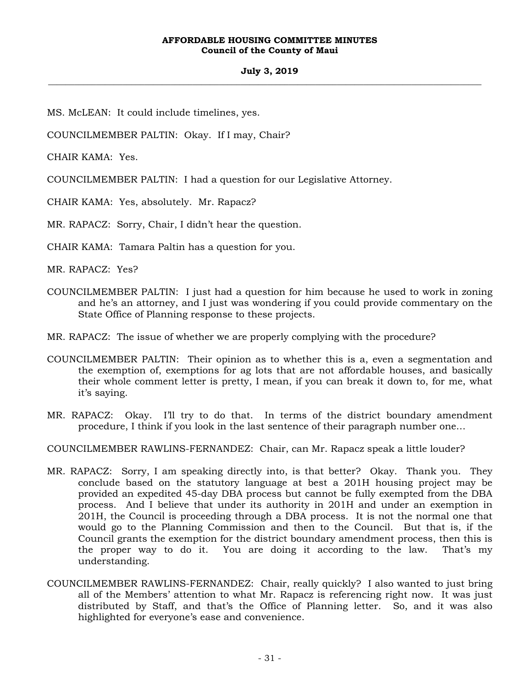## **July 3, 2019 \_\_\_\_\_\_\_\_\_\_\_\_\_\_\_\_\_\_\_\_\_\_\_\_\_\_\_\_\_\_\_\_\_\_\_\_\_\_\_\_\_\_\_\_\_\_\_\_\_\_\_\_\_\_\_\_\_\_\_\_\_\_\_\_\_\_\_\_\_\_\_\_\_\_\_\_\_\_\_\_\_\_\_\_\_\_\_\_\_\_\_\_\_\_\_\_\_\_\_**

MS. McLEAN: It could include timelines, yes.

COUNCILMEMBER PALTIN: Okay. If I may, Chair?

CHAIR KAMA: Yes.

COUNCILMEMBER PALTIN: I had a question for our Legislative Attorney.

CHAIR KAMA: Yes, absolutely. Mr. Rapacz?

MR. RAPACZ: Sorry, Chair, I didn't hear the question.

CHAIR KAMA: Tamara Paltin has a question for you.

MR. RAPACZ: Yes?

COUNCILMEMBER PALTIN: I just had a question for him because he used to work in zoning and he's an attorney, and I just was wondering if you could provide commentary on the State Office of Planning response to these projects.

MR. RAPACZ: The issue of whether we are properly complying with the procedure?

- COUNCILMEMBER PALTIN: Their opinion as to whether this is a, even a segmentation and the exemption of, exemptions for ag lots that are not affordable houses, and basically their whole comment letter is pretty, I mean, if you can break it down to, for me, what it's saying.
- MR. RAPACZ: Okay. I'll try to do that. In terms of the district boundary amendment procedure, I think if you look in the last sentence of their paragraph number one…

COUNCILMEMBER RAWLINS-FERNANDEZ: Chair, can Mr. Rapacz speak a little louder?

- MR. RAPACZ: Sorry, I am speaking directly into, is that better? Okay. Thank you. They conclude based on the statutory language at best a 201H housing project may be provided an expedited 45-day DBA process but cannot be fully exempted from the DBA process. And I believe that under its authority in 201H and under an exemption in 201H, the Council is proceeding through a DBA process. It is not the normal one that would go to the Planning Commission and then to the Council. But that is, if the Council grants the exemption for the district boundary amendment process, then this is the proper way to do it. You are doing it according to the law. That's my understanding.
- COUNCILMEMBER RAWLINS-FERNANDEZ: Chair, really quickly? I also wanted to just bring all of the Members' attention to what Mr. Rapacz is referencing right now. It was just distributed by Staff, and that's the Office of Planning letter. So, and it was also highlighted for everyone's ease and convenience.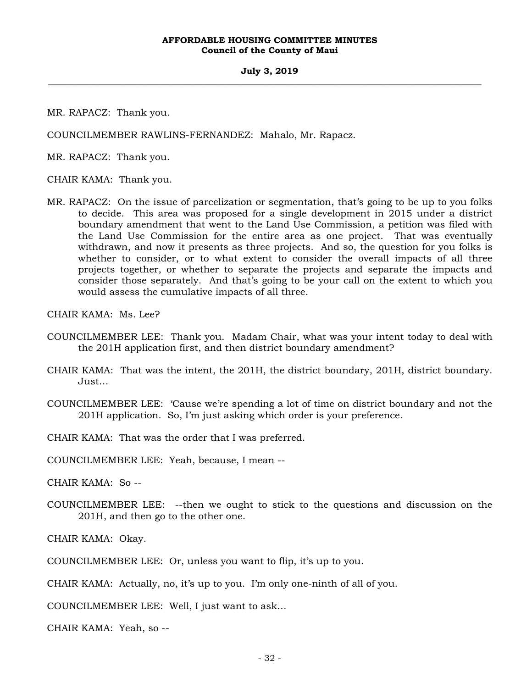## **July 3, 2019 \_\_\_\_\_\_\_\_\_\_\_\_\_\_\_\_\_\_\_\_\_\_\_\_\_\_\_\_\_\_\_\_\_\_\_\_\_\_\_\_\_\_\_\_\_\_\_\_\_\_\_\_\_\_\_\_\_\_\_\_\_\_\_\_\_\_\_\_\_\_\_\_\_\_\_\_\_\_\_\_\_\_\_\_\_\_\_\_\_\_\_\_\_\_\_\_\_\_\_**

MR. RAPACZ: Thank you.

COUNCILMEMBER RAWLINS-FERNANDEZ: Mahalo, Mr. Rapacz.

MR. RAPACZ: Thank you.

CHAIR KAMA: Thank you.

MR. RAPACZ: On the issue of parcelization or segmentation, that's going to be up to you folks to decide. This area was proposed for a single development in 2015 under a district boundary amendment that went to the Land Use Commission, a petition was filed with the Land Use Commission for the entire area as one project. That was eventually withdrawn, and now it presents as three projects. And so, the question for you folks is whether to consider, or to what extent to consider the overall impacts of all three projects together, or whether to separate the projects and separate the impacts and consider those separately. And that's going to be your call on the extent to which you would assess the cumulative impacts of all three.

CHAIR KAMA: Ms. Lee?

- COUNCILMEMBER LEE: Thank you. Madam Chair, what was your intent today to deal with the 201H application first, and then district boundary amendment?
- CHAIR KAMA: That was the intent, the 201H, the district boundary, 201H, district boundary. Just…
- COUNCILMEMBER LEE: 'Cause we're spending a lot of time on district boundary and not the 201H application. So, I'm just asking which order is your preference.

CHAIR KAMA: That was the order that I was preferred.

COUNCILMEMBER LEE: Yeah, because, I mean --

CHAIR KAMA: So --

COUNCILMEMBER LEE: --then we ought to stick to the questions and discussion on the 201H, and then go to the other one.

CHAIR KAMA: Okay.

COUNCILMEMBER LEE: Or, unless you want to flip, it's up to you.

CHAIR KAMA: Actually, no, it's up to you. I'm only one-ninth of all of you.

COUNCILMEMBER LEE: Well, I just want to ask…

CHAIR KAMA: Yeah, so --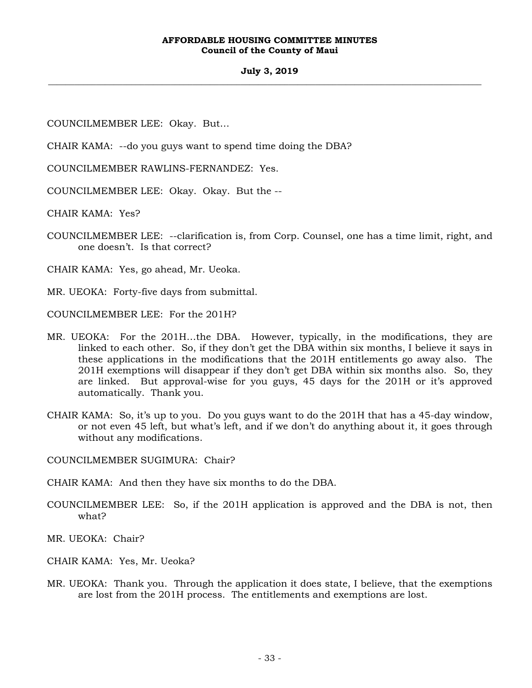## **July 3, 2019 \_\_\_\_\_\_\_\_\_\_\_\_\_\_\_\_\_\_\_\_\_\_\_\_\_\_\_\_\_\_\_\_\_\_\_\_\_\_\_\_\_\_\_\_\_\_\_\_\_\_\_\_\_\_\_\_\_\_\_\_\_\_\_\_\_\_\_\_\_\_\_\_\_\_\_\_\_\_\_\_\_\_\_\_\_\_\_\_\_\_\_\_\_\_\_\_\_\_\_**

COUNCILMEMBER LEE: Okay. But…

CHAIR KAMA: --do you guys want to spend time doing the DBA?

COUNCILMEMBER RAWLINS-FERNANDEZ: Yes.

COUNCILMEMBER LEE: Okay. Okay. But the --

CHAIR KAMA: Yes?

COUNCILMEMBER LEE: --clarification is, from Corp. Counsel, one has a time limit, right, and one doesn't. Is that correct?

CHAIR KAMA: Yes, go ahead, Mr. Ueoka.

MR. UEOKA: Forty-five days from submittal.

COUNCILMEMBER LEE: For the 201H?

- MR. UEOKA: For the 201H…the DBA. However, typically, in the modifications, they are linked to each other. So, if they don't get the DBA within six months, I believe it says in these applications in the modifications that the 201H entitlements go away also. The 201H exemptions will disappear if they don't get DBA within six months also. So, they are linked. But approval-wise for you guys, 45 days for the 201H or it's approved automatically. Thank you.
- CHAIR KAMA: So, it's up to you. Do you guys want to do the 201H that has a 45-day window, or not even 45 left, but what's left, and if we don't do anything about it, it goes through without any modifications.

COUNCILMEMBER SUGIMURA: Chair?

CHAIR KAMA: And then they have six months to do the DBA.

COUNCILMEMBER LEE: So, if the 201H application is approved and the DBA is not, then what?

MR. UEOKA: Chair?

- CHAIR KAMA: Yes, Mr. Ueoka?
- MR. UEOKA: Thank you. Through the application it does state, I believe, that the exemptions are lost from the 201H process. The entitlements and exemptions are lost.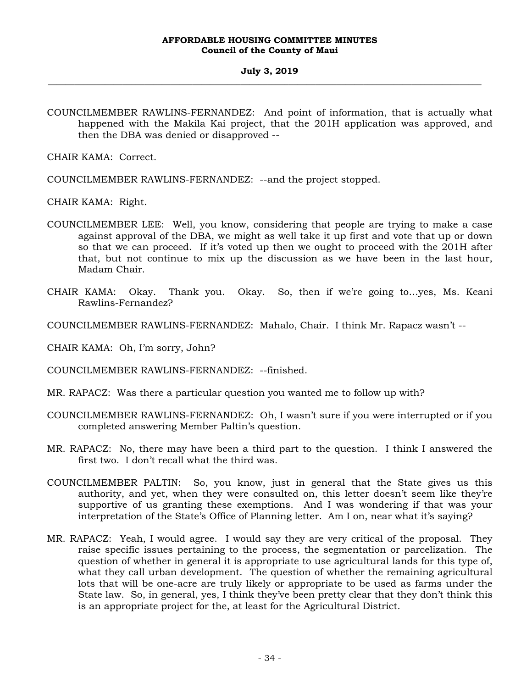COUNCILMEMBER RAWLINS-FERNANDEZ: And point of information, that is actually what happened with the Makila Kai project, that the 201H application was approved, and then the DBA was denied or disapproved --

CHAIR KAMA: Correct.

COUNCILMEMBER RAWLINS-FERNANDEZ: --and the project stopped.

CHAIR KAMA: Right.

- COUNCILMEMBER LEE: Well, you know, considering that people are trying to make a case against approval of the DBA, we might as well take it up first and vote that up or down so that we can proceed. If it's voted up then we ought to proceed with the 201H after that, but not continue to mix up the discussion as we have been in the last hour, Madam Chair.
- CHAIR KAMA: Okay. Thank you. Okay. So, then if we're going to…yes, Ms. Keani Rawlins-Fernandez?
- COUNCILMEMBER RAWLINS-FERNANDEZ: Mahalo, Chair. I think Mr. Rapacz wasn't --
- CHAIR KAMA: Oh, I'm sorry, John?

COUNCILMEMBER RAWLINS-FERNANDEZ: --finished.

- MR. RAPACZ: Was there a particular question you wanted me to follow up with?
- COUNCILMEMBER RAWLINS-FERNANDEZ: Oh, I wasn't sure if you were interrupted or if you completed answering Member Paltin's question.
- MR. RAPACZ: No, there may have been a third part to the question. I think I answered the first two. I don't recall what the third was.
- COUNCILMEMBER PALTIN: So, you know, just in general that the State gives us this authority, and yet, when they were consulted on, this letter doesn't seem like they're supportive of us granting these exemptions. And I was wondering if that was your interpretation of the State's Office of Planning letter. Am I on, near what it's saying?
- MR. RAPACZ: Yeah, I would agree. I would say they are very critical of the proposal. They raise specific issues pertaining to the process, the segmentation or parcelization. The question of whether in general it is appropriate to use agricultural lands for this type of, what they call urban development. The question of whether the remaining agricultural lots that will be one-acre are truly likely or appropriate to be used as farms under the State law. So, in general, yes, I think they've been pretty clear that they don't think this is an appropriate project for the, at least for the Agricultural District.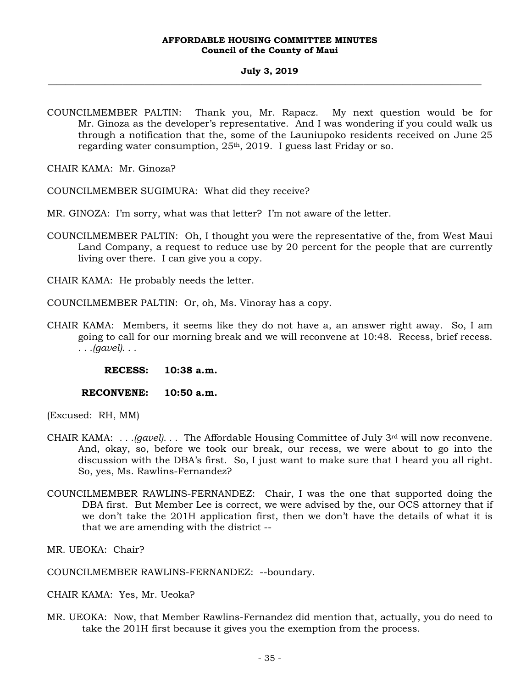## **July 3, 2019 \_\_\_\_\_\_\_\_\_\_\_\_\_\_\_\_\_\_\_\_\_\_\_\_\_\_\_\_\_\_\_\_\_\_\_\_\_\_\_\_\_\_\_\_\_\_\_\_\_\_\_\_\_\_\_\_\_\_\_\_\_\_\_\_\_\_\_\_\_\_\_\_\_\_\_\_\_\_\_\_\_\_\_\_\_\_\_\_\_\_\_\_\_\_\_\_\_\_\_**

COUNCILMEMBER PALTIN: Thank you, Mr. Rapacz. My next question would be for Mr. Ginoza as the developer's representative. And I was wondering if you could walk us through a notification that the, some of the Launiupoko residents received on June 25 regarding water consumption, 25th, 2019. I guess last Friday or so.

CHAIR KAMA: Mr. Ginoza?

COUNCILMEMBER SUGIMURA: What did they receive?

- MR. GINOZA: I'm sorry, what was that letter? I'm not aware of the letter.
- COUNCILMEMBER PALTIN: Oh, I thought you were the representative of the, from West Maui Land Company, a request to reduce use by 20 percent for the people that are currently living over there. I can give you a copy.

CHAIR KAMA: He probably needs the letter.

COUNCILMEMBER PALTIN: Or, oh, Ms. Vinoray has a copy.

CHAIR KAMA: Members, it seems like they do not have a, an answer right away. So, I am going to call for our morning break and we will reconvene at 10:48. Recess, brief recess. *. . .(gavel). . .*

**RECESS: 10:38 a.m.** 

 **RECONVENE: 10:50 a.m.** 

(Excused: RH, MM)

- CHAIR KAMA: *. . .(gavel). . .* The Affordable Housing Committee of July 3rd will now reconvene. And, okay, so, before we took our break, our recess, we were about to go into the discussion with the DBA's first. So, I just want to make sure that I heard you all right. So, yes, Ms. Rawlins-Fernandez?
- COUNCILMEMBER RAWLINS-FERNANDEZ: Chair, I was the one that supported doing the DBA first. But Member Lee is correct, we were advised by the, our OCS attorney that if we don't take the 201H application first, then we don't have the details of what it is that we are amending with the district --

MR. UEOKA: Chair?

COUNCILMEMBER RAWLINS-FERNANDEZ: --boundary.

CHAIR KAMA: Yes, Mr. Ueoka?

MR. UEOKA: Now, that Member Rawlins-Fernandez did mention that, actually, you do need to take the 201H first because it gives you the exemption from the process.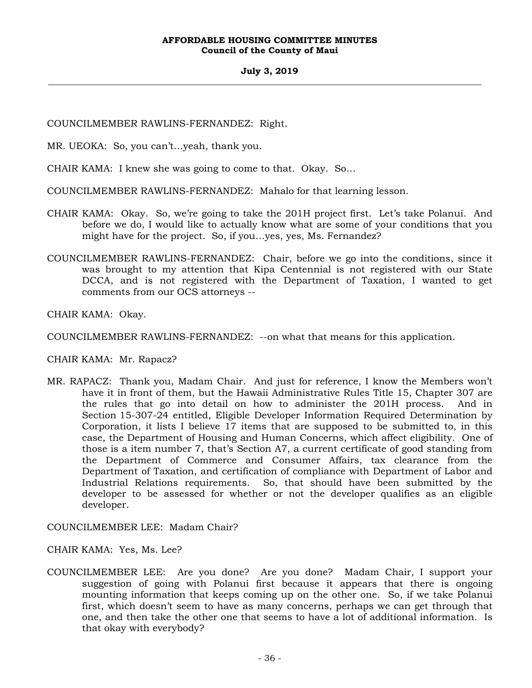## **July 3, 2019 \_\_\_\_\_\_\_\_\_\_\_\_\_\_\_\_\_\_\_\_\_\_\_\_\_\_\_\_\_\_\_\_\_\_\_\_\_\_\_\_\_\_\_\_\_\_\_\_\_\_\_\_\_\_\_\_\_\_\_\_\_\_\_\_\_\_\_\_\_\_\_\_\_\_\_\_\_\_\_\_\_\_\_\_\_\_\_\_\_\_\_\_\_\_\_\_\_\_\_**

COUNCILMEMBER RAWLINS-FERNANDEZ: Right.

MR. UEOKA: So, you can't…yeah, thank you.

CHAIR KAMA: I knew she was going to come to that. Okay. So…

COUNCILMEMBER RAWLINS-FERNANDEZ: Mahalo for that learning lesson.

- CHAIR KAMA: Okay. So, we're going to take the 201H project first. Let's take Polanui. And before we do, I would like to actually know what are some of your conditions that you might have for the project. So, if you…yes, yes, Ms. Fernandez?
- COUNCILMEMBER RAWLINS-FERNANDEZ: Chair, before we go into the conditions, since it was brought to my attention that Kipa Centennial is not registered with our State DCCA, and is not registered with the Department of Taxation, I wanted to get comments from our OCS attorneys --

CHAIR KAMA: Okay.

COUNCILMEMBER RAWLINS-FERNANDEZ: --on what that means for this application.

CHAIR KAMA: Mr. Rapacz?

MR. RAPACZ: Thank you, Madam Chair. And just for reference, I know the Members won't have it in front of them, but the Hawaii Administrative Rules Title 15, Chapter 307 are the rules that go into detail on how to administer the 201H process. And in Section 15-307-24 entitled, Eligible Developer Information Required Determination by Corporation, it lists I believe 17 items that are supposed to be submitted to, in this case, the Department of Housing and Human Concerns, which affect eligibility. One of those is a item number 7, that's Section A7, a current certificate of good standing from the Department of Commerce and Consumer Affairs, tax clearance from the Department of Taxation, and certification of compliance with Department of Labor and Industrial Relations requirements. So, that should have been submitted by the developer to be assessed for whether or not the developer qualifies as an eligible developer.

COUNCILMEMBER LEE: Madam Chair?

CHAIR KAMA: Yes, Ms. Lee?

COUNCILMEMBER LEE: Are you done? Are you done? Madam Chair, I support your suggestion of going with Polanui first because it appears that there is ongoing mounting information that keeps coming up on the other one. So, if we take Polanui first, which doesn't seem to have as many concerns, perhaps we can get through that one, and then take the other one that seems to have a lot of additional information. Is that okay with everybody?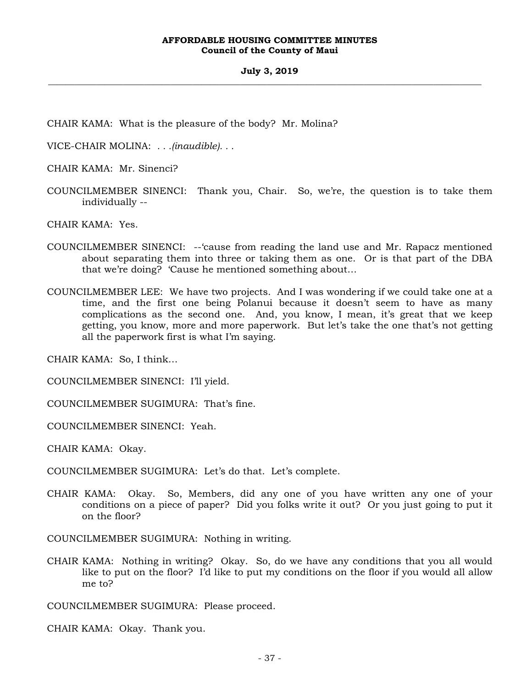CHAIR KAMA: What is the pleasure of the body? Mr. Molina?

VICE-CHAIR MOLINA: *. . .(inaudible). . .*

CHAIR KAMA: Mr. Sinenci?

COUNCILMEMBER SINENCI: Thank you, Chair. So, we're, the question is to take them individually --

CHAIR KAMA: Yes.

- COUNCILMEMBER SINENCI: --'cause from reading the land use and Mr. Rapacz mentioned about separating them into three or taking them as one. Or is that part of the DBA that we're doing? 'Cause he mentioned something about…
- COUNCILMEMBER LEE: We have two projects. And I was wondering if we could take one at a time, and the first one being Polanui because it doesn't seem to have as many complications as the second one. And, you know, I mean, it's great that we keep getting, you know, more and more paperwork. But let's take the one that's not getting all the paperwork first is what I'm saying.

CHAIR KAMA: So, I think…

COUNCILMEMBER SINENCI: I'll yield.

COUNCILMEMBER SUGIMURA: That's fine.

COUNCILMEMBER SINENCI: Yeah.

CHAIR KAMA: Okay.

COUNCILMEMBER SUGIMURA: Let's do that. Let's complete.

CHAIR KAMA: Okay. So, Members, did any one of you have written any one of your conditions on a piece of paper? Did you folks write it out? Or you just going to put it on the floor?

COUNCILMEMBER SUGIMURA: Nothing in writing.

CHAIR KAMA: Nothing in writing? Okay. So, do we have any conditions that you all would like to put on the floor? I'd like to put my conditions on the floor if you would all allow me to?

COUNCILMEMBER SUGIMURA: Please proceed.

CHAIR KAMA: Okay. Thank you.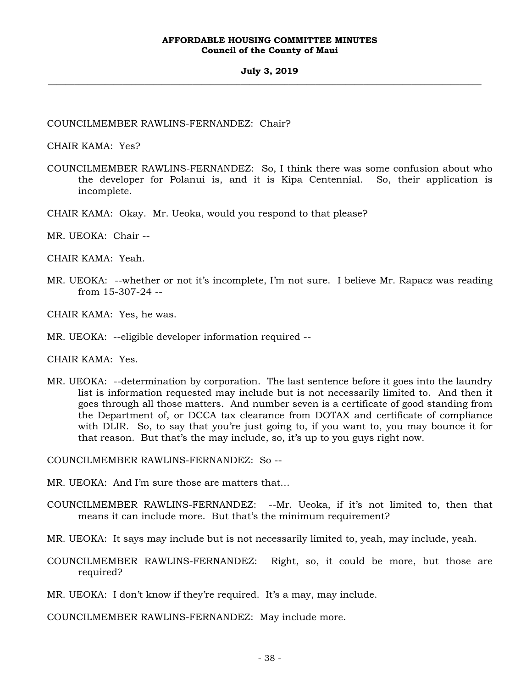### **July 3, 2019 \_\_\_\_\_\_\_\_\_\_\_\_\_\_\_\_\_\_\_\_\_\_\_\_\_\_\_\_\_\_\_\_\_\_\_\_\_\_\_\_\_\_\_\_\_\_\_\_\_\_\_\_\_\_\_\_\_\_\_\_\_\_\_\_\_\_\_\_\_\_\_\_\_\_\_\_\_\_\_\_\_\_\_\_\_\_\_\_\_\_\_\_\_\_\_\_\_\_\_**

COUNCILMEMBER RAWLINS-FERNANDEZ: Chair?

CHAIR KAMA: Yes?

- COUNCILMEMBER RAWLINS-FERNANDEZ: So, I think there was some confusion about who the developer for Polanui is, and it is Kipa Centennial. So, their application is incomplete.
- CHAIR KAMA: Okay. Mr. Ueoka, would you respond to that please?
- MR. UEOKA: Chair --

CHAIR KAMA: Yeah.

MR. UEOKA: --whether or not it's incomplete, I'm not sure. I believe Mr. Rapacz was reading from 15-307-24 --

CHAIR KAMA: Yes, he was.

MR. UEOKA: --eligible developer information required --

CHAIR KAMA: Yes.

MR. UEOKA: --determination by corporation. The last sentence before it goes into the laundry list is information requested may include but is not necessarily limited to. And then it goes through all those matters. And number seven is a certificate of good standing from the Department of, or DCCA tax clearance from DOTAX and certificate of compliance with DLIR. So, to say that you're just going to, if you want to, you may bounce it for that reason. But that's the may include, so, it's up to you guys right now.

COUNCILMEMBER RAWLINS-FERNANDEZ: So --

- MR. UEOKA: And I'm sure those are matters that…
- COUNCILMEMBER RAWLINS-FERNANDEZ: --Mr. Ueoka, if it's not limited to, then that means it can include more. But that's the minimum requirement?
- MR. UEOKA: It says may include but is not necessarily limited to, yeah, may include, yeah.
- COUNCILMEMBER RAWLINS-FERNANDEZ: Right, so, it could be more, but those are required?
- MR. UEOKA: I don't know if they're required. It's a may, may include.

COUNCILMEMBER RAWLINS-FERNANDEZ: May include more.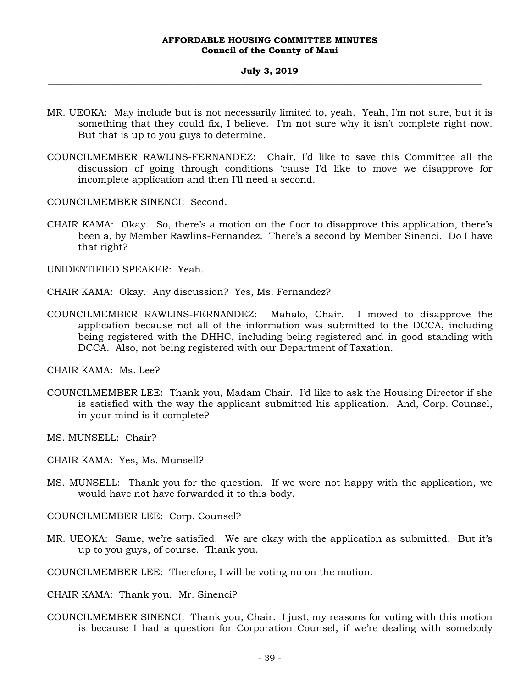#### **July 3, 2019 \_\_\_\_\_\_\_\_\_\_\_\_\_\_\_\_\_\_\_\_\_\_\_\_\_\_\_\_\_\_\_\_\_\_\_\_\_\_\_\_\_\_\_\_\_\_\_\_\_\_\_\_\_\_\_\_\_\_\_\_\_\_\_\_\_\_\_\_\_\_\_\_\_\_\_\_\_\_\_\_\_\_\_\_\_\_\_\_\_\_\_\_\_\_\_\_\_\_\_**

- MR. UEOKA: May include but is not necessarily limited to, yeah. Yeah, I'm not sure, but it is something that they could fix, I believe. I'm not sure why it isn't complete right now. But that is up to you guys to determine.
- COUNCILMEMBER RAWLINS-FERNANDEZ: Chair, I'd like to save this Committee all the discussion of going through conditions 'cause I'd like to move we disapprove for incomplete application and then I'll need a second.

COUNCILMEMBER SINENCI: Second.

CHAIR KAMA: Okay. So, there's a motion on the floor to disapprove this application, there's been a, by Member Rawlins-Fernandez. There's a second by Member Sinenci. Do I have that right?

UNIDENTIFIED SPEAKER: Yeah.

- CHAIR KAMA: Okay. Any discussion? Yes, Ms. Fernandez?
- COUNCILMEMBER RAWLINS-FERNANDEZ: Mahalo, Chair. I moved to disapprove the application because not all of the information was submitted to the DCCA, including being registered with the DHHC, including being registered and in good standing with DCCA. Also, not being registered with our Department of Taxation.

CHAIR KAMA: Ms. Lee?

COUNCILMEMBER LEE: Thank you, Madam Chair. I'd like to ask the Housing Director if she is satisfied with the way the applicant submitted his application. And, Corp. Counsel, in your mind is it complete?

MS. MUNSELL: Chair?

CHAIR KAMA: Yes, Ms. Munsell?

MS. MUNSELL: Thank you for the question. If we were not happy with the application, we would have not have forwarded it to this body.

COUNCILMEMBER LEE: Corp. Counsel?

MR. UEOKA: Same, we're satisfied. We are okay with the application as submitted. But it's up to you guys, of course. Thank you.

COUNCILMEMBER LEE: Therefore, I will be voting no on the motion.

CHAIR KAMA: Thank you. Mr. Sinenci?

COUNCILMEMBER SINENCI: Thank you, Chair. I just, my reasons for voting with this motion is because I had a question for Corporation Counsel, if we're dealing with somebody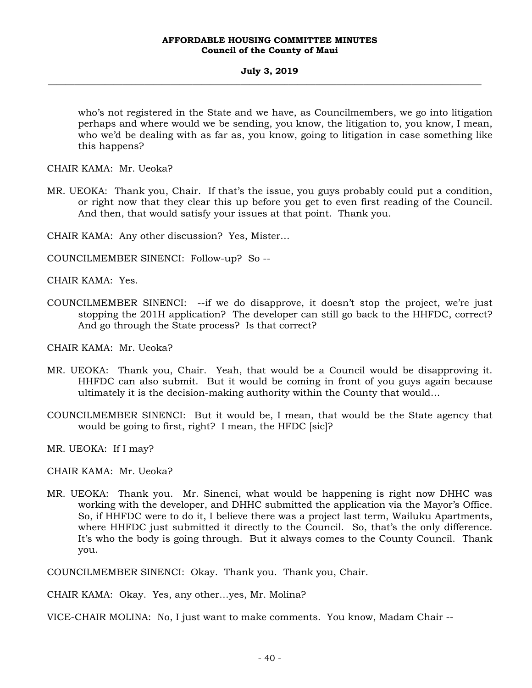who's not registered in the State and we have, as Councilmembers, we go into litigation perhaps and where would we be sending, you know, the litigation to, you know, I mean, who we'd be dealing with as far as, you know, going to litigation in case something like this happens?

CHAIR KAMA: Mr. Ueoka?

MR. UEOKA: Thank you, Chair. If that's the issue, you guys probably could put a condition, or right now that they clear this up before you get to even first reading of the Council. And then, that would satisfy your issues at that point. Thank you.

CHAIR KAMA: Any other discussion? Yes, Mister…

COUNCILMEMBER SINENCI: Follow-up? So --

CHAIR KAMA: Yes.

COUNCILMEMBER SINENCI: --if we do disapprove, it doesn't stop the project, we're just stopping the 201H application? The developer can still go back to the HHFDC, correct? And go through the State process? Is that correct?

CHAIR KAMA: Mr. Ueoka?

- MR. UEOKA: Thank you, Chair. Yeah, that would be a Council would be disapproving it. HHFDC can also submit. But it would be coming in front of you guys again because ultimately it is the decision-making authority within the County that would…
- COUNCILMEMBER SINENCI: But it would be, I mean, that would be the State agency that would be going to first, right? I mean, the HFDC [sic]?

MR. UEOKA: If I may?

CHAIR KAMA: Mr. Ueoka?

MR. UEOKA: Thank you. Mr. Sinenci, what would be happening is right now DHHC was working with the developer, and DHHC submitted the application via the Mayor's Office. So, if HHFDC were to do it, I believe there was a project last term, Wailuku Apartments, where HHFDC just submitted it directly to the Council. So, that's the only difference. It's who the body is going through. But it always comes to the County Council. Thank you.

COUNCILMEMBER SINENCI: Okay. Thank you. Thank you, Chair.

CHAIR KAMA: Okay. Yes, any other…yes, Mr. Molina?

VICE-CHAIR MOLINA: No, I just want to make comments. You know, Madam Chair --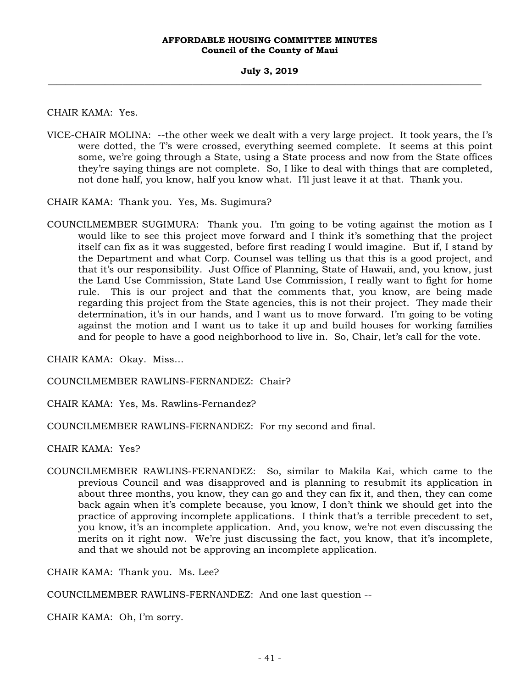CHAIR KAMA: Yes.

VICE-CHAIR MOLINA: --the other week we dealt with a very large project. It took years, the I's were dotted, the T's were crossed, everything seemed complete. It seems at this point some, we're going through a State, using a State process and now from the State offices they're saying things are not complete. So, I like to deal with things that are completed, not done half, you know, half you know what. I'll just leave it at that. Thank you.

CHAIR KAMA: Thank you. Yes, Ms. Sugimura?

COUNCILMEMBER SUGIMURA: Thank you. I'm going to be voting against the motion as I would like to see this project move forward and I think it's something that the project itself can fix as it was suggested, before first reading I would imagine. But if, I stand by the Department and what Corp. Counsel was telling us that this is a good project, and that it's our responsibility. Just Office of Planning, State of Hawaii, and, you know, just the Land Use Commission, State Land Use Commission, I really want to fight for home rule. This is our project and that the comments that, you know, are being made regarding this project from the State agencies, this is not their project. They made their determination, it's in our hands, and I want us to move forward. I'm going to be voting against the motion and I want us to take it up and build houses for working families and for people to have a good neighborhood to live in. So, Chair, let's call for the vote.

CHAIR KAMA: Okay. Miss…

COUNCILMEMBER RAWLINS-FERNANDEZ: Chair?

CHAIR KAMA: Yes, Ms. Rawlins-Fernandez?

COUNCILMEMBER RAWLINS-FERNANDEZ: For my second and final.

CHAIR KAMA: Yes?

COUNCILMEMBER RAWLINS-FERNANDEZ: So, similar to Makila Kai, which came to the previous Council and was disapproved and is planning to resubmit its application in about three months, you know, they can go and they can fix it, and then, they can come back again when it's complete because, you know, I don't think we should get into the practice of approving incomplete applications. I think that's a terrible precedent to set, you know, it's an incomplete application. And, you know, we're not even discussing the merits on it right now. We're just discussing the fact, you know, that it's incomplete, and that we should not be approving an incomplete application.

CHAIR KAMA: Thank you. Ms. Lee?

COUNCILMEMBER RAWLINS-FERNANDEZ: And one last question --

CHAIR KAMA: Oh, I'm sorry.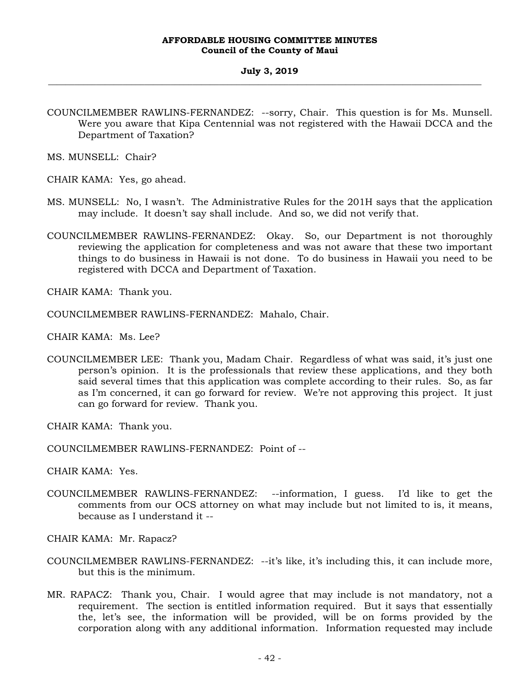#### **July 3, 2019 \_\_\_\_\_\_\_\_\_\_\_\_\_\_\_\_\_\_\_\_\_\_\_\_\_\_\_\_\_\_\_\_\_\_\_\_\_\_\_\_\_\_\_\_\_\_\_\_\_\_\_\_\_\_\_\_\_\_\_\_\_\_\_\_\_\_\_\_\_\_\_\_\_\_\_\_\_\_\_\_\_\_\_\_\_\_\_\_\_\_\_\_\_\_\_\_\_\_\_**

COUNCILMEMBER RAWLINS-FERNANDEZ: --sorry, Chair. This question is for Ms. Munsell. Were you aware that Kipa Centennial was not registered with the Hawaii DCCA and the Department of Taxation?

MS. MUNSELL: Chair?

- CHAIR KAMA: Yes, go ahead.
- MS. MUNSELL: No, I wasn't. The Administrative Rules for the 201H says that the application may include. It doesn't say shall include. And so, we did not verify that.
- COUNCILMEMBER RAWLINS-FERNANDEZ: Okay. So, our Department is not thoroughly reviewing the application for completeness and was not aware that these two important things to do business in Hawaii is not done. To do business in Hawaii you need to be registered with DCCA and Department of Taxation.

CHAIR KAMA: Thank you.

COUNCILMEMBER RAWLINS-FERNANDEZ: Mahalo, Chair.

CHAIR KAMA: Ms. Lee?

COUNCILMEMBER LEE: Thank you, Madam Chair. Regardless of what was said, it's just one person's opinion. It is the professionals that review these applications, and they both said several times that this application was complete according to their rules. So, as far as I'm concerned, it can go forward for review. We're not approving this project. It just can go forward for review. Thank you.

CHAIR KAMA: Thank you.

COUNCILMEMBER RAWLINS-FERNANDEZ: Point of --

CHAIR KAMA: Yes.

COUNCILMEMBER RAWLINS-FERNANDEZ: --information, I guess. I'd like to get the comments from our OCS attorney on what may include but not limited to is, it means, because as I understand it --

CHAIR KAMA: Mr. Rapacz?

- COUNCILMEMBER RAWLINS-FERNANDEZ: --it's like, it's including this, it can include more, but this is the minimum.
- MR. RAPACZ: Thank you, Chair. I would agree that may include is not mandatory, not a requirement. The section is entitled information required. But it says that essentially the, let's see, the information will be provided, will be on forms provided by the corporation along with any additional information. Information requested may include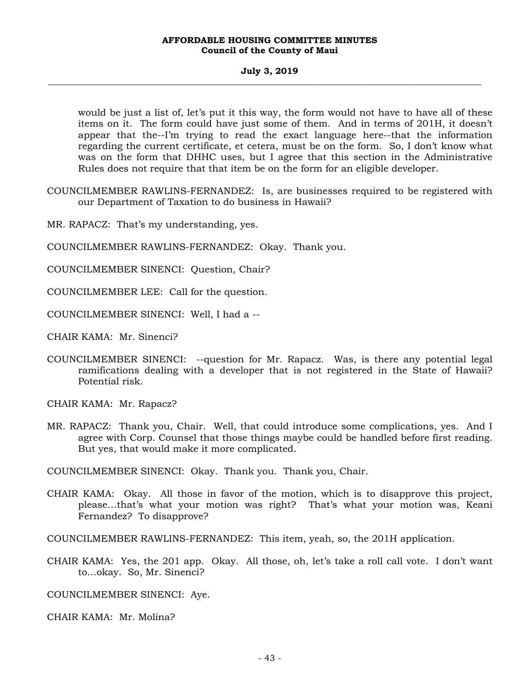### **July 3, 2019 \_\_\_\_\_\_\_\_\_\_\_\_\_\_\_\_\_\_\_\_\_\_\_\_\_\_\_\_\_\_\_\_\_\_\_\_\_\_\_\_\_\_\_\_\_\_\_\_\_\_\_\_\_\_\_\_\_\_\_\_\_\_\_\_\_\_\_\_\_\_\_\_\_\_\_\_\_\_\_\_\_\_\_\_\_\_\_\_\_\_\_\_\_\_\_\_\_\_\_**

would be just a list of, let's put it this way, the form would not have to have all of these items on it. The form could have just some of them. And in terms of 201H, it doesn't appear that the--I'm trying to read the exact language here--that the information regarding the current certificate, et cetera, must be on the form. So, I don't know what was on the form that DHHC uses, but I agree that this section in the Administrative Rules does not require that that item be on the form for an eligible developer.

- COUNCILMEMBER RAWLINS-FERNANDEZ: Is, are businesses required to be registered with our Department of Taxation to do business in Hawaii?
- MR. RAPACZ: That's my understanding, yes.
- COUNCILMEMBER RAWLINS-FERNANDEZ: Okay. Thank you.
- COUNCILMEMBER SINENCI: Question, Chair?
- COUNCILMEMBER LEE: Call for the question.
- COUNCILMEMBER SINENCI: Well, I had a --

CHAIR KAMA: Mr. Sinenci?

COUNCILMEMBER SINENCI: --question for Mr. Rapacz. Was, is there any potential legal ramifications dealing with a developer that is not registered in the State of Hawaii? Potential risk.

CHAIR KAMA: Mr. Rapacz?

MR. RAPACZ: Thank you, Chair. Well, that could introduce some complications, yes. And I agree with Corp. Counsel that those things maybe could be handled before first reading. But yes, that would make it more complicated.

COUNCILMEMBER SINENCI: Okay. Thank you. Thank you, Chair.

CHAIR KAMA: Okay. All those in favor of the motion, which is to disapprove this project, please…that's what your motion was right? That's what your motion was, Keani Fernandez? To disapprove?

COUNCILMEMBER RAWLINS-FERNANDEZ: This item, yeah, so, the 201H application.

CHAIR KAMA: Yes, the 201 app. Okay. All those, oh, let's take a roll call vote. I don't want to…okay. So, Mr. Sinenci?

COUNCILMEMBER SINENCI: Aye.

CHAIR KAMA: Mr. Molina?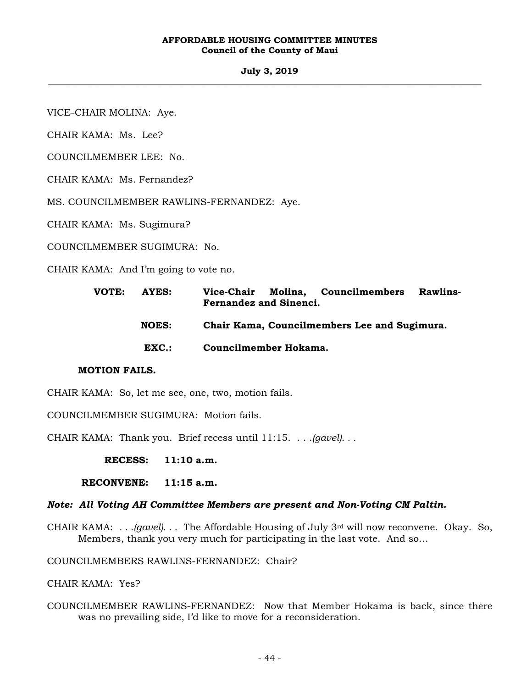#### **July 3, 2019 \_\_\_\_\_\_\_\_\_\_\_\_\_\_\_\_\_\_\_\_\_\_\_\_\_\_\_\_\_\_\_\_\_\_\_\_\_\_\_\_\_\_\_\_\_\_\_\_\_\_\_\_\_\_\_\_\_\_\_\_\_\_\_\_\_\_\_\_\_\_\_\_\_\_\_\_\_\_\_\_\_\_\_\_\_\_\_\_\_\_\_\_\_\_\_\_\_\_\_**

VICE-CHAIR MOLINA: Aye.

CHAIR KAMA: Ms. Lee?

COUNCILMEMBER LEE: No.

CHAIR KAMA: Ms. Fernandez?

MS. COUNCILMEMBER RAWLINS-FERNANDEZ: Aye.

CHAIR KAMA: Ms. Sugimura?

COUNCILMEMBER SUGIMURA: No.

CHAIR KAMA: And I'm going to vote no.

| VOTE: | AYES:        |                                              |                       | Vice-Chair Molina, Councilmembers | <b>Rawlins-</b> |
|-------|--------------|----------------------------------------------|-----------------------|-----------------------------------|-----------------|
|       |              | <b>Fernandez and Sinenci.</b>                |                       |                                   |                 |
|       | <b>NOES:</b> | Chair Kama, Councilmembers Lee and Sugimura. |                       |                                   |                 |
|       | EXC.:        |                                              | Councilmember Hokama. |                                   |                 |

# **MOTION FAILS.**

CHAIR KAMA: So, let me see, one, two, motion fails.

COUNCILMEMBER SUGIMURA: Motion fails.

CHAIR KAMA: Thank you. Brief recess until 11:15. . . .*(gavel). . .*

**RECESS: 11:10 a.m.** 

 **RECONVENE: 11:15 a.m.** 

## *Note: All Voting AH Committee Members are present and Non-Voting CM Paltin.*

CHAIR KAMA: *. . .(gavel). . .* The Affordable Housing of July 3rd will now reconvene. Okay. So, Members, thank you very much for participating in the last vote. And so…

COUNCILMEMBERS RAWLINS-FERNANDEZ: Chair?

CHAIR KAMA: Yes?

COUNCILMEMBER RAWLINS-FERNANDEZ: Now that Member Hokama is back, since there was no prevailing side, I'd like to move for a reconsideration.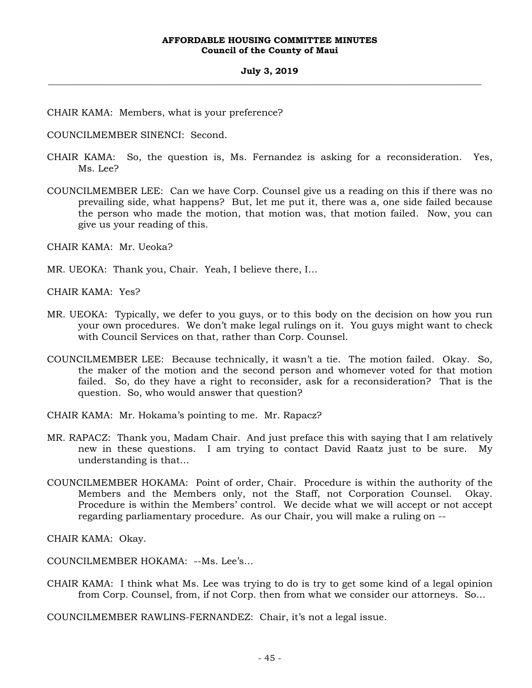# CHAIR KAMA: Members, what is your preference?

COUNCILMEMBER SINENCI: Second.

- CHAIR KAMA: So, the question is, Ms. Fernandez is asking for a reconsideration. Yes, Ms. Lee?
- COUNCILMEMBER LEE: Can we have Corp. Counsel give us a reading on this if there was no prevailing side, what happens? But, let me put it, there was a, one side failed because the person who made the motion, that motion was, that motion failed. Now, you can give us your reading of this.

CHAIR KAMA: Mr. Ueoka?

MR. UEOKA: Thank you, Chair. Yeah, I believe there, I…

CHAIR KAMA: Yes?

- MR. UEOKA: Typically, we defer to you guys, or to this body on the decision on how you run your own procedures. We don't make legal rulings on it. You guys might want to check with Council Services on that, rather than Corp. Counsel.
- COUNCILMEMBER LEE: Because technically, it wasn't a tie. The motion failed. Okay. So, the maker of the motion and the second person and whomever voted for that motion failed. So, do they have a right to reconsider, ask for a reconsideration? That is the question. So, who would answer that question?
- CHAIR KAMA: Mr. Hokama's pointing to me. Mr. Rapacz?
- MR. RAPACZ: Thank you, Madam Chair. And just preface this with saying that I am relatively new in these questions. I am trying to contact David Raatz just to be sure. My understanding is that…
- COUNCILMEMBER HOKAMA: Point of order, Chair. Procedure is within the authority of the Members and the Members only, not the Staff, not Corporation Counsel. Okay. Procedure is within the Members' control. We decide what we will accept or not accept regarding parliamentary procedure. As our Chair, you will make a ruling on --

CHAIR KAMA: Okay.

COUNCILMEMBER HOKAMA: --Ms. Lee's…

- CHAIR KAMA: I think what Ms. Lee was trying to do is try to get some kind of a legal opinion from Corp. Counsel, from, if not Corp. then from what we consider our attorneys. So…
- COUNCILMEMBER RAWLINS-FERNANDEZ: Chair, it's not a legal issue.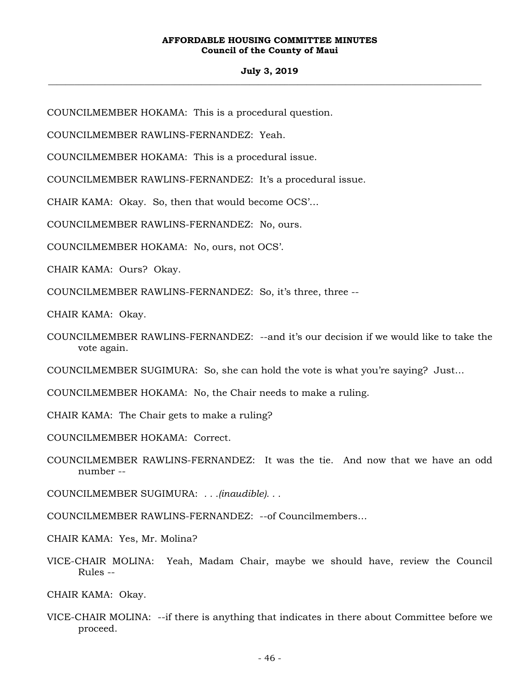## **July 3, 2019 \_\_\_\_\_\_\_\_\_\_\_\_\_\_\_\_\_\_\_\_\_\_\_\_\_\_\_\_\_\_\_\_\_\_\_\_\_\_\_\_\_\_\_\_\_\_\_\_\_\_\_\_\_\_\_\_\_\_\_\_\_\_\_\_\_\_\_\_\_\_\_\_\_\_\_\_\_\_\_\_\_\_\_\_\_\_\_\_\_\_\_\_\_\_\_\_\_\_\_**

COUNCILMEMBER HOKAMA: This is a procedural question.

COUNCILMEMBER RAWLINS-FERNANDEZ: Yeah.

COUNCILMEMBER HOKAMA: This is a procedural issue.

COUNCILMEMBER RAWLINS-FERNANDEZ: It's a procedural issue.

CHAIR KAMA: Okay. So, then that would become OCS'…

COUNCILMEMBER RAWLINS-FERNANDEZ: No, ours.

COUNCILMEMBER HOKAMA: No, ours, not OCS'.

CHAIR KAMA: Ours? Okay.

COUNCILMEMBER RAWLINS-FERNANDEZ: So, it's three, three --

CHAIR KAMA: Okay.

COUNCILMEMBER RAWLINS-FERNANDEZ: --and it's our decision if we would like to take the vote again.

COUNCILMEMBER SUGIMURA: So, she can hold the vote is what you're saying? Just…

COUNCILMEMBER HOKAMA: No, the Chair needs to make a ruling.

CHAIR KAMA: The Chair gets to make a ruling?

COUNCILMEMBER HOKAMA: Correct.

COUNCILMEMBER RAWLINS-FERNANDEZ: It was the tie. And now that we have an odd number --

COUNCILMEMBER SUGIMURA: *. . .(inaudible). . .* 

- COUNCILMEMBER RAWLINS-FERNANDEZ: --of Councilmembers…
- CHAIR KAMA: Yes, Mr. Molina?
- VICE-CHAIR MOLINA: Yeah, Madam Chair, maybe we should have, review the Council Rules --

CHAIR KAMA: Okay.

VICE-CHAIR MOLINA: --if there is anything that indicates in there about Committee before we proceed.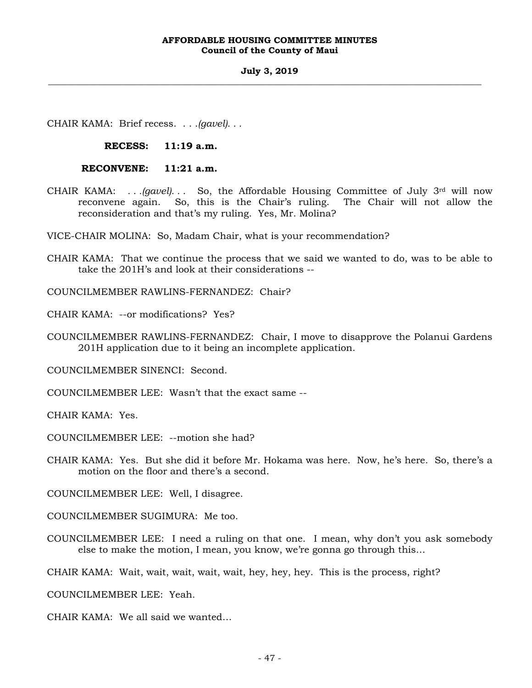#### **July 3, 2019 \_\_\_\_\_\_\_\_\_\_\_\_\_\_\_\_\_\_\_\_\_\_\_\_\_\_\_\_\_\_\_\_\_\_\_\_\_\_\_\_\_\_\_\_\_\_\_\_\_\_\_\_\_\_\_\_\_\_\_\_\_\_\_\_\_\_\_\_\_\_\_\_\_\_\_\_\_\_\_\_\_\_\_\_\_\_\_\_\_\_\_\_\_\_\_\_\_\_\_**

CHAIR KAMA: Brief recess. . . .*(gavel). . .*

**RECESS: 11:19 a.m.** 

 **RECONVENE: 11:21 a.m.** 

CHAIR KAMA: *. . .(gavel). . .* So, the Affordable Housing Committee of July 3rd will now reconvene again. So, this is the Chair's ruling. The Chair will not allow the reconsideration and that's my ruling. Yes, Mr. Molina?

VICE-CHAIR MOLINA: So, Madam Chair, what is your recommendation?

CHAIR KAMA: That we continue the process that we said we wanted to do, was to be able to take the 201H's and look at their considerations --

COUNCILMEMBER RAWLINS-FERNANDEZ: Chair?

CHAIR KAMA: --or modifications? Yes?

COUNCILMEMBER RAWLINS-FERNANDEZ: Chair, I move to disapprove the Polanui Gardens 201H application due to it being an incomplete application.

COUNCILMEMBER SINENCI: Second.

COUNCILMEMBER LEE: Wasn't that the exact same --

CHAIR KAMA: Yes.

COUNCILMEMBER LEE: --motion she had?

CHAIR KAMA: Yes. But she did it before Mr. Hokama was here. Now, he's here. So, there's a motion on the floor and there's a second.

COUNCILMEMBER LEE: Well, I disagree.

COUNCILMEMBER SUGIMURA: Me too.

COUNCILMEMBER LEE: I need a ruling on that one. I mean, why don't you ask somebody else to make the motion, I mean, you know, we're gonna go through this…

CHAIR KAMA: Wait, wait, wait, wait, wait, hey, hey, hey. This is the process, right?

COUNCILMEMBER LEE: Yeah.

CHAIR KAMA: We all said we wanted…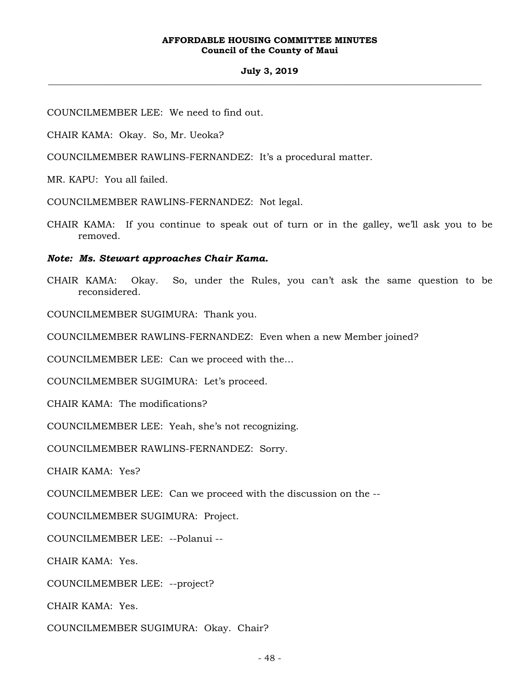## **July 3, 2019 \_\_\_\_\_\_\_\_\_\_\_\_\_\_\_\_\_\_\_\_\_\_\_\_\_\_\_\_\_\_\_\_\_\_\_\_\_\_\_\_\_\_\_\_\_\_\_\_\_\_\_\_\_\_\_\_\_\_\_\_\_\_\_\_\_\_\_\_\_\_\_\_\_\_\_\_\_\_\_\_\_\_\_\_\_\_\_\_\_\_\_\_\_\_\_\_\_\_\_**

COUNCILMEMBER LEE: We need to find out.

CHAIR KAMA: Okay. So, Mr. Ueoka?

COUNCILMEMBER RAWLINS-FERNANDEZ: It's a procedural matter.

MR. KAPU: You all failed.

COUNCILMEMBER RAWLINS-FERNANDEZ: Not legal.

CHAIR KAMA: If you continue to speak out of turn or in the galley, we'll ask you to be removed.

*Note: Ms. Stewart approaches Chair Kama.* 

CHAIR KAMA: Okay. So, under the Rules, you can't ask the same question to be reconsidered.

COUNCILMEMBER SUGIMURA: Thank you.

COUNCILMEMBER RAWLINS-FERNANDEZ: Even when a new Member joined?

COUNCILMEMBER LEE: Can we proceed with the…

COUNCILMEMBER SUGIMURA: Let's proceed.

CHAIR KAMA: The modifications?

COUNCILMEMBER LEE: Yeah, she's not recognizing.

COUNCILMEMBER RAWLINS-FERNANDEZ: Sorry.

CHAIR KAMA: Yes?

COUNCILMEMBER LEE: Can we proceed with the discussion on the --

COUNCILMEMBER SUGIMURA: Project.

COUNCILMEMBER LEE: --Polanui --

CHAIR KAMA: Yes.

COUNCILMEMBER LEE: --project?

CHAIR KAMA: Yes.

COUNCILMEMBER SUGIMURA: Okay. Chair?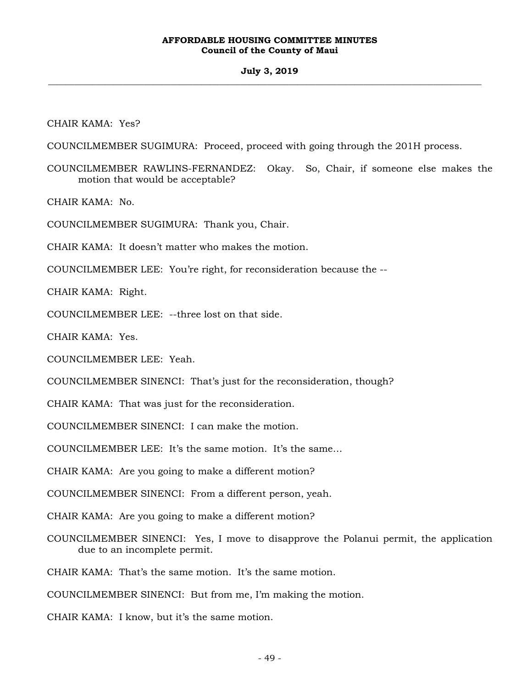## **July 3, 2019 \_\_\_\_\_\_\_\_\_\_\_\_\_\_\_\_\_\_\_\_\_\_\_\_\_\_\_\_\_\_\_\_\_\_\_\_\_\_\_\_\_\_\_\_\_\_\_\_\_\_\_\_\_\_\_\_\_\_\_\_\_\_\_\_\_\_\_\_\_\_\_\_\_\_\_\_\_\_\_\_\_\_\_\_\_\_\_\_\_\_\_\_\_\_\_\_\_\_\_**

CHAIR KAMA: Yes?

COUNCILMEMBER SUGIMURA: Proceed, proceed with going through the 201H process.

COUNCILMEMBER RAWLINS-FERNANDEZ: Okay. So, Chair, if someone else makes the motion that would be acceptable?

CHAIR KAMA: No.

COUNCILMEMBER SUGIMURA: Thank you, Chair.

CHAIR KAMA: It doesn't matter who makes the motion.

COUNCILMEMBER LEE: You're right, for reconsideration because the --

CHAIR KAMA: Right.

COUNCILMEMBER LEE: --three lost on that side.

CHAIR KAMA: Yes.

COUNCILMEMBER LEE: Yeah.

COUNCILMEMBER SINENCI: That's just for the reconsideration, though?

CHAIR KAMA: That was just for the reconsideration.

COUNCILMEMBER SINENCI: I can make the motion.

COUNCILMEMBER LEE: It's the same motion. It's the same…

CHAIR KAMA: Are you going to make a different motion?

COUNCILMEMBER SINENCI: From a different person, yeah.

CHAIR KAMA: Are you going to make a different motion?

COUNCILMEMBER SINENCI: Yes, I move to disapprove the Polanui permit, the application due to an incomplete permit.

CHAIR KAMA: That's the same motion. It's the same motion.

COUNCILMEMBER SINENCI: But from me, I'm making the motion.

CHAIR KAMA: I know, but it's the same motion.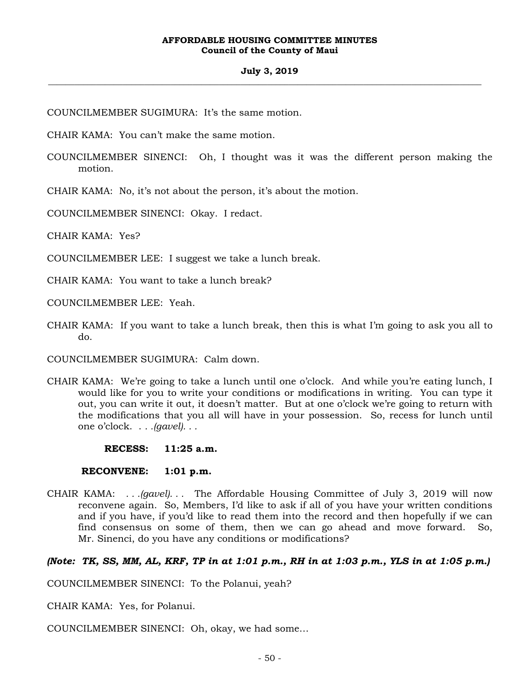COUNCILMEMBER SUGIMURA: It's the same motion.

CHAIR KAMA: You can't make the same motion.

COUNCILMEMBER SINENCI: Oh, I thought was it was the different person making the motion.

CHAIR KAMA: No, it's not about the person, it's about the motion.

COUNCILMEMBER SINENCI: Okay. I redact.

CHAIR KAMA: Yes?

COUNCILMEMBER LEE: I suggest we take a lunch break.

CHAIR KAMA: You want to take a lunch break?

COUNCILMEMBER LEE: Yeah.

CHAIR KAMA: If you want to take a lunch break, then this is what I'm going to ask you all to do.

COUNCILMEMBER SUGIMURA: Calm down.

- CHAIR KAMA: We're going to take a lunch until one o'clock. And while you're eating lunch, I would like for you to write your conditions or modifications in writing. You can type it out, you can write it out, it doesn't matter. But at one o'clock we're going to return with the modifications that you all will have in your possession. So, recess for lunch until one o'clock. . *. .(gavel). . .*
	- **RECESS: 11:25 a.m.**

 **RECONVENE: 1:01 p.m.** 

CHAIR KAMA: *. . .(gavel). . .* The Affordable Housing Committee of July 3, 2019 will now reconvene again. So, Members, I'd like to ask if all of you have your written conditions and if you have, if you'd like to read them into the record and then hopefully if we can find consensus on some of them, then we can go ahead and move forward. So, Mr. Sinenci, do you have any conditions or modifications?

# *(Note: TK, SS, MM, AL, KRF, TP in at 1:01 p.m., RH in at 1:03 p.m., YLS in at 1:05 p.m.)*

COUNCILMEMBER SINENCI: To the Polanui, yeah?

CHAIR KAMA: Yes, for Polanui.

COUNCILMEMBER SINENCI: Oh, okay, we had some…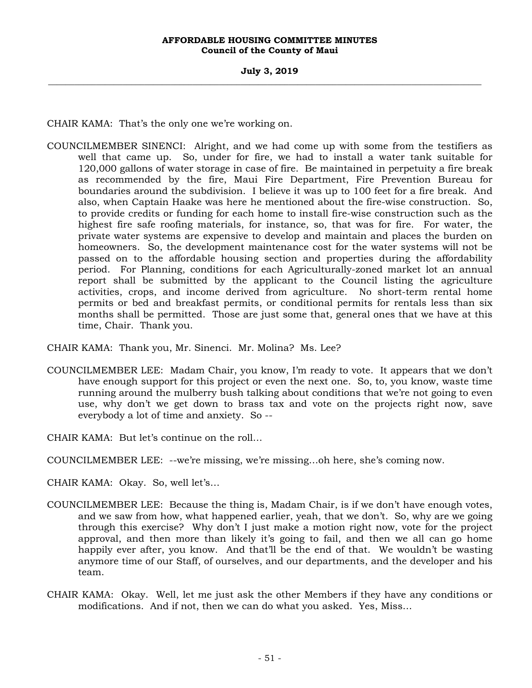CHAIR KAMA: That's the only one we're working on.

COUNCILMEMBER SINENCI: Alright, and we had come up with some from the testifiers as well that came up. So, under for fire, we had to install a water tank suitable for 120,000 gallons of water storage in case of fire. Be maintained in perpetuity a fire break as recommended by the fire, Maui Fire Department, Fire Prevention Bureau for boundaries around the subdivision. I believe it was up to 100 feet for a fire break. And also, when Captain Haake was here he mentioned about the fire-wise construction. So, to provide credits or funding for each home to install fire-wise construction such as the highest fire safe roofing materials, for instance, so, that was for fire. For water, the private water systems are expensive to develop and maintain and places the burden on homeowners. So, the development maintenance cost for the water systems will not be passed on to the affordable housing section and properties during the affordability period. For Planning, conditions for each Agriculturally-zoned market lot an annual report shall be submitted by the applicant to the Council listing the agriculture activities, crops, and income derived from agriculture. No short-term rental home permits or bed and breakfast permits, or conditional permits for rentals less than six months shall be permitted. Those are just some that, general ones that we have at this time, Chair. Thank you.

CHAIR KAMA: Thank you, Mr. Sinenci. Mr. Molina? Ms. Lee?

- COUNCILMEMBER LEE: Madam Chair, you know, I'm ready to vote. It appears that we don't have enough support for this project or even the next one. So, to, you know, waste time running around the mulberry bush talking about conditions that we're not going to even use, why don't we get down to brass tax and vote on the projects right now, save everybody a lot of time and anxiety. So --
- CHAIR KAMA: But let's continue on the roll…
- COUNCILMEMBER LEE: --we're missing, we're missing…oh here, she's coming now.
- CHAIR KAMA: Okay. So, well let's…
- COUNCILMEMBER LEE: Because the thing is, Madam Chair, is if we don't have enough votes, and we saw from how, what happened earlier, yeah, that we don't. So, why are we going through this exercise? Why don't I just make a motion right now, vote for the project approval, and then more than likely it's going to fail, and then we all can go home happily ever after, you know. And that'll be the end of that. We wouldn't be wasting anymore time of our Staff, of ourselves, and our departments, and the developer and his team.
- CHAIR KAMA: Okay. Well, let me just ask the other Members if they have any conditions or modifications. And if not, then we can do what you asked. Yes, Miss…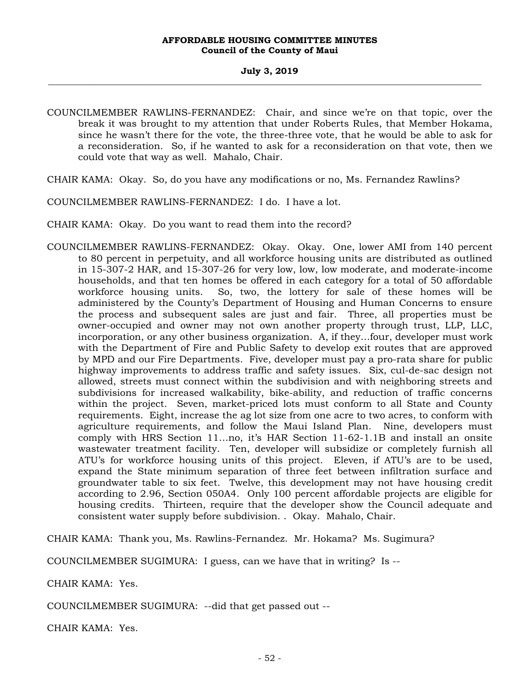- COUNCILMEMBER RAWLINS-FERNANDEZ: Chair, and since we're on that topic, over the break it was brought to my attention that under Roberts Rules, that Member Hokama, since he wasn't there for the vote, the three-three vote, that he would be able to ask for a reconsideration. So, if he wanted to ask for a reconsideration on that vote, then we could vote that way as well. Mahalo, Chair.
- CHAIR KAMA: Okay. So, do you have any modifications or no, Ms. Fernandez Rawlins?
- COUNCILMEMBER RAWLINS-FERNANDEZ: I do. I have a lot.
- CHAIR KAMA: Okay. Do you want to read them into the record?
- COUNCILMEMBER RAWLINS-FERNANDEZ: Okay. Okay. One, lower AMI from 140 percent to 80 percent in perpetuity, and all workforce housing units are distributed as outlined in 15-307-2 HAR, and 15-307-26 for very low, low, low moderate, and moderate-income households, and that ten homes be offered in each category for a total of 50 affordable workforce housing units. So, two, the lottery for sale of these homes will be administered by the County's Department of Housing and Human Concerns to ensure the process and subsequent sales are just and fair. Three, all properties must be owner-occupied and owner may not own another property through trust, LLP, LLC, incorporation, or any other business organization. A, if they…four, developer must work with the Department of Fire and Public Safety to develop exit routes that are approved by MPD and our Fire Departments. Five, developer must pay a pro-rata share for public highway improvements to address traffic and safety issues. Six, cul-de-sac design not allowed, streets must connect within the subdivision and with neighboring streets and subdivisions for increased walkability, bike-ability, and reduction of traffic concerns within the project. Seven, market-priced lots must conform to all State and County requirements. Eight, increase the ag lot size from one acre to two acres, to conform with agriculture requirements, and follow the Maui Island Plan. Nine, developers must comply with HRS Section 11…no, it's HAR Section 11-62-1.1B and install an onsite wastewater treatment facility. Ten, developer will subsidize or completely furnish all ATU's for workforce housing units of this project. Eleven, if ATU's are to be used, expand the State minimum separation of three feet between infiltration surface and groundwater table to six feet. Twelve, this development may not have housing credit according to 2.96, Section 050A4. Only 100 percent affordable projects are eligible for housing credits. Thirteen, require that the developer show the Council adequate and consistent water supply before subdivision. . Okay. Mahalo, Chair.

CHAIR KAMA: Thank you, Ms. Rawlins-Fernandez. Mr. Hokama? Ms. Sugimura?

COUNCILMEMBER SUGIMURA: I guess, can we have that in writing? Is --

CHAIR KAMA: Yes.

COUNCILMEMBER SUGIMURA: --did that get passed out --

CHAIR KAMA: Yes.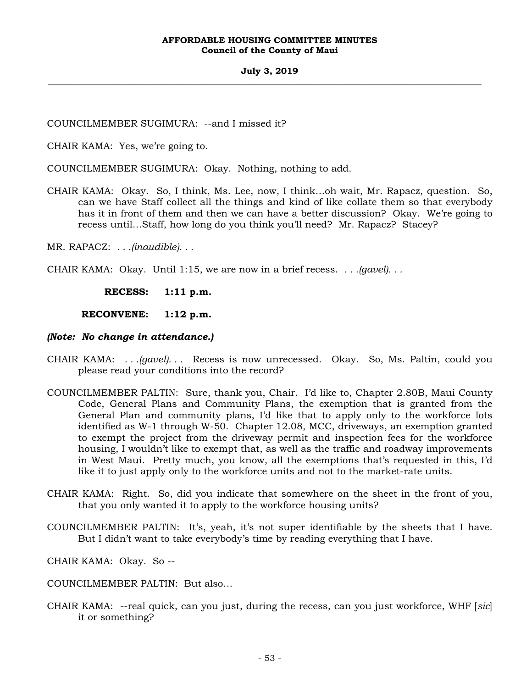## **July 3, 2019 \_\_\_\_\_\_\_\_\_\_\_\_\_\_\_\_\_\_\_\_\_\_\_\_\_\_\_\_\_\_\_\_\_\_\_\_\_\_\_\_\_\_\_\_\_\_\_\_\_\_\_\_\_\_\_\_\_\_\_\_\_\_\_\_\_\_\_\_\_\_\_\_\_\_\_\_\_\_\_\_\_\_\_\_\_\_\_\_\_\_\_\_\_\_\_\_\_\_\_**

COUNCILMEMBER SUGIMURA: --and I missed it?

CHAIR KAMA: Yes, we're going to.

COUNCILMEMBER SUGIMURA: Okay. Nothing, nothing to add.

CHAIR KAMA: Okay. So, I think, Ms. Lee, now, I think…oh wait, Mr. Rapacz, question. So, can we have Staff collect all the things and kind of like collate them so that everybody has it in front of them and then we can have a better discussion? Okay. We're going to recess until…Staff, how long do you think you'll need? Mr. Rapacz? Stacey?

MR. RAPACZ: *. . .(inaudible). . .*

CHAIR KAMA: Okay. Until 1:15, we are now in a brief recess. *. . .(gavel). . .*

**RECESS: 1:11 p.m.** 

 **RECONVENE: 1:12 p.m.** 

## *(Note: No change in attendance.)*

- CHAIR KAMA: *. . .(gavel). . .* Recess is now unrecessed. Okay. So, Ms. Paltin, could you please read your conditions into the record?
- COUNCILMEMBER PALTIN: Sure, thank you, Chair. I'd like to, Chapter 2.80B, Maui County Code, General Plans and Community Plans, the exemption that is granted from the General Plan and community plans, I'd like that to apply only to the workforce lots identified as W-1 through W-50. Chapter 12.08, MCC, driveways, an exemption granted to exempt the project from the driveway permit and inspection fees for the workforce housing, I wouldn't like to exempt that, as well as the traffic and roadway improvements in West Maui. Pretty much, you know, all the exemptions that's requested in this, I'd like it to just apply only to the workforce units and not to the market-rate units.
- CHAIR KAMA: Right. So, did you indicate that somewhere on the sheet in the front of you, that you only wanted it to apply to the workforce housing units?
- COUNCILMEMBER PALTIN: It's, yeah, it's not super identifiable by the sheets that I have. But I didn't want to take everybody's time by reading everything that I have.
- CHAIR KAMA: Okay. So --
- COUNCILMEMBER PALTIN: But also…
- CHAIR KAMA: --real quick, can you just, during the recess, can you just workforce, WHF [*sic*] it or something?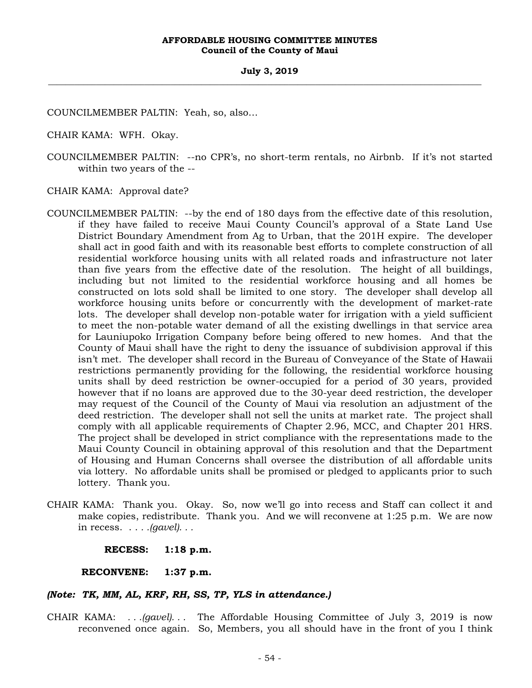COUNCILMEMBER PALTIN: Yeah, so, also…

CHAIR KAMA: WFH. Okay.

COUNCILMEMBER PALTIN: --no CPR's, no short-term rentals, no Airbnb. If it's not started within two years of the --

CHAIR KAMA: Approval date?

- COUNCILMEMBER PALTIN: --by the end of 180 days from the effective date of this resolution, if they have failed to receive Maui County Council's approval of a State Land Use District Boundary Amendment from Ag to Urban, that the 201H expire. The developer shall act in good faith and with its reasonable best efforts to complete construction of all residential workforce housing units with all related roads and infrastructure not later than five years from the effective date of the resolution. The height of all buildings, including but not limited to the residential workforce housing and all homes be constructed on lots sold shall be limited to one story. The developer shall develop all workforce housing units before or concurrently with the development of market-rate lots. The developer shall develop non-potable water for irrigation with a yield sufficient to meet the non-potable water demand of all the existing dwellings in that service area for Launiupoko Irrigation Company before being offered to new homes. And that the County of Maui shall have the right to deny the issuance of subdivision approval if this isn't met. The developer shall record in the Bureau of Conveyance of the State of Hawaii restrictions permanently providing for the following, the residential workforce housing units shall by deed restriction be owner-occupied for a period of 30 years, provided however that if no loans are approved due to the 30-year deed restriction, the developer may request of the Council of the County of Maui via resolution an adjustment of the deed restriction. The developer shall not sell the units at market rate. The project shall comply with all applicable requirements of Chapter 2.96, MCC, and Chapter 201 HRS. The project shall be developed in strict compliance with the representations made to the Maui County Council in obtaining approval of this resolution and that the Department of Housing and Human Concerns shall oversee the distribution of all affordable units via lottery. No affordable units shall be promised or pledged to applicants prior to such lottery. Thank you.
- CHAIR KAMA: Thank you. Okay. So, now we'll go into recess and Staff can collect it and make copies, redistribute. Thank you. And we will reconvene at 1:25 p.m. We are now in recess. . . *. .(gavel). . .*

**RECESS: 1:18 p.m.** 

 **RECONVENE: 1:37 p.m.** 

## *(Note: TK, MM, AL, KRF, RH, SS, TP, YLS in attendance.)*

CHAIR KAMA: *. . .(gavel). . .* The Affordable Housing Committee of July 3, 2019 is now reconvened once again. So, Members, you all should have in the front of you I think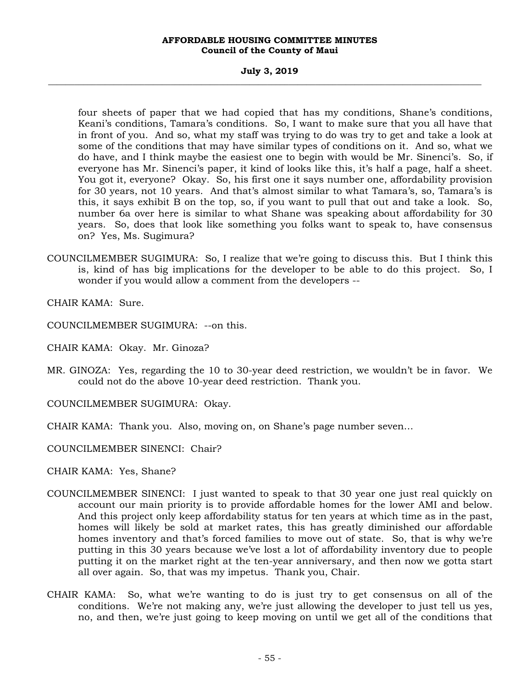## **July 3, 2019 \_\_\_\_\_\_\_\_\_\_\_\_\_\_\_\_\_\_\_\_\_\_\_\_\_\_\_\_\_\_\_\_\_\_\_\_\_\_\_\_\_\_\_\_\_\_\_\_\_\_\_\_\_\_\_\_\_\_\_\_\_\_\_\_\_\_\_\_\_\_\_\_\_\_\_\_\_\_\_\_\_\_\_\_\_\_\_\_\_\_\_\_\_\_\_\_\_\_\_**

four sheets of paper that we had copied that has my conditions, Shane's conditions, Keani's conditions, Tamara's conditions. So, I want to make sure that you all have that in front of you. And so, what my staff was trying to do was try to get and take a look at some of the conditions that may have similar types of conditions on it. And so, what we do have, and I think maybe the easiest one to begin with would be Mr. Sinenci's. So, if everyone has Mr. Sinenci's paper, it kind of looks like this, it's half a page, half a sheet. You got it, everyone? Okay. So, his first one it says number one, affordability provision for 30 years, not 10 years. And that's almost similar to what Tamara's, so, Tamara's is this, it says exhibit B on the top, so, if you want to pull that out and take a look. So, number 6a over here is similar to what Shane was speaking about affordability for 30 years. So, does that look like something you folks want to speak to, have consensus on? Yes, Ms. Sugimura?

COUNCILMEMBER SUGIMURA: So, I realize that we're going to discuss this. But I think this is, kind of has big implications for the developer to be able to do this project. So, I wonder if you would allow a comment from the developers --

CHAIR KAMA: Sure.

- COUNCILMEMBER SUGIMURA: --on this.
- CHAIR KAMA: Okay. Mr. Ginoza?
- MR. GINOZA: Yes, regarding the 10 to 30-year deed restriction, we wouldn't be in favor. We could not do the above 10-year deed restriction. Thank you.
- COUNCILMEMBER SUGIMURA: Okay.
- CHAIR KAMA: Thank you. Also, moving on, on Shane's page number seven…
- COUNCILMEMBER SINENCI: Chair?
- CHAIR KAMA: Yes, Shane?
- COUNCILMEMBER SINENCI: I just wanted to speak to that 30 year one just real quickly on account our main priority is to provide affordable homes for the lower AMI and below. And this project only keep affordability status for ten years at which time as in the past, homes will likely be sold at market rates, this has greatly diminished our affordable homes inventory and that's forced families to move out of state. So, that is why we're putting in this 30 years because we've lost a lot of affordability inventory due to people putting it on the market right at the ten-year anniversary, and then now we gotta start all over again. So, that was my impetus. Thank you, Chair.
- CHAIR KAMA: So, what we're wanting to do is just try to get consensus on all of the conditions. We're not making any, we're just allowing the developer to just tell us yes, no, and then, we're just going to keep moving on until we get all of the conditions that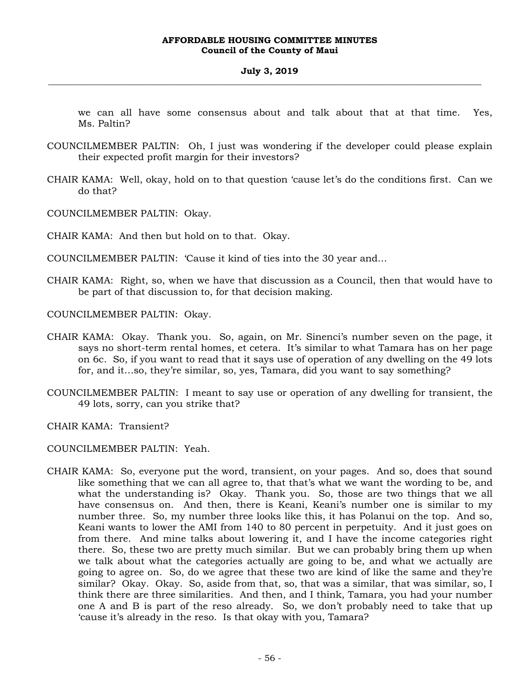we can all have some consensus about and talk about that at that time. Yes, Ms. Paltin?

- COUNCILMEMBER PALTIN: Oh, I just was wondering if the developer could please explain their expected profit margin for their investors?
- CHAIR KAMA: Well, okay, hold on to that question 'cause let's do the conditions first. Can we do that?
- COUNCILMEMBER PALTIN: Okay.

CHAIR KAMA: And then but hold on to that. Okay.

COUNCILMEMBER PALTIN: 'Cause it kind of ties into the 30 year and…

CHAIR KAMA: Right, so, when we have that discussion as a Council, then that would have to be part of that discussion to, for that decision making.

COUNCILMEMBER PALTIN: Okay.

- CHAIR KAMA: Okay. Thank you. So, again, on Mr. Sinenci's number seven on the page, it says no short-term rental homes, et cetera. It's similar to what Tamara has on her page on 6c. So, if you want to read that it says use of operation of any dwelling on the 49 lots for, and it…so, they're similar, so, yes, Tamara, did you want to say something?
- COUNCILMEMBER PALTIN: I meant to say use or operation of any dwelling for transient, the 49 lots, sorry, can you strike that?

CHAIR KAMA: Transient?

COUNCILMEMBER PALTIN: Yeah.

CHAIR KAMA: So, everyone put the word, transient, on your pages. And so, does that sound like something that we can all agree to, that that's what we want the wording to be, and what the understanding is? Okay. Thank you. So, those are two things that we all have consensus on. And then, there is Keani, Keani's number one is similar to my number three. So, my number three looks like this, it has Polanui on the top. And so, Keani wants to lower the AMI from 140 to 80 percent in perpetuity. And it just goes on from there. And mine talks about lowering it, and I have the income categories right there. So, these two are pretty much similar. But we can probably bring them up when we talk about what the categories actually are going to be, and what we actually are going to agree on. So, do we agree that these two are kind of like the same and they're similar? Okay. Okay. So, aside from that, so, that was a similar, that was similar, so, I think there are three similarities. And then, and I think, Tamara, you had your number one A and B is part of the reso already. So, we don't probably need to take that up 'cause it's already in the reso. Is that okay with you, Tamara?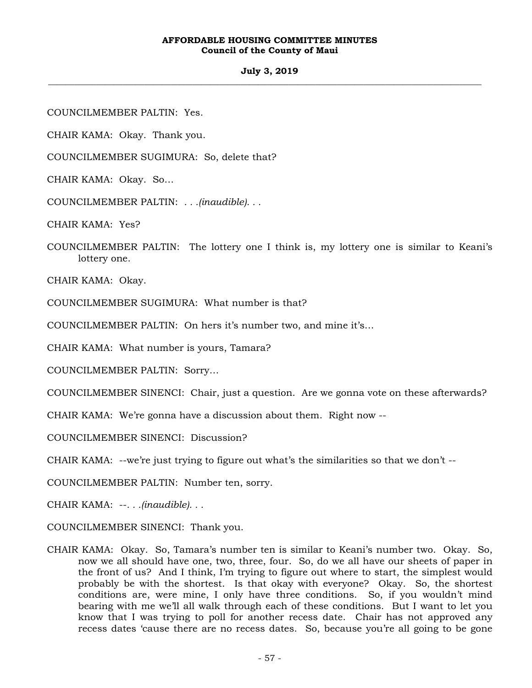## **July 3, 2019 \_\_\_\_\_\_\_\_\_\_\_\_\_\_\_\_\_\_\_\_\_\_\_\_\_\_\_\_\_\_\_\_\_\_\_\_\_\_\_\_\_\_\_\_\_\_\_\_\_\_\_\_\_\_\_\_\_\_\_\_\_\_\_\_\_\_\_\_\_\_\_\_\_\_\_\_\_\_\_\_\_\_\_\_\_\_\_\_\_\_\_\_\_\_\_\_\_\_\_**

COUNCILMEMBER PALTIN: Yes.

CHAIR KAMA: Okay. Thank you.

COUNCILMEMBER SUGIMURA: So, delete that?

CHAIR KAMA: Okay. So…

COUNCILMEMBER PALTIN: *. . .(inaudible). . .*

CHAIR KAMA: Yes?

COUNCILMEMBER PALTIN: The lottery one I think is, my lottery one is similar to Keani's lottery one.

CHAIR KAMA: Okay.

COUNCILMEMBER SUGIMURA: What number is that?

COUNCILMEMBER PALTIN: On hers it's number two, and mine it's…

CHAIR KAMA: What number is yours, Tamara?

COUNCILMEMBER PALTIN: Sorry…

COUNCILMEMBER SINENCI: Chair, just a question. Are we gonna vote on these afterwards?

CHAIR KAMA: We're gonna have a discussion about them. Right now --

COUNCILMEMBER SINENCI: Discussion?

CHAIR KAMA: --we're just trying to figure out what's the similarities so that we don't --

COUNCILMEMBER PALTIN: Number ten, sorry.

CHAIR KAMA: --*. . .(inaudible). . .*

COUNCILMEMBER SINENCI: Thank you.

CHAIR KAMA: Okay. So, Tamara's number ten is similar to Keani's number two. Okay. So, now we all should have one, two, three, four. So, do we all have our sheets of paper in the front of us? And I think, I'm trying to figure out where to start, the simplest would probably be with the shortest. Is that okay with everyone? Okay. So, the shortest conditions are, were mine, I only have three conditions. So, if you wouldn't mind bearing with me we'll all walk through each of these conditions. But I want to let you know that I was trying to poll for another recess date. Chair has not approved any recess dates 'cause there are no recess dates. So, because you're all going to be gone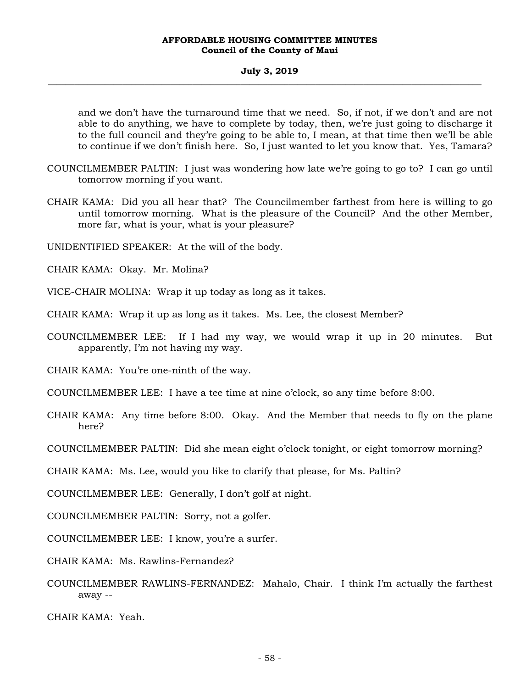### **July 3, 2019 \_\_\_\_\_\_\_\_\_\_\_\_\_\_\_\_\_\_\_\_\_\_\_\_\_\_\_\_\_\_\_\_\_\_\_\_\_\_\_\_\_\_\_\_\_\_\_\_\_\_\_\_\_\_\_\_\_\_\_\_\_\_\_\_\_\_\_\_\_\_\_\_\_\_\_\_\_\_\_\_\_\_\_\_\_\_\_\_\_\_\_\_\_\_\_\_\_\_\_**

and we don't have the turnaround time that we need. So, if not, if we don't and are not able to do anything, we have to complete by today, then, we're just going to discharge it to the full council and they're going to be able to, I mean, at that time then we'll be able to continue if we don't finish here. So, I just wanted to let you know that. Yes, Tamara?

- COUNCILMEMBER PALTIN: I just was wondering how late we're going to go to? I can go until tomorrow morning if you want.
- CHAIR KAMA: Did you all hear that? The Councilmember farthest from here is willing to go until tomorrow morning. What is the pleasure of the Council? And the other Member, more far, what is your, what is your pleasure?

UNIDENTIFIED SPEAKER: At the will of the body.

CHAIR KAMA: Okay. Mr. Molina?

VICE-CHAIR MOLINA: Wrap it up today as long as it takes.

CHAIR KAMA: Wrap it up as long as it takes. Ms. Lee, the closest Member?

COUNCILMEMBER LEE: If I had my way, we would wrap it up in 20 minutes. But apparently, I'm not having my way.

CHAIR KAMA: You're one-ninth of the way.

COUNCILMEMBER LEE: I have a tee time at nine o'clock, so any time before 8:00.

CHAIR KAMA: Any time before 8:00. Okay. And the Member that needs to fly on the plane here?

COUNCILMEMBER PALTIN: Did she mean eight o'clock tonight, or eight tomorrow morning?

CHAIR KAMA: Ms. Lee, would you like to clarify that please, for Ms. Paltin?

COUNCILMEMBER LEE: Generally, I don't golf at night.

COUNCILMEMBER PALTIN: Sorry, not a golfer.

COUNCILMEMBER LEE: I know, you're a surfer.

CHAIR KAMA: Ms. Rawlins-Fernandez?

COUNCILMEMBER RAWLINS-FERNANDEZ: Mahalo, Chair. I think I'm actually the farthest away --

CHAIR KAMA: Yeah.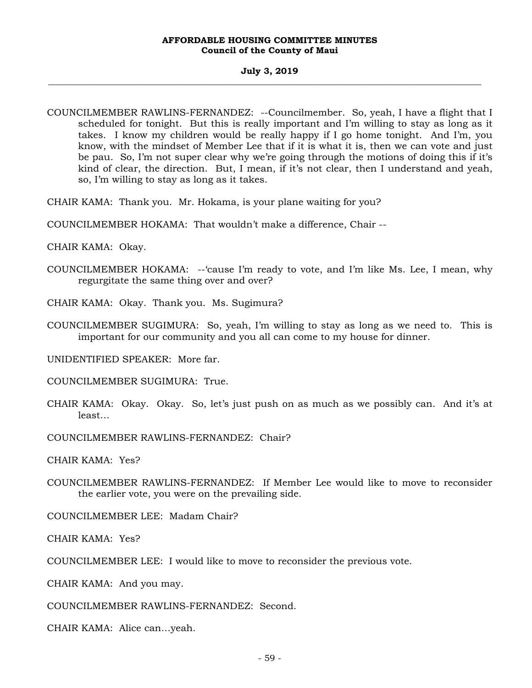#### **July 3, 2019 \_\_\_\_\_\_\_\_\_\_\_\_\_\_\_\_\_\_\_\_\_\_\_\_\_\_\_\_\_\_\_\_\_\_\_\_\_\_\_\_\_\_\_\_\_\_\_\_\_\_\_\_\_\_\_\_\_\_\_\_\_\_\_\_\_\_\_\_\_\_\_\_\_\_\_\_\_\_\_\_\_\_\_\_\_\_\_\_\_\_\_\_\_\_\_\_\_\_\_**

- COUNCILMEMBER RAWLINS-FERNANDEZ: --Councilmember. So, yeah, I have a flight that I scheduled for tonight. But this is really important and I'm willing to stay as long as it takes. I know my children would be really happy if I go home tonight. And I'm, you know, with the mindset of Member Lee that if it is what it is, then we can vote and just be pau. So, I'm not super clear why we're going through the motions of doing this if it's kind of clear, the direction. But, I mean, if it's not clear, then I understand and yeah, so, I'm willing to stay as long as it takes.
- CHAIR KAMA: Thank you. Mr. Hokama, is your plane waiting for you?
- COUNCILMEMBER HOKAMA: That wouldn't make a difference, Chair --
- CHAIR KAMA: Okay.
- COUNCILMEMBER HOKAMA: --'cause I'm ready to vote, and I'm like Ms. Lee, I mean, why regurgitate the same thing over and over?
- CHAIR KAMA: Okay. Thank you. Ms. Sugimura?
- COUNCILMEMBER SUGIMURA: So, yeah, I'm willing to stay as long as we need to. This is important for our community and you all can come to my house for dinner.
- UNIDENTIFIED SPEAKER: More far.
- COUNCILMEMBER SUGIMURA: True.
- CHAIR KAMA: Okay. Okay. So, let's just push on as much as we possibly can. And it's at least…
- COUNCILMEMBER RAWLINS-FERNANDEZ: Chair?
- CHAIR KAMA: Yes?
- COUNCILMEMBER RAWLINS-FERNANDEZ: If Member Lee would like to move to reconsider the earlier vote, you were on the prevailing side.
- COUNCILMEMBER LEE: Madam Chair?
- CHAIR KAMA: Yes?
- COUNCILMEMBER LEE: I would like to move to reconsider the previous vote.
- CHAIR KAMA: And you may.
- COUNCILMEMBER RAWLINS-FERNANDEZ: Second.
- CHAIR KAMA: Alice can…yeah.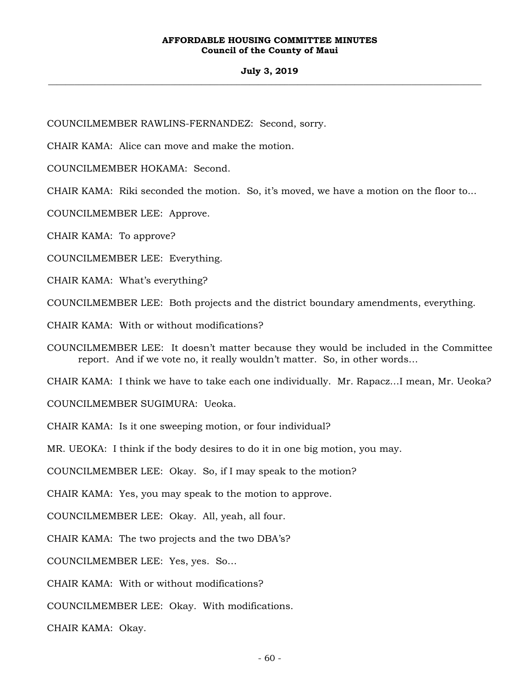## **July 3, 2019 \_\_\_\_\_\_\_\_\_\_\_\_\_\_\_\_\_\_\_\_\_\_\_\_\_\_\_\_\_\_\_\_\_\_\_\_\_\_\_\_\_\_\_\_\_\_\_\_\_\_\_\_\_\_\_\_\_\_\_\_\_\_\_\_\_\_\_\_\_\_\_\_\_\_\_\_\_\_\_\_\_\_\_\_\_\_\_\_\_\_\_\_\_\_\_\_\_\_\_**

COUNCILMEMBER RAWLINS-FERNANDEZ: Second, sorry.

CHAIR KAMA: Alice can move and make the motion.

COUNCILMEMBER HOKAMA: Second.

CHAIR KAMA: Riki seconded the motion. So, it's moved, we have a motion on the floor to...

COUNCILMEMBER LEE: Approve.

CHAIR KAMA: To approve?

COUNCILMEMBER LEE: Everything.

CHAIR KAMA: What's everything?

COUNCILMEMBER LEE: Both projects and the district boundary amendments, everything.

CHAIR KAMA: With or without modifications?

COUNCILMEMBER LEE: It doesn't matter because they would be included in the Committee report. And if we vote no, it really wouldn't matter. So, in other words…

CHAIR KAMA: I think we have to take each one individually. Mr. Rapacz…I mean, Mr. Ueoka?

COUNCILMEMBER SUGIMURA: Ueoka.

CHAIR KAMA: Is it one sweeping motion, or four individual?

MR. UEOKA: I think if the body desires to do it in one big motion, you may.

COUNCILMEMBER LEE: Okay. So, if I may speak to the motion?

CHAIR KAMA: Yes, you may speak to the motion to approve.

COUNCILMEMBER LEE: Okay. All, yeah, all four.

CHAIR KAMA: The two projects and the two DBA's?

COUNCILMEMBER LEE: Yes, yes. So…

CHAIR KAMA: With or without modifications?

COUNCILMEMBER LEE: Okay. With modifications.

CHAIR KAMA: Okay.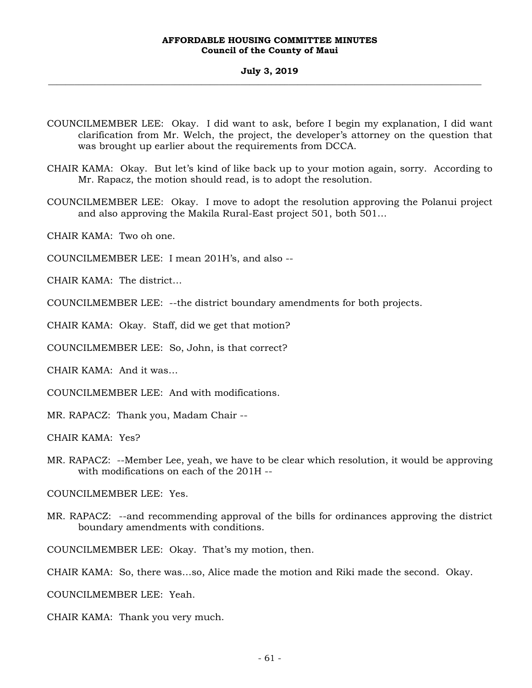#### **July 3, 2019 \_\_\_\_\_\_\_\_\_\_\_\_\_\_\_\_\_\_\_\_\_\_\_\_\_\_\_\_\_\_\_\_\_\_\_\_\_\_\_\_\_\_\_\_\_\_\_\_\_\_\_\_\_\_\_\_\_\_\_\_\_\_\_\_\_\_\_\_\_\_\_\_\_\_\_\_\_\_\_\_\_\_\_\_\_\_\_\_\_\_\_\_\_\_\_\_\_\_\_**

- COUNCILMEMBER LEE: Okay. I did want to ask, before I begin my explanation, I did want clarification from Mr. Welch, the project, the developer's attorney on the question that was brought up earlier about the requirements from DCCA.
- CHAIR KAMA: Okay. But let's kind of like back up to your motion again, sorry. According to Mr. Rapacz, the motion should read, is to adopt the resolution.
- COUNCILMEMBER LEE: Okay. I move to adopt the resolution approving the Polanui project and also approving the Makila Rural-East project 501, both 501…

CHAIR KAMA: Two oh one.

COUNCILMEMBER LEE: I mean 201H's, and also --

CHAIR KAMA: The district…

COUNCILMEMBER LEE: --the district boundary amendments for both projects.

CHAIR KAMA: Okay. Staff, did we get that motion?

COUNCILMEMBER LEE: So, John, is that correct?

CHAIR KAMA: And it was…

COUNCILMEMBER LEE: And with modifications.

MR. RAPACZ: Thank you, Madam Chair --

CHAIR KAMA: Yes?

MR. RAPACZ: --Member Lee, yeah, we have to be clear which resolution, it would be approving with modifications on each of the 201H --

COUNCILMEMBER LEE: Yes.

MR. RAPACZ: --and recommending approval of the bills for ordinances approving the district boundary amendments with conditions.

COUNCILMEMBER LEE: Okay. That's my motion, then.

CHAIR KAMA: So, there was…so, Alice made the motion and Riki made the second. Okay.

COUNCILMEMBER LEE: Yeah.

CHAIR KAMA: Thank you very much.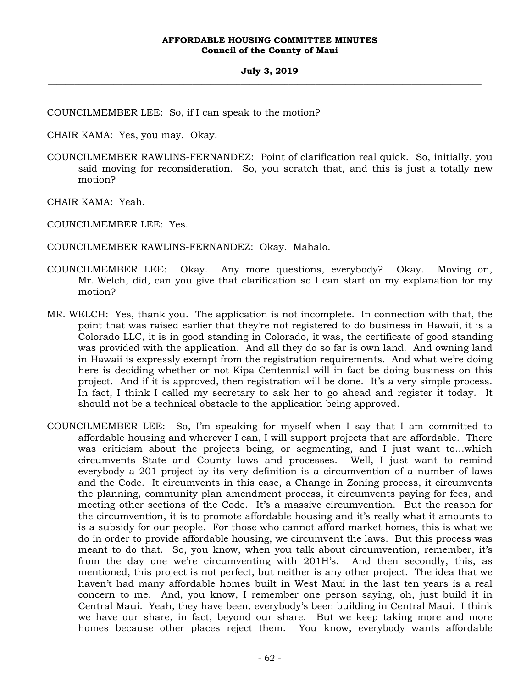COUNCILMEMBER LEE: So, if I can speak to the motion?

CHAIR KAMA: Yes, you may. Okay.

COUNCILMEMBER RAWLINS-FERNANDEZ: Point of clarification real quick. So, initially, you said moving for reconsideration. So, you scratch that, and this is just a totally new motion?

CHAIR KAMA: Yeah.

COUNCILMEMBER LEE: Yes.

COUNCILMEMBER RAWLINS-FERNANDEZ: Okay. Mahalo.

- COUNCILMEMBER LEE: Okay. Any more questions, everybody? Okay. Moving on, Mr. Welch, did, can you give that clarification so I can start on my explanation for my motion?
- MR. WELCH: Yes, thank you. The application is not incomplete. In connection with that, the point that was raised earlier that they're not registered to do business in Hawaii, it is a Colorado LLC, it is in good standing in Colorado, it was, the certificate of good standing was provided with the application. And all they do so far is own land. And owning land in Hawaii is expressly exempt from the registration requirements. And what we're doing here is deciding whether or not Kipa Centennial will in fact be doing business on this project. And if it is approved, then registration will be done. It's a very simple process. In fact, I think I called my secretary to ask her to go ahead and register it today. It should not be a technical obstacle to the application being approved.
- COUNCILMEMBER LEE: So, I'm speaking for myself when I say that I am committed to affordable housing and wherever I can, I will support projects that are affordable. There was criticism about the projects being, or segmenting, and I just want to…which circumvents State and County laws and processes. Well, I just want to remind everybody a 201 project by its very definition is a circumvention of a number of laws and the Code. It circumvents in this case, a Change in Zoning process, it circumvents the planning, community plan amendment process, it circumvents paying for fees, and meeting other sections of the Code. It's a massive circumvention. But the reason for the circumvention, it is to promote affordable housing and it's really what it amounts to is a subsidy for our people. For those who cannot afford market homes, this is what we do in order to provide affordable housing, we circumvent the laws. But this process was meant to do that. So, you know, when you talk about circumvention, remember, it's from the day one we're circumventing with 201H's. And then secondly, this, as mentioned, this project is not perfect, but neither is any other project. The idea that we haven't had many affordable homes built in West Maui in the last ten years is a real concern to me. And, you know, I remember one person saying, oh, just build it in Central Maui. Yeah, they have been, everybody's been building in Central Maui. I think we have our share, in fact, beyond our share. But we keep taking more and more homes because other places reject them. You know, everybody wants affordable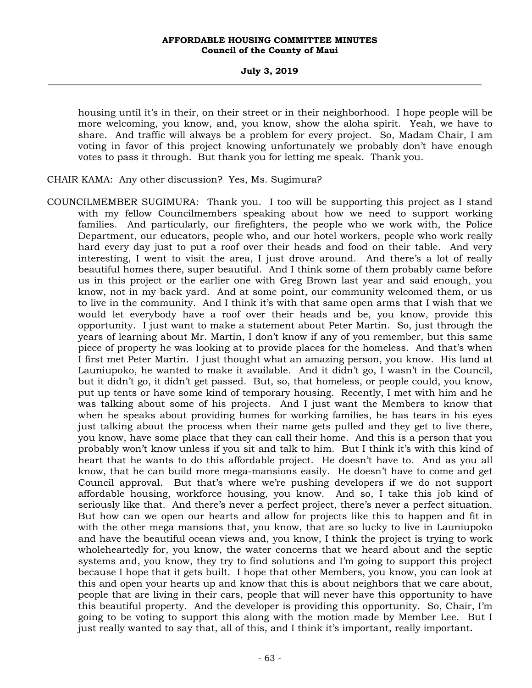housing until it's in their, on their street or in their neighborhood. I hope people will be more welcoming, you know, and, you know, show the aloha spirit. Yeah, we have to share. And traffic will always be a problem for every project. So, Madam Chair, I am voting in favor of this project knowing unfortunately we probably don't have enough votes to pass it through. But thank you for letting me speak. Thank you.

CHAIR KAMA: Any other discussion? Yes, Ms. Sugimura?

COUNCILMEMBER SUGIMURA: Thank you. I too will be supporting this project as I stand with my fellow Councilmembers speaking about how we need to support working families. And particularly, our firefighters, the people who we work with, the Police Department, our educators, people who, and our hotel workers, people who work really hard every day just to put a roof over their heads and food on their table. And very interesting, I went to visit the area, I just drove around. And there's a lot of really beautiful homes there, super beautiful. And I think some of them probably came before us in this project or the earlier one with Greg Brown last year and said enough, you know, not in my back yard. And at some point, our community welcomed them, or us to live in the community. And I think it's with that same open arms that I wish that we would let everybody have a roof over their heads and be, you know, provide this opportunity. I just want to make a statement about Peter Martin. So, just through the years of learning about Mr. Martin, I don't know if any of you remember, but this same piece of property he was looking at to provide places for the homeless. And that's when I first met Peter Martin. I just thought what an amazing person, you know. His land at Launiupoko, he wanted to make it available. And it didn't go, I wasn't in the Council, but it didn't go, it didn't get passed. But, so, that homeless, or people could, you know, put up tents or have some kind of temporary housing. Recently, I met with him and he was talking about some of his projects. And I just want the Members to know that when he speaks about providing homes for working families, he has tears in his eyes just talking about the process when their name gets pulled and they get to live there, you know, have some place that they can call their home. And this is a person that you probably won't know unless if you sit and talk to him. But I think it's with this kind of heart that he wants to do this affordable project. He doesn't have to. And as you all know, that he can build more mega-mansions easily. He doesn't have to come and get Council approval. But that's where we're pushing developers if we do not support affordable housing, workforce housing, you know. And so, I take this job kind of seriously like that. And there's never a perfect project, there's never a perfect situation. But how can we open our hearts and allow for projects like this to happen and fit in with the other mega mansions that, you know, that are so lucky to live in Launiupoko and have the beautiful ocean views and, you know, I think the project is trying to work wholeheartedly for, you know, the water concerns that we heard about and the septic systems and, you know, they try to find solutions and I'm going to support this project because I hope that it gets built. I hope that other Members, you know, you can look at this and open your hearts up and know that this is about neighbors that we care about, people that are living in their cars, people that will never have this opportunity to have this beautiful property. And the developer is providing this opportunity. So, Chair, I'm going to be voting to support this along with the motion made by Member Lee. But I just really wanted to say that, all of this, and I think it's important, really important.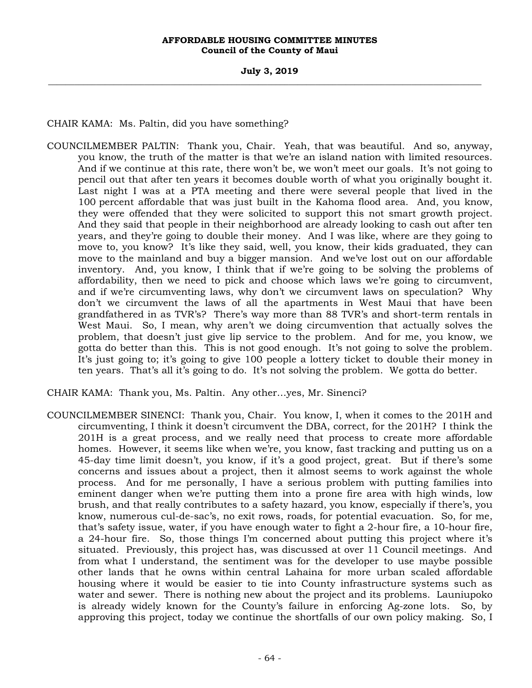## **July 3, 2019 \_\_\_\_\_\_\_\_\_\_\_\_\_\_\_\_\_\_\_\_\_\_\_\_\_\_\_\_\_\_\_\_\_\_\_\_\_\_\_\_\_\_\_\_\_\_\_\_\_\_\_\_\_\_\_\_\_\_\_\_\_\_\_\_\_\_\_\_\_\_\_\_\_\_\_\_\_\_\_\_\_\_\_\_\_\_\_\_\_\_\_\_\_\_\_\_\_\_\_**

CHAIR KAMA: Ms. Paltin, did you have something?

- COUNCILMEMBER PALTIN: Thank you, Chair. Yeah, that was beautiful. And so, anyway, you know, the truth of the matter is that we're an island nation with limited resources. And if we continue at this rate, there won't be, we won't meet our goals. It's not going to pencil out that after ten years it becomes double worth of what you originally bought it. Last night I was at a PTA meeting and there were several people that lived in the 100 percent affordable that was just built in the Kahoma flood area. And, you know, they were offended that they were solicited to support this not smart growth project. And they said that people in their neighborhood are already looking to cash out after ten years, and they're going to double their money. And I was like, where are they going to move to, you know? It's like they said, well, you know, their kids graduated, they can move to the mainland and buy a bigger mansion. And we've lost out on our affordable inventory. And, you know, I think that if we're going to be solving the problems of affordability, then we need to pick and choose which laws we're going to circumvent, and if we're circumventing laws, why don't we circumvent laws on speculation? Why don't we circumvent the laws of all the apartments in West Maui that have been grandfathered in as TVR's? There's way more than 88 TVR's and short-term rentals in West Maui. So, I mean, why aren't we doing circumvention that actually solves the problem, that doesn't just give lip service to the problem. And for me, you know, we gotta do better than this. This is not good enough. It's not going to solve the problem. It's just going to; it's going to give 100 people a lottery ticket to double their money in ten years. That's all it's going to do. It's not solving the problem. We gotta do better.
- CHAIR KAMA: Thank you, Ms. Paltin. Any other…yes, Mr. Sinenci?
- COUNCILMEMBER SINENCI: Thank you, Chair. You know, I, when it comes to the 201H and circumventing, I think it doesn't circumvent the DBA, correct, for the 201H? I think the 201H is a great process, and we really need that process to create more affordable homes. However, it seems like when we're, you know, fast tracking and putting us on a 45-day time limit doesn't, you know, if it's a good project, great. But if there's some concerns and issues about a project, then it almost seems to work against the whole process. And for me personally, I have a serious problem with putting families into eminent danger when we're putting them into a prone fire area with high winds, low brush, and that really contributes to a safety hazard, you know, especially if there's, you know, numerous cul-de-sac's, no exit rows, roads, for potential evacuation. So, for me, that's safety issue, water, if you have enough water to fight a 2-hour fire, a 10-hour fire, a 24-hour fire. So, those things I'm concerned about putting this project where it's situated. Previously, this project has, was discussed at over 11 Council meetings. And from what I understand, the sentiment was for the developer to use maybe possible other lands that he owns within central Lahaina for more urban scaled affordable housing where it would be easier to tie into County infrastructure systems such as water and sewer. There is nothing new about the project and its problems. Launiupoko is already widely known for the County's failure in enforcing Ag-zone lots. So, by approving this project, today we continue the shortfalls of our own policy making. So, I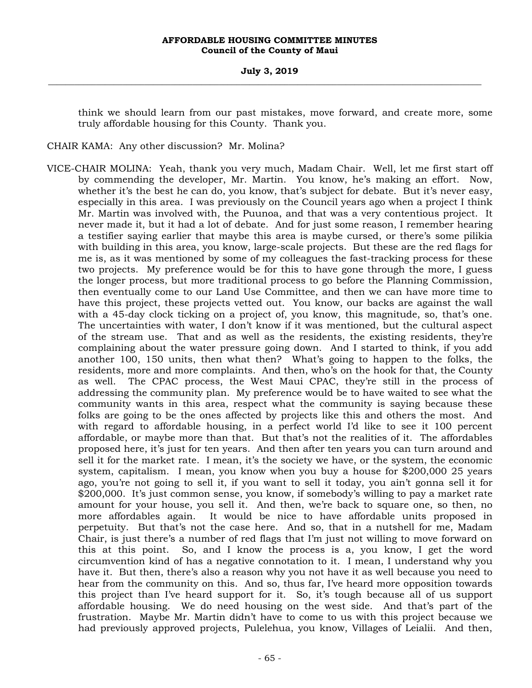think we should learn from our past mistakes, move forward, and create more, some truly affordable housing for this County. Thank you.

CHAIR KAMA: Any other discussion? Mr. Molina?

VICE-CHAIR MOLINA: Yeah, thank you very much, Madam Chair. Well, let me first start off by commending the developer, Mr. Martin. You know, he's making an effort. Now, whether it's the best he can do, you know, that's subject for debate. But it's never easy, especially in this area. I was previously on the Council years ago when a project I think Mr. Martin was involved with, the Puunoa, and that was a very contentious project. It never made it, but it had a lot of debate. And for just some reason, I remember hearing a testifier saying earlier that maybe this area is maybe cursed, or there's some pilikia with building in this area, you know, large-scale projects. But these are the red flags for me is, as it was mentioned by some of my colleagues the fast-tracking process for these two projects. My preference would be for this to have gone through the more, I guess the longer process, but more traditional process to go before the Planning Commission, then eventually come to our Land Use Committee, and then we can have more time to have this project, these projects vetted out. You know, our backs are against the wall with a 45-day clock ticking on a project of, you know, this magnitude, so, that's one. The uncertainties with water, I don't know if it was mentioned, but the cultural aspect of the stream use. That and as well as the residents, the existing residents, they're complaining about the water pressure going down. And I started to think, if you add another 100, 150 units, then what then? What's going to happen to the folks, the residents, more and more complaints. And then, who's on the hook for that, the County as well. The CPAC process, the West Maui CPAC, they're still in the process of addressing the community plan. My preference would be to have waited to see what the community wants in this area, respect what the community is saying because these folks are going to be the ones affected by projects like this and others the most. And with regard to affordable housing, in a perfect world I'd like to see it 100 percent affordable, or maybe more than that. But that's not the realities of it. The affordables proposed here, it's just for ten years. And then after ten years you can turn around and sell it for the market rate. I mean, it's the society we have, or the system, the economic system, capitalism. I mean, you know when you buy a house for \$200,000 25 years ago, you're not going to sell it, if you want to sell it today, you ain't gonna sell it for \$200,000. It's just common sense, you know, if somebody's willing to pay a market rate amount for your house, you sell it. And then, we're back to square one, so then, no more affordables again. It would be nice to have affordable units proposed in perpetuity. But that's not the case here. And so, that in a nutshell for me, Madam Chair, is just there's a number of red flags that I'm just not willing to move forward on this at this point. So, and I know the process is a, you know, I get the word circumvention kind of has a negative connotation to it. I mean, I understand why you have it. But then, there's also a reason why you not have it as well because you need to hear from the community on this. And so, thus far, I've heard more opposition towards this project than I've heard support for it. So, it's tough because all of us support affordable housing. We do need housing on the west side. And that's part of the frustration. Maybe Mr. Martin didn't have to come to us with this project because we had previously approved projects, Pulelehua, you know, Villages of Leialii. And then,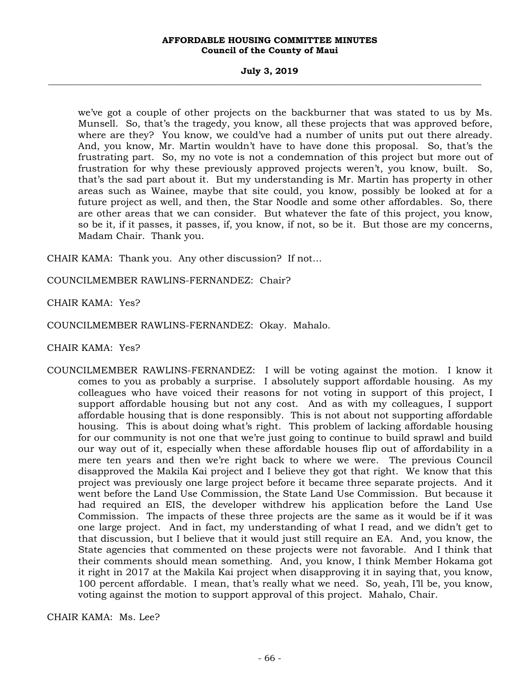#### **July 3, 2019 \_\_\_\_\_\_\_\_\_\_\_\_\_\_\_\_\_\_\_\_\_\_\_\_\_\_\_\_\_\_\_\_\_\_\_\_\_\_\_\_\_\_\_\_\_\_\_\_\_\_\_\_\_\_\_\_\_\_\_\_\_\_\_\_\_\_\_\_\_\_\_\_\_\_\_\_\_\_\_\_\_\_\_\_\_\_\_\_\_\_\_\_\_\_\_\_\_\_\_**

we've got a couple of other projects on the backburner that was stated to us by Ms. Munsell. So, that's the tragedy, you know, all these projects that was approved before, where are they? You know, we could've had a number of units put out there already. And, you know, Mr. Martin wouldn't have to have done this proposal. So, that's the frustrating part. So, my no vote is not a condemnation of this project but more out of frustration for why these previously approved projects weren't, you know, built. So, that's the sad part about it. But my understanding is Mr. Martin has property in other areas such as Wainee, maybe that site could, you know, possibly be looked at for a future project as well, and then, the Star Noodle and some other affordables. So, there are other areas that we can consider. But whatever the fate of this project, you know, so be it, if it passes, it passes, if, you know, if not, so be it. But those are my concerns, Madam Chair. Thank you.

CHAIR KAMA: Thank you. Any other discussion? If not…

COUNCILMEMBER RAWLINS-FERNANDEZ: Chair?

CHAIR KAMA: Yes?

COUNCILMEMBER RAWLINS-FERNANDEZ: Okay. Mahalo.

CHAIR KAMA: Yes?

COUNCILMEMBER RAWLINS-FERNANDEZ: I will be voting against the motion. I know it comes to you as probably a surprise. I absolutely support affordable housing. As my colleagues who have voiced their reasons for not voting in support of this project, I support affordable housing but not any cost. And as with my colleagues, I support affordable housing that is done responsibly. This is not about not supporting affordable housing. This is about doing what's right. This problem of lacking affordable housing for our community is not one that we're just going to continue to build sprawl and build our way out of it, especially when these affordable houses flip out of affordability in a mere ten years and then we're right back to where we were. The previous Council disapproved the Makila Kai project and I believe they got that right. We know that this project was previously one large project before it became three separate projects. And it went before the Land Use Commission, the State Land Use Commission. But because it had required an EIS, the developer withdrew his application before the Land Use Commission. The impacts of these three projects are the same as it would be if it was one large project. And in fact, my understanding of what I read, and we didn't get to that discussion, but I believe that it would just still require an EA. And, you know, the State agencies that commented on these projects were not favorable. And I think that their comments should mean something. And, you know, I think Member Hokama got it right in 2017 at the Makila Kai project when disapproving it in saying that, you know, 100 percent affordable. I mean, that's really what we need. So, yeah, I'll be, you know, voting against the motion to support approval of this project. Mahalo, Chair.

CHAIR KAMA: Ms. Lee?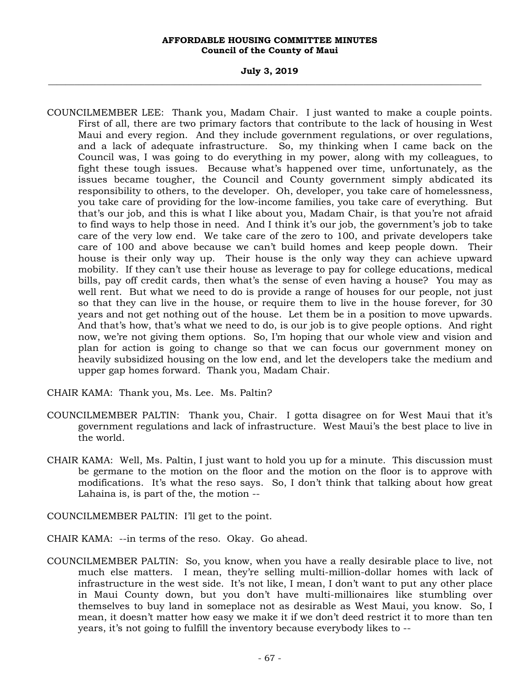#### **July 3, 2019 \_\_\_\_\_\_\_\_\_\_\_\_\_\_\_\_\_\_\_\_\_\_\_\_\_\_\_\_\_\_\_\_\_\_\_\_\_\_\_\_\_\_\_\_\_\_\_\_\_\_\_\_\_\_\_\_\_\_\_\_\_\_\_\_\_\_\_\_\_\_\_\_\_\_\_\_\_\_\_\_\_\_\_\_\_\_\_\_\_\_\_\_\_\_\_\_\_\_\_**

COUNCILMEMBER LEE: Thank you, Madam Chair. I just wanted to make a couple points. First of all, there are two primary factors that contribute to the lack of housing in West Maui and every region. And they include government regulations, or over regulations, and a lack of adequate infrastructure. So, my thinking when I came back on the Council was, I was going to do everything in my power, along with my colleagues, to fight these tough issues. Because what's happened over time, unfortunately, as the issues became tougher, the Council and County government simply abdicated its responsibility to others, to the developer. Oh, developer, you take care of homelessness, you take care of providing for the low-income families, you take care of everything. But that's our job, and this is what I like about you, Madam Chair, is that you're not afraid to find ways to help those in need. And I think it's our job, the government's job to take care of the very low end. We take care of the zero to 100, and private developers take care of 100 and above because we can't build homes and keep people down. Their house is their only way up. Their house is the only way they can achieve upward mobility. If they can't use their house as leverage to pay for college educations, medical bills, pay off credit cards, then what's the sense of even having a house? You may as well rent. But what we need to do is provide a range of houses for our people, not just so that they can live in the house, or require them to live in the house forever, for 30 years and not get nothing out of the house. Let them be in a position to move upwards. And that's how, that's what we need to do, is our job is to give people options. And right now, we're not giving them options. So, I'm hoping that our whole view and vision and plan for action is going to change so that we can focus our government money on heavily subsidized housing on the low end, and let the developers take the medium and upper gap homes forward. Thank you, Madam Chair.

CHAIR KAMA: Thank you, Ms. Lee. Ms. Paltin?

- COUNCILMEMBER PALTIN: Thank you, Chair. I gotta disagree on for West Maui that it's government regulations and lack of infrastructure. West Maui's the best place to live in the world.
- CHAIR KAMA: Well, Ms. Paltin, I just want to hold you up for a minute. This discussion must be germane to the motion on the floor and the motion on the floor is to approve with modifications. It's what the reso says. So, I don't think that talking about how great Lahaina is, is part of the, the motion --

COUNCILMEMBER PALTIN: I'll get to the point.

- CHAIR KAMA: --in terms of the reso. Okay. Go ahead.
- COUNCILMEMBER PALTIN: So, you know, when you have a really desirable place to live, not much else matters. I mean, they're selling multi-million-dollar homes with lack of infrastructure in the west side. It's not like, I mean, I don't want to put any other place in Maui County down, but you don't have multi-millionaires like stumbling over themselves to buy land in someplace not as desirable as West Maui, you know. So, I mean, it doesn't matter how easy we make it if we don't deed restrict it to more than ten years, it's not going to fulfill the inventory because everybody likes to --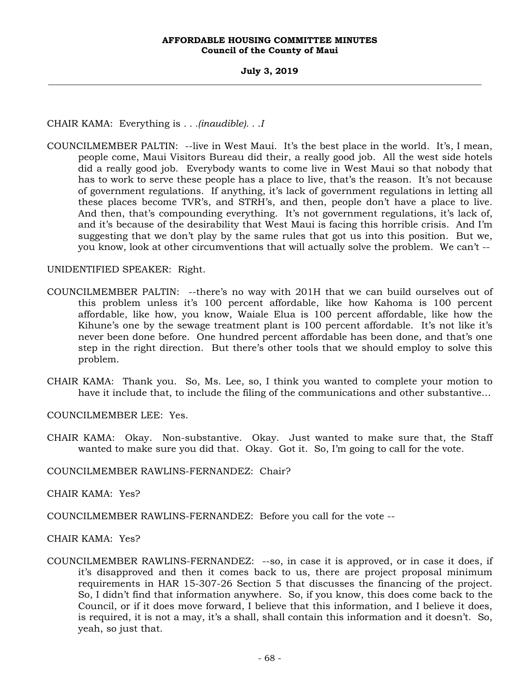CHAIR KAMA: Everything is *. . .(inaudible). . .I* 

COUNCILMEMBER PALTIN: --live in West Maui. It's the best place in the world. It's, I mean, people come, Maui Visitors Bureau did their, a really good job. All the west side hotels did a really good job. Everybody wants to come live in West Maui so that nobody that has to work to serve these people has a place to live, that's the reason. It's not because of government regulations. If anything, it's lack of government regulations in letting all these places become TVR's, and STRH's, and then, people don't have a place to live. And then, that's compounding everything. It's not government regulations, it's lack of, and it's because of the desirability that West Maui is facing this horrible crisis. And I'm suggesting that we don't play by the same rules that got us into this position. But we, you know, look at other circumventions that will actually solve the problem. We can't --

UNIDENTIFIED SPEAKER: Right.

- COUNCILMEMBER PALTIN: --there's no way with 201H that we can build ourselves out of this problem unless it's 100 percent affordable, like how Kahoma is 100 percent affordable, like how, you know, Waiale Elua is 100 percent affordable, like how the Kihune's one by the sewage treatment plant is 100 percent affordable. It's not like it's never been done before. One hundred percent affordable has been done, and that's one step in the right direction. But there's other tools that we should employ to solve this problem.
- CHAIR KAMA: Thank you. So, Ms. Lee, so, I think you wanted to complete your motion to have it include that, to include the filing of the communications and other substantive…

COUNCILMEMBER LEE: Yes.

CHAIR KAMA: Okay. Non-substantive. Okay. Just wanted to make sure that, the Staff wanted to make sure you did that. Okay. Got it. So, I'm going to call for the vote.

COUNCILMEMBER RAWLINS-FERNANDEZ: Chair?

CHAIR KAMA: Yes?

COUNCILMEMBER RAWLINS-FERNANDEZ: Before you call for the vote --

CHAIR KAMA: Yes?

COUNCILMEMBER RAWLINS-FERNANDEZ: --so, in case it is approved, or in case it does, if it's disapproved and then it comes back to us, there are project proposal minimum requirements in HAR 15-307-26 Section 5 that discusses the financing of the project. So, I didn't find that information anywhere. So, if you know, this does come back to the Council, or if it does move forward, I believe that this information, and I believe it does, is required, it is not a may, it's a shall, shall contain this information and it doesn't. So, yeah, so just that.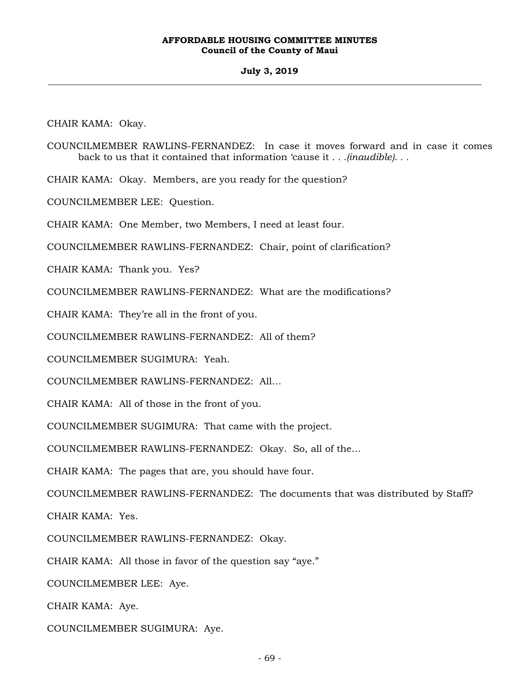## **July 3, 2019 \_\_\_\_\_\_\_\_\_\_\_\_\_\_\_\_\_\_\_\_\_\_\_\_\_\_\_\_\_\_\_\_\_\_\_\_\_\_\_\_\_\_\_\_\_\_\_\_\_\_\_\_\_\_\_\_\_\_\_\_\_\_\_\_\_\_\_\_\_\_\_\_\_\_\_\_\_\_\_\_\_\_\_\_\_\_\_\_\_\_\_\_\_\_\_\_\_\_\_**

CHAIR KAMA: Okay.

COUNCILMEMBER RAWLINS-FERNANDEZ: In case it moves forward and in case it comes back to us that it contained that information 'cause it *. . .(inaudible). . .*

CHAIR KAMA: Okay. Members, are you ready for the question?

COUNCILMEMBER LEE: Question.

CHAIR KAMA: One Member, two Members, I need at least four.

COUNCILMEMBER RAWLINS-FERNANDEZ: Chair, point of clarification?

CHAIR KAMA: Thank you. Yes?

COUNCILMEMBER RAWLINS-FERNANDEZ: What are the modifications?

CHAIR KAMA: They're all in the front of you.

COUNCILMEMBER RAWLINS-FERNANDEZ: All of them?

COUNCILMEMBER SUGIMURA: Yeah.

COUNCILMEMBER RAWLINS-FERNANDEZ: All…

CHAIR KAMA: All of those in the front of you.

COUNCILMEMBER SUGIMURA: That came with the project.

COUNCILMEMBER RAWLINS-FERNANDEZ: Okay. So, all of the…

CHAIR KAMA: The pages that are, you should have four.

COUNCILMEMBER RAWLINS-FERNANDEZ: The documents that was distributed by Staff?

CHAIR KAMA: Yes.

COUNCILMEMBER RAWLINS-FERNANDEZ: Okay.

CHAIR KAMA: All those in favor of the question say "aye."

COUNCILMEMBER LEE: Aye.

CHAIR KAMA: Aye.

COUNCILMEMBER SUGIMURA: Aye.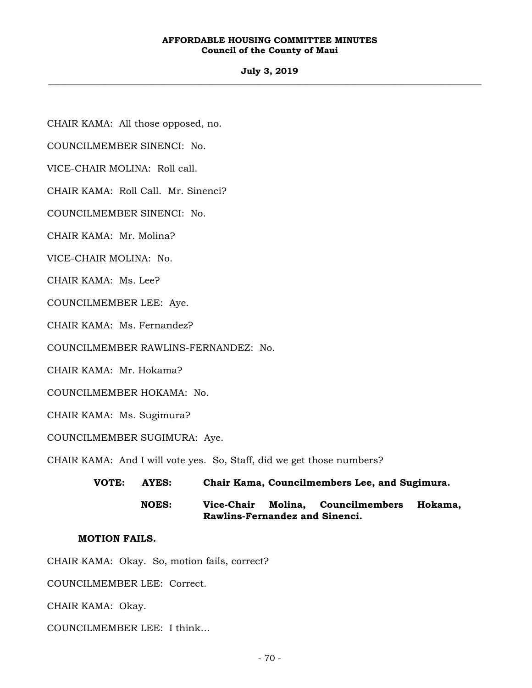## **July 3, 2019 \_\_\_\_\_\_\_\_\_\_\_\_\_\_\_\_\_\_\_\_\_\_\_\_\_\_\_\_\_\_\_\_\_\_\_\_\_\_\_\_\_\_\_\_\_\_\_\_\_\_\_\_\_\_\_\_\_\_\_\_\_\_\_\_\_\_\_\_\_\_\_\_\_\_\_\_\_\_\_\_\_\_\_\_\_\_\_\_\_\_\_\_\_\_\_\_\_\_\_**

CHAIR KAMA: All those opposed, no.

COUNCILMEMBER SINENCI: No.

VICE-CHAIR MOLINA: Roll call.

CHAIR KAMA: Roll Call. Mr. Sinenci?

COUNCILMEMBER SINENCI: No.

CHAIR KAMA: Mr. Molina?

VICE-CHAIR MOLINA: No.

CHAIR KAMA: Ms. Lee?

COUNCILMEMBER LEE: Aye.

CHAIR KAMA: Ms. Fernandez?

COUNCILMEMBER RAWLINS-FERNANDEZ: No.

CHAIR KAMA: Mr. Hokama?

COUNCILMEMBER HOKAMA: No.

CHAIR KAMA: Ms. Sugimura?

COUNCILMEMBER SUGIMURA: Aye.

CHAIR KAMA: And I will vote yes. So, Staff, did we get those numbers?

**VOTE: AYES: Chair Kama, Councilmembers Lee, and Sugimura.** 

 **NOES: Vice-Chair Molina, Councilmembers Hokama, Rawlins-Fernandez and Sinenci.** 

# **MOTION FAILS.**

CHAIR KAMA: Okay. So, motion fails, correct?

COUNCILMEMBER LEE: Correct.

CHAIR KAMA: Okay.

COUNCILMEMBER LEE: I think…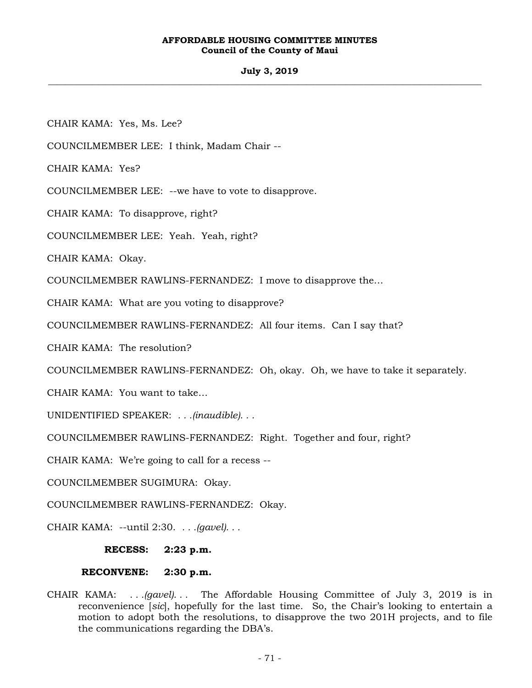# **July 3, 2019 \_\_\_\_\_\_\_\_\_\_\_\_\_\_\_\_\_\_\_\_\_\_\_\_\_\_\_\_\_\_\_\_\_\_\_\_\_\_\_\_\_\_\_\_\_\_\_\_\_\_\_\_\_\_\_\_\_\_\_\_\_\_\_\_\_\_\_\_\_\_\_\_\_\_\_\_\_\_\_\_\_\_\_\_\_\_\_\_\_\_\_\_\_\_\_\_\_\_\_**

CHAIR KAMA: Yes, Ms. Lee?

COUNCILMEMBER LEE: I think, Madam Chair --

CHAIR KAMA: Yes?

COUNCILMEMBER LEE: --we have to vote to disapprove.

CHAIR KAMA: To disapprove, right?

COUNCILMEMBER LEE: Yeah. Yeah, right?

CHAIR KAMA: Okay.

COUNCILMEMBER RAWLINS-FERNANDEZ: I move to disapprove the…

CHAIR KAMA: What are you voting to disapprove?

COUNCILMEMBER RAWLINS-FERNANDEZ: All four items. Can I say that?

CHAIR KAMA: The resolution?

COUNCILMEMBER RAWLINS-FERNANDEZ: Oh, okay. Oh, we have to take it separately.

CHAIR KAMA: You want to take…

UNIDENTIFIED SPEAKER: *. . .(inaudible). . .*

COUNCILMEMBER RAWLINS-FERNANDEZ: Right. Together and four, right?

CHAIR KAMA: We're going to call for a recess --

COUNCILMEMBER SUGIMURA: Okay.

COUNCILMEMBER RAWLINS-FERNANDEZ: Okay.

CHAIR KAMA: --until 2:30. *. . .(gavel). . .* 

**RECESS: 2:23 p.m.** 

# **RECONVENE: 2:30 p.m.**

CHAIR KAMA: *. . .(gavel). . .* The Affordable Housing Committee of July 3, 2019 is in reconvenience [*sic*], hopefully for the last time. So, the Chair's looking to entertain a motion to adopt both the resolutions, to disapprove the two 201H projects, and to file the communications regarding the DBA's.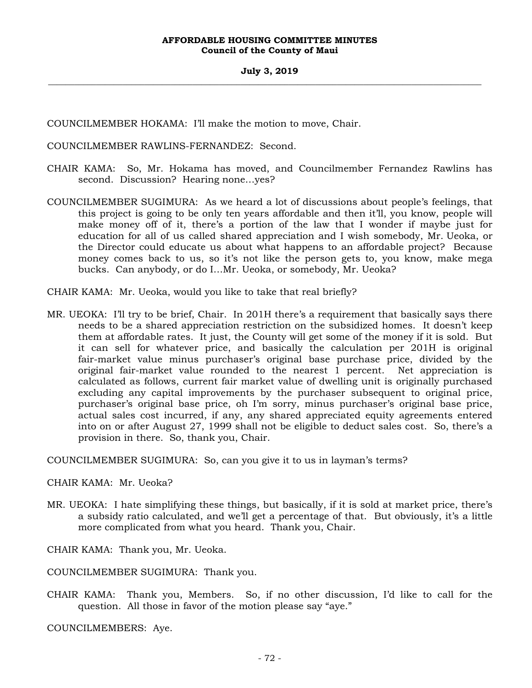COUNCILMEMBER HOKAMA: I'll make the motion to move, Chair.

COUNCILMEMBER RAWLINS-FERNANDEZ: Second.

- CHAIR KAMA: So, Mr. Hokama has moved, and Councilmember Fernandez Rawlins has second. Discussion? Hearing none…yes?
- COUNCILMEMBER SUGIMURA: As we heard a lot of discussions about people's feelings, that this project is going to be only ten years affordable and then it'll, you know, people will make money off of it, there's a portion of the law that I wonder if maybe just for education for all of us called shared appreciation and I wish somebody, Mr. Ueoka, or the Director could educate us about what happens to an affordable project? Because money comes back to us, so it's not like the person gets to, you know, make mega bucks. Can anybody, or do I…Mr. Ueoka, or somebody, Mr. Ueoka?
- CHAIR KAMA: Mr. Ueoka, would you like to take that real briefly?
- MR. UEOKA: I'll try to be brief, Chair. In 201H there's a requirement that basically says there needs to be a shared appreciation restriction on the subsidized homes. It doesn't keep them at affordable rates. It just, the County will get some of the money if it is sold. But it can sell for whatever price, and basically the calculation per 201H is original fair-market value minus purchaser's original base purchase price, divided by the original fair-market value rounded to the nearest 1 percent. Net appreciation is calculated as follows, current fair market value of dwelling unit is originally purchased excluding any capital improvements by the purchaser subsequent to original price, purchaser's original base price, oh I'm sorry, minus purchaser's original base price, actual sales cost incurred, if any, any shared appreciated equity agreements entered into on or after August 27, 1999 shall not be eligible to deduct sales cost. So, there's a provision in there. So, thank you, Chair.

COUNCILMEMBER SUGIMURA: So, can you give it to us in layman's terms?

CHAIR KAMA: Mr. Ueoka?

MR. UEOKA: I hate simplifying these things, but basically, if it is sold at market price, there's a subsidy ratio calculated, and we'll get a percentage of that. But obviously, it's a little more complicated from what you heard. Thank you, Chair.

CHAIR KAMA: Thank you, Mr. Ueoka.

COUNCILMEMBER SUGIMURA: Thank you.

CHAIR KAMA: Thank you, Members. So, if no other discussion, I'd like to call for the question. All those in favor of the motion please say "aye."

COUNCILMEMBERS: Aye.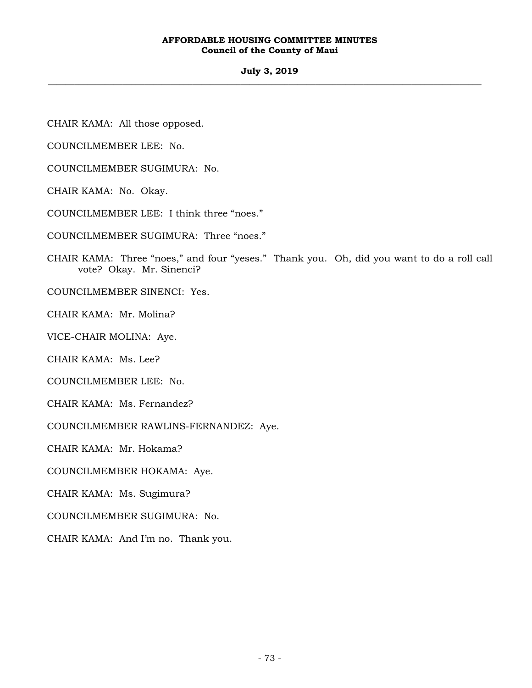#### **AFFORDABLE HOUSING COMMITTEE MINUTES Council of the County of Maui**

#### **July 3, 2019 \_\_\_\_\_\_\_\_\_\_\_\_\_\_\_\_\_\_\_\_\_\_\_\_\_\_\_\_\_\_\_\_\_\_\_\_\_\_\_\_\_\_\_\_\_\_\_\_\_\_\_\_\_\_\_\_\_\_\_\_\_\_\_\_\_\_\_\_\_\_\_\_\_\_\_\_\_\_\_\_\_\_\_\_\_\_\_\_\_\_\_\_\_\_\_\_\_\_\_**

CHAIR KAMA: All those opposed.

COUNCILMEMBER LEE: No.

COUNCILMEMBER SUGIMURA: No.

CHAIR KAMA: No. Okay.

COUNCILMEMBER LEE: I think three "noes."

COUNCILMEMBER SUGIMURA: Three "noes."

CHAIR KAMA: Three "noes," and four "yeses." Thank you. Oh, did you want to do a roll call vote? Okay. Mr. Sinenci?

COUNCILMEMBER SINENCI: Yes.

CHAIR KAMA: Mr. Molina?

VICE-CHAIR MOLINA: Aye.

CHAIR KAMA: Ms. Lee?

COUNCILMEMBER LEE: No.

CHAIR KAMA: Ms. Fernandez?

COUNCILMEMBER RAWLINS-FERNANDEZ: Aye.

CHAIR KAMA: Mr. Hokama?

COUNCILMEMBER HOKAMA: Aye.

CHAIR KAMA: Ms. Sugimura?

COUNCILMEMBER SUGIMURA: No.

CHAIR KAMA: And I'm no. Thank you.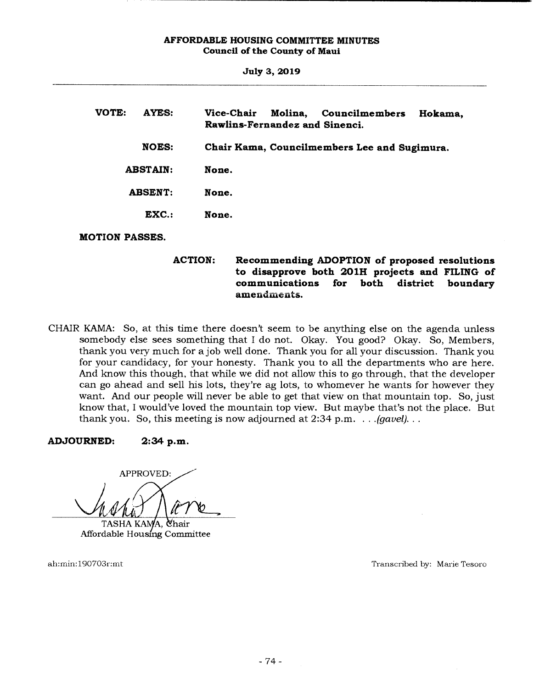| <b>July 3, 2019</b>   |                                                                                      |
|-----------------------|--------------------------------------------------------------------------------------|
| VOTE:<br>AYES:        | Vice-Chair<br>Molina,<br>Councilmembers<br>Hokama,<br>Rawlins-Fernandez and Sinenci. |
| <b>NOES:</b>          | Chair Kama, Councilmembers Lee and Sugimura.                                         |
| <b>ABSTAIN:</b>       | None.                                                                                |
| <b>ABSENT:</b>        | None.                                                                                |
| $EXC$ .:              | None.                                                                                |
| <b>MOTION PASSES.</b> |                                                                                      |

**ACTION: Recommending ADOPTION of proposed resolutions to disapprove both 201H projects and FILING of**  for both district boundary amendments.

CHAIR KAMA: So, at this time there doesn't seem to be anything else on the agenda unless somebody else sees something that I do not. Okay. You good? Okay. So, Members, thank you very much for ajob well done. Thank you for all your discussion. Thank you for your candidacy, for your honesty. Thank you to all the departments who are here. And know this though, that while we did not allow this to go through, that the developer can go ahead and sell his lots, they're ag lots, to whomever he wants for however they want. And our people will never be able to get that view on that mountain top. So, just know that, I would've loved the mountain top view. But maybe that's not the place. But thank you. So, this meeting is now adjourned at  $2:34$  p.m.  $\ldots$  *(qavel)...* 

**ADJOURNED: 2:34 p.m.** 

APPROVED: TASHA KAMA. Chair

Affordable Housing Committee

ah:inin: 190703rant Transcribed by: Marie Tesoro